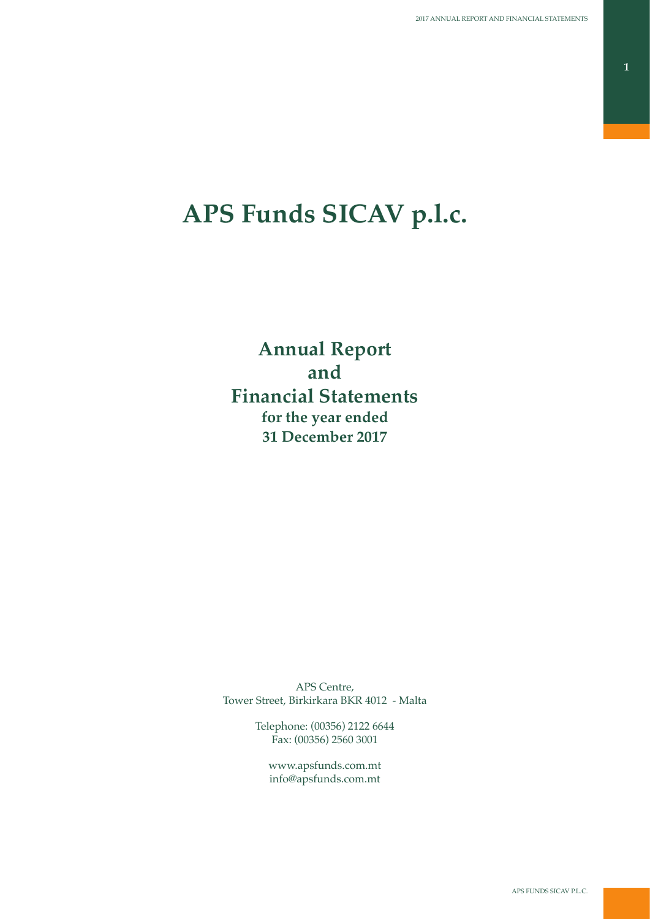# **APS Funds SICAV p.l.c.**

**Annual Report and Financial Statements for the year ended 31 December 2017**

APS Centre, Tower Street, Birkirkara BKR 4012 - Malta

> Telephone: (00356) 2122 6644 Fax: (00356) 2560 3001

www.apsfunds.com.mt info@apsfunds.com.mt

APS FUNDS SICAV P.L.C.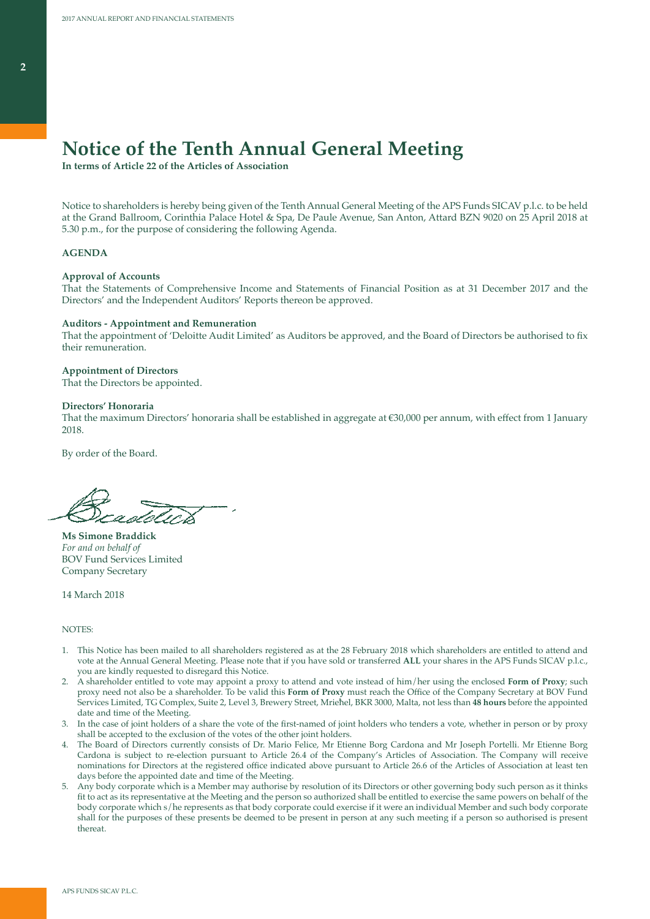# **Notice of the Tenth Annual General Meeting**

**In terms of Article 22 of the Articles of Association**

Notice to shareholders is hereby being given of the Tenth Annual General Meeting of the APS Funds SICAV p.l.c. to be held at the Grand Ballroom, Corinthia Palace Hotel & Spa, De Paule Avenue, San Anton, Attard BZN 9020 on 25 April 2018 at 5.30 p.m., for the purpose of considering the following Agenda.

### **AGENDA**

### **Approval of Accounts**

That the Statements of Comprehensive Income and Statements of Financial Position as at 31 December 2017 and the Directors' and the Independent Auditors' Reports thereon be approved.

#### **Auditors - Appointment and Remuneration**

That the appointment of 'Deloitte Audit Limited' as Auditors be approved, and the Board of Directors be authorised to fix their remuneration.

#### **Appointment of Directors**

That the Directors be appointed.

#### **Directors' Honoraria**

That the maximum Directors' honoraria shall be established in aggregate at €30,000 per annum, with effect from 1 January 2018.

By order of the Board.

**Ms Simone Braddick** *For and on behalf of* BOV Fund Services Limited Company Secretary

14 March 2018

### NOTES:

- 1. This Notice has been mailed to all shareholders registered as at the 28 February 2018 which shareholders are entitled to attend and vote at the Annual General Meeting. Please note that if you have sold or transferred **ALL** your shares in the APS Funds SICAV p.l.c., you are kindly requested to disregard this Notice.
- 2. A shareholder entitled to vote may appoint a proxy to attend and vote instead of him/her using the enclosed **Form of Proxy**; such proxy need not also be a shareholder. To be valid this **Form of Proxy** must reach the Office of the Company Secretary at BOV Fund Services Limited, TG Complex, Suite 2, Level 3, Brewery Street, Mrieħel, BKR 3000, Malta, not less than **48 hours** before the appointed date and time of the Meeting.
- 3. In the case of joint holders of a share the vote of the first-named of joint holders who tenders a vote, whether in person or by proxy shall be accepted to the exclusion of the votes of the other joint holders.
- 4. The Board of Directors currently consists of Dr. Mario Felice, Mr Etienne Borg Cardona and Mr Joseph Portelli. Mr Etienne Borg Cardona is subject to re-election pursuant to Article 26.4 of the Company's Articles of Association. The Company will receive nominations for Directors at the registered office indicated above pursuant to Article 26.6 of the Articles of Association at least ten days before the appointed date and time of the Meeting.
- 5. Any body corporate which is a Member may authorise by resolution of its Directors or other governing body such person as it thinks fit to act as its representative at the Meeting and the person so authorized shall be entitled to exercise the same powers on behalf of the body corporate which s/he represents as that body corporate could exercise if it were an individual Member and such body corporate shall for the purposes of these presents be deemed to be present in person at any such meeting if a person so authorised is present thereat.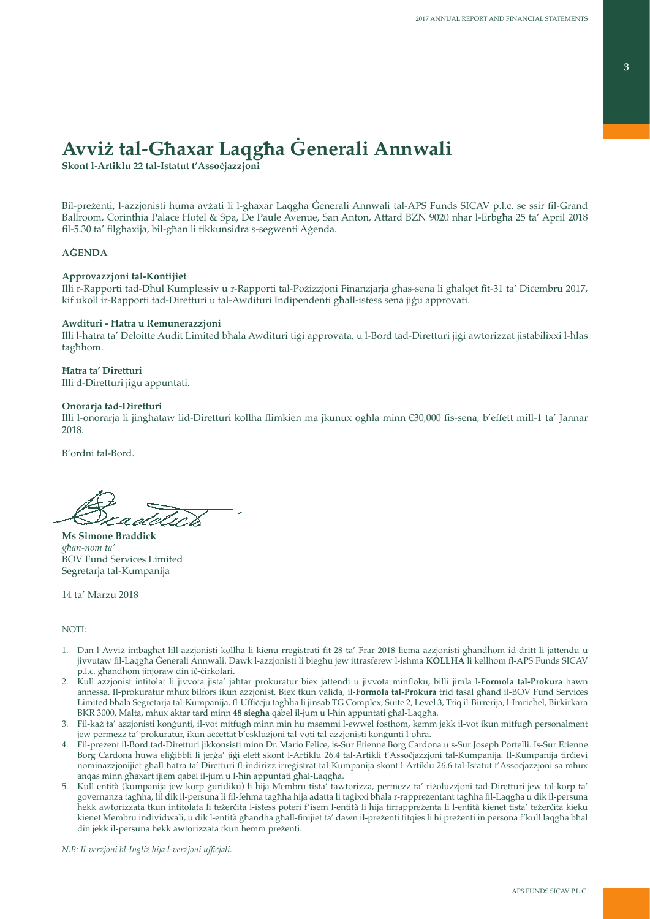# **Avviż tal-Għaxar Laqgħa Ġenerali Annwali**

**Skont l-Artiklu 22 tal-Istatut t'Assoċjazzjoni**

Bil-preżenti, l-azzjonisti huma avżati li l-għaxar Laqgħa Ġenerali Annwali tal-APS Funds SICAV p.l.c. se ssir fil-Grand Ballroom, Corinthia Palace Hotel & Spa, De Paule Avenue, San Anton, Attard BZN 9020 nhar l-Erbgħa 25 ta' April 2018 fil-5.30 ta' filgħaxija, bil-għan li tikkunsidra s-segwenti Aġenda.

# **AĠENDA**

## **Approvazzjoni tal-Kontijiet**

Illi r-Rapporti tad-Dħul Kumplessiv u r-Rapporti tal-Pożizzjoni Finanzjarja għas-sena li għalqet fit-31 ta' Diċembru 2017, kif ukoll ir-Rapporti tad-Diretturi u tal-Awdituri Indipendenti għall-istess sena jiġu approvati.

## **Awdituri - Ħatra u Remunerazzjoni**

Illi l-ħatra ta' Deloitte Audit Limited bħala Awdituri tiġi approvata, u l-Bord tad-Diretturi jiġi awtorizzat jistabilixxi l-ħlas tagħhom.

### **Ħatra ta' Diretturi**

Illi d-Diretturi jiġu appuntati.

### **Onorarja tad-Diretturi**

Illi l-onorarja li jingħataw lid-Diretturi kollha flimkien ma jkunux ogħla minn €30,000 fis-sena, b'effett mill-1 ta' Jannar 2018.

B'ordni tal-Bord.

**Ms Simone Braddick** *għan-nom ta'* BOV Fund Services Limited Segretarja tal-Kumpanija

14 ta' Marzu 2018

## NOTI:

- 1. Dan l-Avviż intbagħat lill-azzjonisti kollha li kienu rreġistrati fit-28 ta' Frar 2018 liema azzjonisti għandhom id-dritt li jattendu u jivvutaw fil-Laqgħa Ġenerali Annwali. Dawk l-azzjonisti li biegħu jew ittrasferew l-ishma **KOLLHA** li kellhom fl-APS Funds SICAV p.l.c. għandhom jinjoraw din iċ-ċirkolari.
- 2. Kull azzjonist intitolat li jivvota jista' jaħtar prokuratur biex jattendi u jivvota minfloku, billi jimla l-**Formola tal-Prokura** hawn annessa. Il-prokuratur mhux bilfors ikun azzjonist. Biex tkun valida, il-**Formola tal-Prokura** trid tasal għand il-BOV Fund Services Limited bħala Segretarja tal-Kumpanija, fl-Uffiċċju tagħha li jinsab TG Complex, Suite 2, Level 3, Triq il-Birrerija, l-Imrieħel, Birkirkara BKR 3000, Malta, mhux aktar tard minn **48 siegħa** qabel il-jum u l-ħin appuntati għal-Laqgħa.
- 3. Fil-każ ta' azzjonisti konġunti, il-vot mitfugħ minn min hu msemmi l-ewwel fosthom, kemm jekk il-vot ikun mitfugħ personalment jew permezz ta' prokuratur, ikun aċċettat b'esklużjoni tal-voti tal-azzjonisti konġunti l-oħra.
- 4. Fil-preżent il-Bord tad-Diretturi jikkonsisti minn Dr. Mario Felice, is-Sur Etienne Borg Cardona u s-Sur Joseph Portelli. Is-Sur Etienne Borg Cardona huwa eliġibbli li jerġa' jiġi elett skont l-Artiklu 26.4 tal-Artikli t'Assoċjazzjoni tal-Kumpanija. Il-Kumpanija tirċievi nominazzjonijiet għall-ħatra ta' Diretturi fl-indirizz irreġistrat tal-Kumpanija skont l-Artiklu 26.6 tal-Istatut t'Assoċjazzjoni sa mhux anqas minn għaxart ijiem qabel il-jum u l-ħin appuntati għal-Laqgħa.
- 5. Kull entità (kumpanija jew korp ġuridiku) li hija Membru tista' tawtorizza, permezz ta' riżoluzzjoni tad-Diretturi jew tal-korp ta' governanza tagħha, lil dik il-persuna li fil-fehma tagħha hija adatta li taġixxi bħala r-rappreżentant tagħha fil-Laqgħa u dik il-persuna hekk awtorizzata tkun intitolata li teżerċita l-istess poteri f'isem l-entità li hija tirrappreżenta li l-entità kienet tista' teżerċita kieku kienet Membru individwali, u dik l-entità għandha għall-finijiet ta' dawn il-preżenti titqies li hi preżenti in persona f'kull laqgħa bħal din jekk il-persuna hekk awtorizzata tkun hemm preżenti.

*N.B: Il-verżjoni bl-Ingliż hija l-verżjoni uffiċjali.*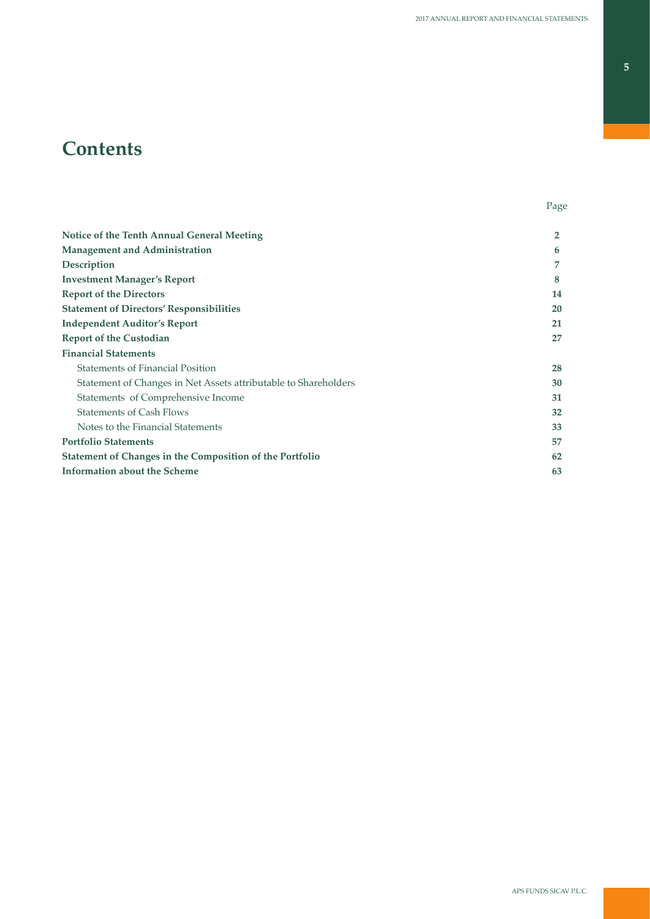# **Contents**

| <b>Notice of the Tenth Annual General Meeting</b>               | $\mathbf{2}$ |
|-----------------------------------------------------------------|--------------|
| <b>Management and Administration</b>                            | 6            |
| Description                                                     | 7            |
| <b>Investment Manager's Report</b>                              | 8            |
| <b>Report of the Directors</b>                                  | 14           |
| <b>Statement of Directors' Responsibilities</b>                 | 20           |
| <b>Independent Auditor's Report</b>                             | 21           |
| <b>Report of the Custodian</b>                                  | 27           |
| <b>Financial Statements</b>                                     |              |
| <b>Statements of Financial Position</b>                         | 28           |
| Statement of Changes in Net Assets attributable to Shareholders | 30           |
| Statements of Comprehensive Income                              | 31           |
| <b>Statements of Cash Flows</b>                                 | 32           |
| Notes to the Financial Statements                               | 33           |
| <b>Portfolio Statements</b>                                     | 57           |
| <b>Statement of Changes in the Composition of the Portfolio</b> | 62           |
| <b>Information about the Scheme</b>                             | 63           |
|                                                                 |              |

e de la provincia de la provincia de la provincia de la provincia de la provincia de la provincia de la provincia de la provincia de la provincia de la provincia de la provincia de la provincia de la provincia de la provin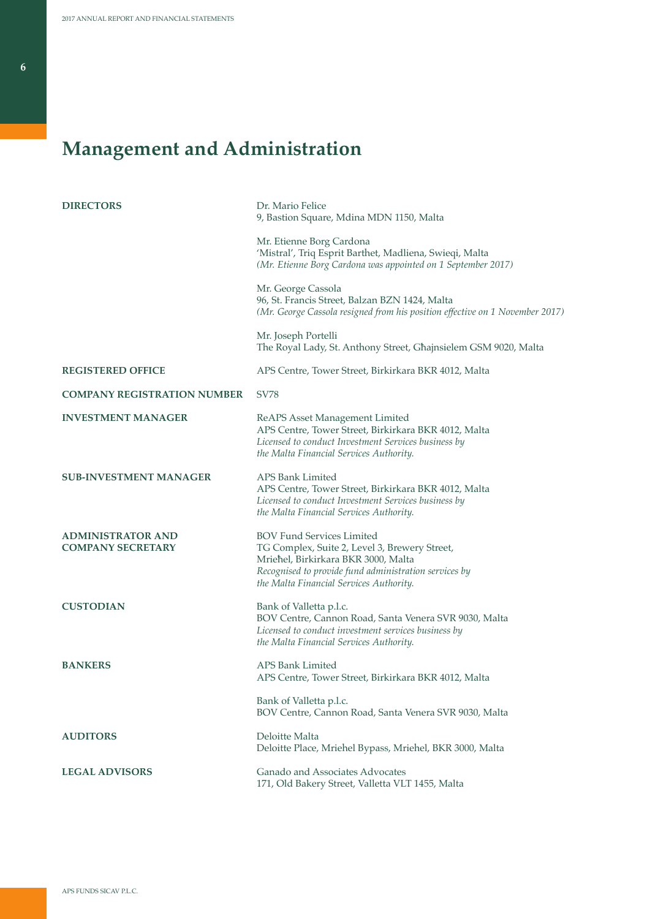# **Management and Administration**

| <b>DIRECTORS</b>                                     | Dr. Mario Felice<br>9, Bastion Square, Mdina MDN 1150, Malta                                                                                                                                                                 |
|------------------------------------------------------|------------------------------------------------------------------------------------------------------------------------------------------------------------------------------------------------------------------------------|
|                                                      | Mr. Etienne Borg Cardona<br>'Mistral', Triq Esprit Barthet, Madliena, Swieqi, Malta<br>(Mr. Etienne Borg Cardona was appointed on 1 September 2017)                                                                          |
|                                                      | Mr. George Cassola<br>96, St. Francis Street, Balzan BZN 1424, Malta<br>(Mr. George Cassola resigned from his position effective on 1 November 2017)                                                                         |
|                                                      | Mr. Joseph Portelli<br>The Royal Lady, St. Anthony Street, Ghajnsielem GSM 9020, Malta                                                                                                                                       |
| <b>REGISTERED OFFICE</b>                             | APS Centre, Tower Street, Birkirkara BKR 4012, Malta                                                                                                                                                                         |
| <b>COMPANY REGISTRATION NUMBER</b>                   | <b>SV78</b>                                                                                                                                                                                                                  |
| <b>INVESTMENT MANAGER</b>                            | ReAPS Asset Management Limited<br>APS Centre, Tower Street, Birkirkara BKR 4012, Malta<br>Licensed to conduct Investment Services business by<br>the Malta Financial Services Authority.                                     |
| <b>SUB-INVESTMENT MANAGER</b>                        | APS Bank Limited<br>APS Centre, Tower Street, Birkirkara BKR 4012, Malta<br>Licensed to conduct Investment Services business by<br>the Malta Financial Services Authority.                                                   |
| <b>ADMINISTRATOR AND</b><br><b>COMPANY SECRETARY</b> | <b>BOV Fund Services Limited</b><br>TG Complex, Suite 2, Level 3, Brewery Street,<br>Mriehel, Birkirkara BKR 3000, Malta<br>Recognised to provide fund administration services by<br>the Malta Financial Services Authority. |
| <b>CUSTODIAN</b>                                     | Bank of Valletta p.l.c.<br>BOV Centre, Cannon Road, Santa Venera SVR 9030, Malta<br>Licensed to conduct investment services business by<br>the Malta Financial Services Authority.                                           |
| <b>BANKERS</b>                                       | APS Bank Limited<br>APS Centre, Tower Street, Birkirkara BKR 4012, Malta                                                                                                                                                     |
|                                                      | Bank of Valletta p.l.c.<br>BOV Centre, Cannon Road, Santa Venera SVR 9030, Malta                                                                                                                                             |
| <b>AUDITORS</b>                                      | Deloitte Malta<br>Deloitte Place, Mriehel Bypass, Mriehel, BKR 3000, Malta                                                                                                                                                   |
| <b>LEGAL ADVISORS</b>                                | Ganado and Associates Advocates<br>171, Old Bakery Street, Valletta VLT 1455, Malta                                                                                                                                          |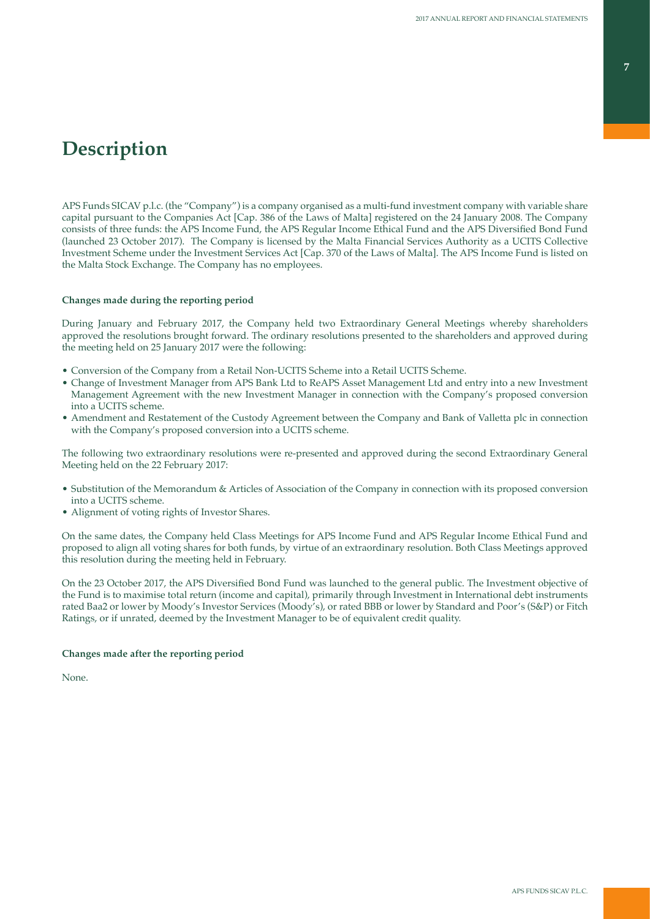# **Description**

APS Funds SICAV p.l.c. (the "Company") is a company organised as a multi-fund investment company with variable share capital pursuant to the Companies Act [Cap. 386 of the Laws of Malta] registered on the 24 January 2008. The Company consists of three funds: the APS Income Fund, the APS Regular Income Ethical Fund and the APS Diversified Bond Fund (launched 23 October 2017). The Company is licensed by the Malta Financial Services Authority as a UCITS Collective Investment Scheme under the Investment Services Act [Cap. 370 of the Laws of Malta]. The APS Income Fund is listed on the Malta Stock Exchange. The Company has no employees.

### **Changes made during the reporting period**

During January and February 2017, the Company held two Extraordinary General Meetings whereby shareholders approved the resolutions brought forward. The ordinary resolutions presented to the shareholders and approved during the meeting held on 25 January 2017 were the following:

- Conversion of the Company from a Retail Non-UCITS Scheme into a Retail UCITS Scheme.
- Change of Investment Manager from APS Bank Ltd to ReAPS Asset Management Ltd and entry into a new Investment Management Agreement with the new Investment Manager in connection with the Company's proposed conversion into a UCITS scheme.
- Amendment and Restatement of the Custody Agreement between the Company and Bank of Valletta plc in connection with the Company's proposed conversion into a UCITS scheme.

The following two extraordinary resolutions were re-presented and approved during the second Extraordinary General Meeting held on the 22 February 2017:

- Substitution of the Memorandum & Articles of Association of the Company in connection with its proposed conversion into a UCITS scheme.
- Alignment of voting rights of Investor Shares.

On the same dates, the Company held Class Meetings for APS Income Fund and APS Regular Income Ethical Fund and proposed to align all voting shares for both funds, by virtue of an extraordinary resolution. Both Class Meetings approved this resolution during the meeting held in February.

On the 23 October 2017, the APS Diversified Bond Fund was launched to the general public. The Investment objective of the Fund is to maximise total return (income and capital), primarily through Investment in International debt instruments rated Baa2 or lower by Moody's Investor Services (Moody's), or rated BBB or lower by Standard and Poor's (S&P) or Fitch Ratings, or if unrated, deemed by the Investment Manager to be of equivalent credit quality.

### **Changes made after the reporting period**

None.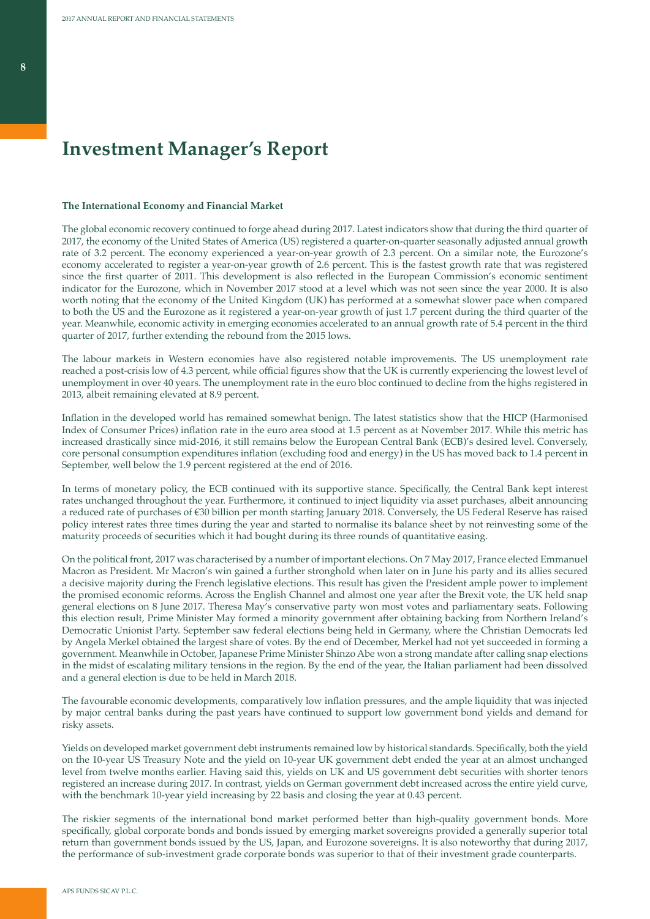# **Investment Manager's Report**

#### **The International Economy and Financial Market**

The global economic recovery continued to forge ahead during 2017. Latest indicators show that during the third quarter of 2017, the economy of the United States of America (US) registered a quarter-on-quarter seasonally adjusted annual growth rate of 3.2 percent. The economy experienced a year-on-year growth of 2.3 percent. On a similar note, the Eurozone's economy accelerated to register a year-on-year growth of 2.6 percent. This is the fastest growth rate that was registered since the first quarter of 2011. This development is also reflected in the European Commission's economic sentiment indicator for the Eurozone, which in November 2017 stood at a level which was not seen since the year 2000. It is also worth noting that the economy of the United Kingdom (UK) has performed at a somewhat slower pace when compared to both the US and the Eurozone as it registered a year-on-year growth of just 1.7 percent during the third quarter of the year. Meanwhile, economic activity in emerging economies accelerated to an annual growth rate of 5.4 percent in the third quarter of 2017, further extending the rebound from the 2015 lows.

The labour markets in Western economies have also registered notable improvements. The US unemployment rate reached a post-crisis low of 4.3 percent, while official figures show that the UK is currently experiencing the lowest level of unemployment in over 40 years. The unemployment rate in the euro bloc continued to decline from the highs registered in 2013, albeit remaining elevated at 8.9 percent.

Inflation in the developed world has remained somewhat benign. The latest statistics show that the HICP (Harmonised Index of Consumer Prices) inflation rate in the euro area stood at 1.5 percent as at November 2017. While this metric has increased drastically since mid-2016, it still remains below the European Central Bank (ECB)'s desired level. Conversely, core personal consumption expenditures inflation (excluding food and energy) in the US has moved back to 1.4 percent in September, well below the 1.9 percent registered at the end of 2016.

In terms of monetary policy, the ECB continued with its supportive stance. Specifically, the Central Bank kept interest rates unchanged throughout the year. Furthermore, it continued to inject liquidity via asset purchases, albeit announcing a reduced rate of purchases of €30 billion per month starting January 2018. Conversely, the US Federal Reserve has raised policy interest rates three times during the year and started to normalise its balance sheet by not reinvesting some of the maturity proceeds of securities which it had bought during its three rounds of quantitative easing.

On the political front, 2017 was characterised by a number of important elections. On 7 May 2017, France elected Emmanuel Macron as President. Mr Macron's win gained a further stronghold when later on in June his party and its allies secured a decisive majority during the French legislative elections. This result has given the President ample power to implement the promised economic reforms. Across the English Channel and almost one year after the Brexit vote, the UK held snap general elections on 8 June 2017. Theresa May's conservative party won most votes and parliamentary seats. Following this election result, Prime Minister May formed a minority government after obtaining backing from Northern Ireland's Democratic Unionist Party. September saw federal elections being held in Germany, where the Christian Democrats led by Angela Merkel obtained the largest share of votes. By the end of December, Merkel had not yet succeeded in forming a government. Meanwhile in October, Japanese Prime Minister Shinzo Abe won a strong mandate after calling snap elections in the midst of escalating military tensions in the region. By the end of the year, the Italian parliament had been dissolved and a general election is due to be held in March 2018.

The favourable economic developments, comparatively low inflation pressures, and the ample liquidity that was injected by major central banks during the past years have continued to support low government bond yields and demand for risky assets.

Yields on developed market government debt instruments remained low by historical standards. Specifically, both the yield on the 10-year US Treasury Note and the yield on 10-year UK government debt ended the year at an almost unchanged level from twelve months earlier. Having said this, yields on UK and US government debt securities with shorter tenors registered an increase during 2017. In contrast, yields on German government debt increased across the entire yield curve, with the benchmark 10-year yield increasing by 22 basis and closing the year at 0.43 percent.

The riskier segments of the international bond market performed better than high-quality government bonds. More specifically, global corporate bonds and bonds issued by emerging market sovereigns provided a generally superior total return than government bonds issued by the US, Japan, and Eurozone sovereigns. It is also noteworthy that during 2017, the performance of sub-investment grade corporate bonds was superior to that of their investment grade counterparts.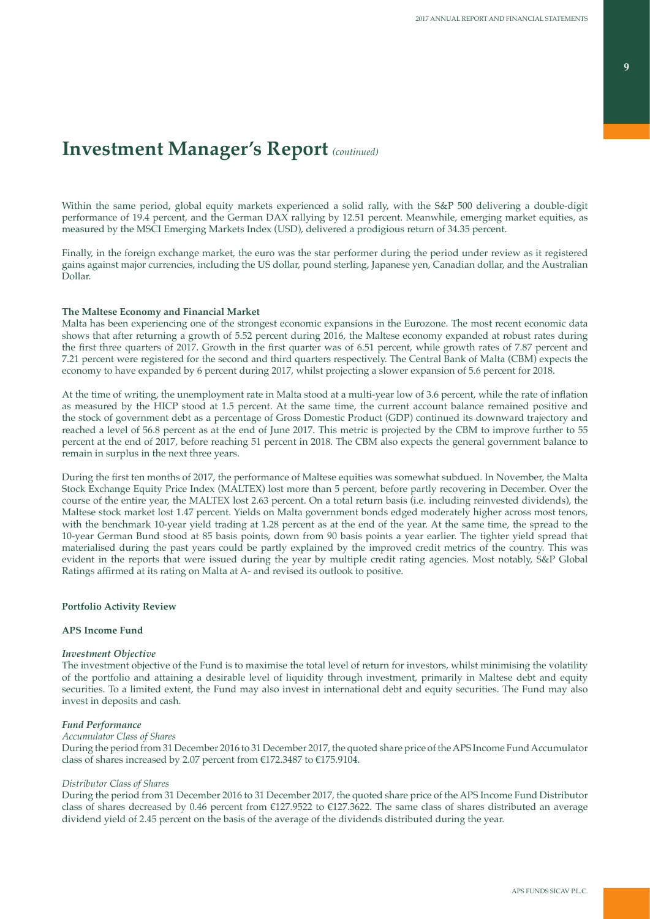Within the same period, global equity markets experienced a solid rally, with the S&P 500 delivering a double-digit performance of 19.4 percent, and the German DAX rallying by 12.51 percent. Meanwhile, emerging market equities, as measured by the MSCI Emerging Markets Index (USD), delivered a prodigious return of 34.35 percent.

Finally, in the foreign exchange market, the euro was the star performer during the period under review as it registered gains against major currencies, including the US dollar, pound sterling, Japanese yen, Canadian dollar, and the Australian Dollar.

### **The Maltese Economy and Financial Market**

Malta has been experiencing one of the strongest economic expansions in the Eurozone. The most recent economic data shows that after returning a growth of 5.52 percent during 2016, the Maltese economy expanded at robust rates during the first three quarters of 2017. Growth in the first quarter was of 6.51 percent, while growth rates of 7.87 percent and 7.21 percent were registered for the second and third quarters respectively. The Central Bank of Malta (CBM) expects the economy to have expanded by 6 percent during 2017, whilst projecting a slower expansion of 5.6 percent for 2018.

At the time of writing, the unemployment rate in Malta stood at a multi-year low of 3.6 percent, while the rate of inflation as measured by the HICP stood at 1.5 percent. At the same time, the current account balance remained positive and the stock of government debt as a percentage of Gross Domestic Product (GDP) continued its downward trajectory and reached a level of 56.8 percent as at the end of June 2017. This metric is projected by the CBM to improve further to 55 percent at the end of 2017, before reaching 51 percent in 2018. The CBM also expects the general government balance to remain in surplus in the next three years.

During the first ten months of 2017, the performance of Maltese equities was somewhat subdued. In November, the Malta Stock Exchange Equity Price Index (MALTEX) lost more than 5 percent, before partly recovering in December. Over the course of the entire year, the MALTEX lost 2.63 percent. On a total return basis (i.e. including reinvested dividends), the Maltese stock market lost 1.47 percent. Yields on Malta government bonds edged moderately higher across most tenors, with the benchmark 10-year yield trading at 1.28 percent as at the end of the year. At the same time, the spread to the 10-year German Bund stood at 85 basis points, down from 90 basis points a year earlier. The tighter yield spread that materialised during the past years could be partly explained by the improved credit metrics of the country. This was evident in the reports that were issued during the year by multiple credit rating agencies. Most notably, S&P Global Ratings affirmed at its rating on Malta at A- and revised its outlook to positive.

## **Portfolio Activity Review**

### **APS Income Fund**

### *Investment Objective*

The investment objective of the Fund is to maximise the total level of return for investors, whilst minimising the volatility of the portfolio and attaining a desirable level of liquidity through investment, primarily in Maltese debt and equity securities. To a limited extent, the Fund may also invest in international debt and equity securities. The Fund may also invest in deposits and cash.

### *Fund Performance*

## *Accumulator Class of Shares*

During the period from 31 December 2016 to 31 December 2017, the quoted share price of the APS Income Fund Accumulator class of shares increased by 2.07 percent from  $£172.3487$  to  $£175.9104$ .

### *Distributor Class of Shares*

During the period from 31 December 2016 to 31 December 2017, the quoted share price of the APS Income Fund Distributor class of shares decreased by 0.46 percent from  $\epsilon$ 127.9522 to  $\epsilon$ 127.3622. The same class of shares distributed an average dividend yield of 2.45 percent on the basis of the average of the dividends distributed during the year.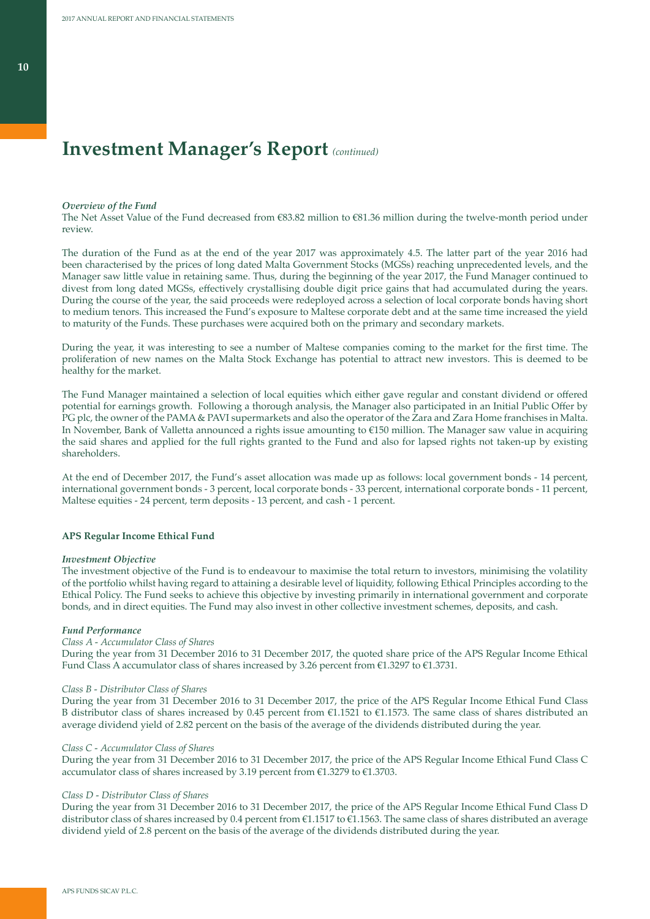### *Overview of the Fund*

The Net Asset Value of the Fund decreased from €83.82 million to €81.36 million during the twelve-month period under review.

The duration of the Fund as at the end of the year 2017 was approximately 4.5. The latter part of the year 2016 had been characterised by the prices of long dated Malta Government Stocks (MGSs) reaching unprecedented levels, and the Manager saw little value in retaining same. Thus, during the beginning of the year 2017, the Fund Manager continued to divest from long dated MGSs, effectively crystallising double digit price gains that had accumulated during the years. During the course of the year, the said proceeds were redeployed across a selection of local corporate bonds having short to medium tenors. This increased the Fund's exposure to Maltese corporate debt and at the same time increased the yield to maturity of the Funds. These purchases were acquired both on the primary and secondary markets.

During the year, it was interesting to see a number of Maltese companies coming to the market for the first time. The proliferation of new names on the Malta Stock Exchange has potential to attract new investors. This is deemed to be healthy for the market.

The Fund Manager maintained a selection of local equities which either gave regular and constant dividend or offered potential for earnings growth. Following a thorough analysis, the Manager also participated in an Initial Public Offer by PG plc, the owner of the PAMA & PAVI supermarkets and also the operator of the Zara and Zara Home franchises in Malta. In November, Bank of Valletta announced a rights issue amounting to €150 million. The Manager saw value in acquiring the said shares and applied for the full rights granted to the Fund and also for lapsed rights not taken-up by existing shareholders.

At the end of December 2017, the Fund's asset allocation was made up as follows: local government bonds - 14 percent, international government bonds - 3 percent, local corporate bonds - 33 percent, international corporate bonds - 11 percent, Maltese equities - 24 percent, term deposits - 13 percent, and cash - 1 percent.

### **APS Regular Income Ethical Fund**

#### *Investment Objective*

The investment objective of the Fund is to endeavour to maximise the total return to investors, minimising the volatility of the portfolio whilst having regard to attaining a desirable level of liquidity, following Ethical Principles according to the Ethical Policy. The Fund seeks to achieve this objective by investing primarily in international government and corporate bonds, and in direct equities. The Fund may also invest in other collective investment schemes, deposits, and cash.

### *Fund Performance*

### *Class A - Accumulator Class of Shares*

During the year from 31 December 2016 to 31 December 2017, the quoted share price of the APS Regular Income Ethical Fund Class A accumulator class of shares increased by 3.26 percent from  $\epsilon$ 1.3297 to  $\epsilon$ 1.3731.

#### *Class B - Distributor Class of Shares*

During the year from 31 December 2016 to 31 December 2017, the price of the APS Regular Income Ethical Fund Class B distributor class of shares increased by 0.45 percent from  $\epsilon$ 1.1521 to  $\epsilon$ 1.1573. The same class of shares distributed an average dividend yield of 2.82 percent on the basis of the average of the dividends distributed during the year.

### *Class C - Accumulator Class of Shares*

During the year from 31 December 2016 to 31 December 2017, the price of the APS Regular Income Ethical Fund Class C accumulator class of shares increased by 3.19 percent from €1.3279 to €1.3703.

#### *Class D - Distributor Class of Shares*

During the year from 31 December 2016 to 31 December 2017, the price of the APS Regular Income Ethical Fund Class D distributor class of shares increased by 0.4 percent from €1.1517 to €1.1563. The same class of shares distributed an average dividend yield of 2.8 percent on the basis of the average of the dividends distributed during the year.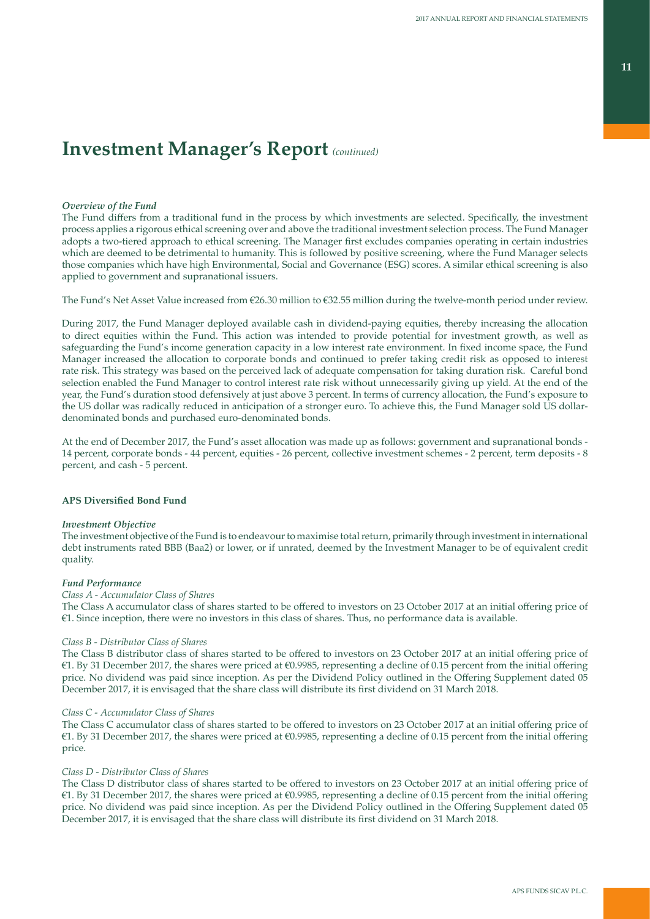### *Overview of the Fund*

The Fund differs from a traditional fund in the process by which investments are selected. Specifically, the investment process applies a rigorous ethical screening over and above the traditional investment selection process. The Fund Manager adopts a two-tiered approach to ethical screening. The Manager first excludes companies operating in certain industries which are deemed to be detrimental to humanity. This is followed by positive screening, where the Fund Manager selects those companies which have high Environmental, Social and Governance (ESG) scores. A similar ethical screening is also applied to government and supranational issuers.

The Fund's Net Asset Value increased from €26.30 million to €32.55 million during the twelve-month period under review.

During 2017, the Fund Manager deployed available cash in dividend-paying equities, thereby increasing the allocation to direct equities within the Fund. This action was intended to provide potential for investment growth, as well as safeguarding the Fund's income generation capacity in a low interest rate environment. In fixed income space, the Fund Manager increased the allocation to corporate bonds and continued to prefer taking credit risk as opposed to interest rate risk. This strategy was based on the perceived lack of adequate compensation for taking duration risk. Careful bond selection enabled the Fund Manager to control interest rate risk without unnecessarily giving up yield. At the end of the year, the Fund's duration stood defensively at just above 3 percent. In terms of currency allocation, the Fund's exposure to the US dollar was radically reduced in anticipation of a stronger euro. To achieve this, the Fund Manager sold US dollardenominated bonds and purchased euro-denominated bonds.

At the end of December 2017, the Fund's asset allocation was made up as follows: government and supranational bonds - 14 percent, corporate bonds - 44 percent, equities - 26 percent, collective investment schemes - 2 percent, term deposits - 8 percent, and cash - 5 percent.

### **APS Diversified Bond Fund**

### *Investment Objective*

The investment objective of the Fund is to endeavour to maximise total return, primarily through investment in international debt instruments rated BBB (Baa2) or lower, or if unrated, deemed by the Investment Manager to be of equivalent credit quality.

### *Fund Performance*

## *Class A - Accumulator Class of Shares*

The Class A accumulator class of shares started to be offered to investors on 23 October 2017 at an initial offering price of €1. Since inception, there were no investors in this class of shares. Thus, no performance data is available.

### *Class B - Distributor Class of Shares*

The Class B distributor class of shares started to be offered to investors on 23 October 2017 at an initial offering price of €1. By 31 December 2017, the shares were priced at €0.9985, representing a decline of 0.15 percent from the initial offering price. No dividend was paid since inception. As per the Dividend Policy outlined in the Offering Supplement dated 05 December 2017, it is envisaged that the share class will distribute its first dividend on 31 March 2018.

### *Class C - Accumulator Class of Shares*

The Class C accumulator class of shares started to be offered to investors on 23 October 2017 at an initial offering price of €1. By 31 December 2017, the shares were priced at €0.9985, representing a decline of 0.15 percent from the initial offering price.

### *Class D - Distributor Class of Shares*

The Class D distributor class of shares started to be offered to investors on 23 October 2017 at an initial offering price of €1. By 31 December 2017, the shares were priced at €0.9985, representing a decline of 0.15 percent from the initial offering price. No dividend was paid since inception. As per the Dividend Policy outlined in the Offering Supplement dated 05 December 2017, it is envisaged that the share class will distribute its first dividend on 31 March 2018.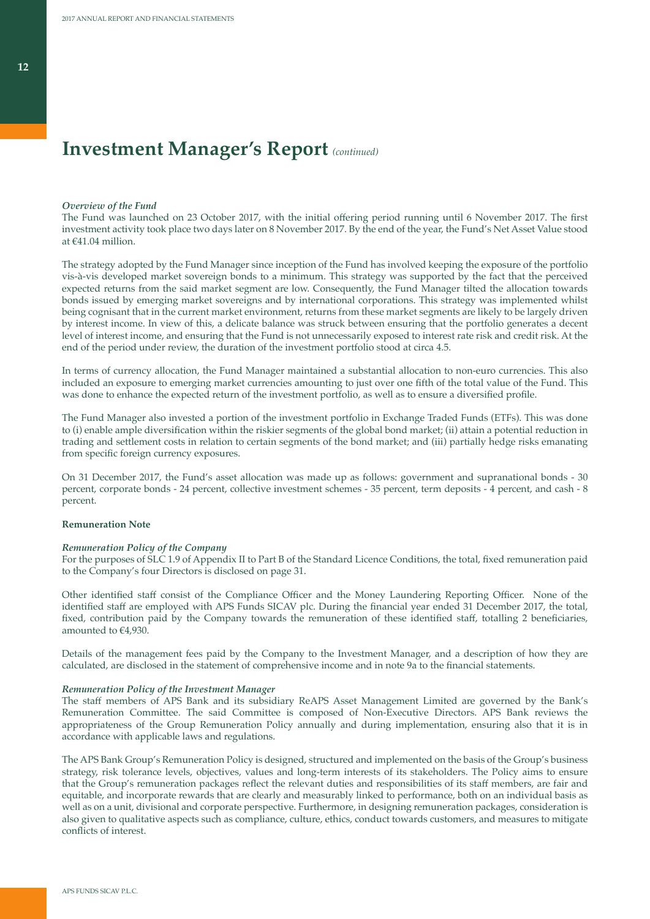### *Overview of the Fund*

The Fund was launched on 23 October 2017, with the initial offering period running until 6 November 2017. The first investment activity took place two days later on 8 November 2017. By the end of the year, the Fund's Net Asset Value stood at €41.04 million.

The strategy adopted by the Fund Manager since inception of the Fund has involved keeping the exposure of the portfolio vis-à-vis developed market sovereign bonds to a minimum. This strategy was supported by the fact that the perceived expected returns from the said market segment are low. Consequently, the Fund Manager tilted the allocation towards bonds issued by emerging market sovereigns and by international corporations. This strategy was implemented whilst being cognisant that in the current market environment, returns from these market segments are likely to be largely driven by interest income. In view of this, a delicate balance was struck between ensuring that the portfolio generates a decent level of interest income, and ensuring that the Fund is not unnecessarily exposed to interest rate risk and credit risk. At the end of the period under review, the duration of the investment portfolio stood at circa 4.5.

In terms of currency allocation, the Fund Manager maintained a substantial allocation to non-euro currencies. This also included an exposure to emerging market currencies amounting to just over one fifth of the total value of the Fund. This was done to enhance the expected return of the investment portfolio, as well as to ensure a diversified profile.

The Fund Manager also invested a portion of the investment portfolio in Exchange Traded Funds (ETFs). This was done to (i) enable ample diversification within the riskier segments of the global bond market; (ii) attain a potential reduction in trading and settlement costs in relation to certain segments of the bond market; and (iii) partially hedge risks emanating from specific foreign currency exposures.

On 31 December 2017, the Fund's asset allocation was made up as follows: government and supranational bonds - 30 percent, corporate bonds - 24 percent, collective investment schemes - 35 percent, term deposits - 4 percent, and cash - 8 percent.

### **Remuneration Note**

### *Remuneration Policy of the Company*

For the purposes of SLC 1.9 of Appendix II to Part B of the Standard Licence Conditions, the total, fixed remuneration paid to the Company's four Directors is disclosed on page 31.

Other identified staff consist of the Compliance Officer and the Money Laundering Reporting Officer. None of the identified staff are employed with APS Funds SICAV plc. During the financial year ended 31 December 2017, the total, fixed, contribution paid by the Company towards the remuneration of these identified staff, totalling 2 beneficiaries, amounted to €4,930.

Details of the management fees paid by the Company to the Investment Manager, and a description of how they are calculated, are disclosed in the statement of comprehensive income and in note 9a to the financial statements.

### *Remuneration Policy of the Investment Manager*

The staff members of APS Bank and its subsidiary ReAPS Asset Management Limited are governed by the Bank's Remuneration Committee. The said Committee is composed of Non-Executive Directors. APS Bank reviews the appropriateness of the Group Remuneration Policy annually and during implementation, ensuring also that it is in accordance with applicable laws and regulations.

The APS Bank Group's Remuneration Policy is designed, structured and implemented on the basis of the Group's business strategy, risk tolerance levels, objectives, values and long-term interests of its stakeholders. The Policy aims to ensure that the Group's remuneration packages reflect the relevant duties and responsibilities of its staff members, are fair and equitable, and incorporate rewards that are clearly and measurably linked to performance, both on an individual basis as well as on a unit, divisional and corporate perspective. Furthermore, in designing remuneration packages, consideration is also given to qualitative aspects such as compliance, culture, ethics, conduct towards customers, and measures to mitigate conflicts of interest.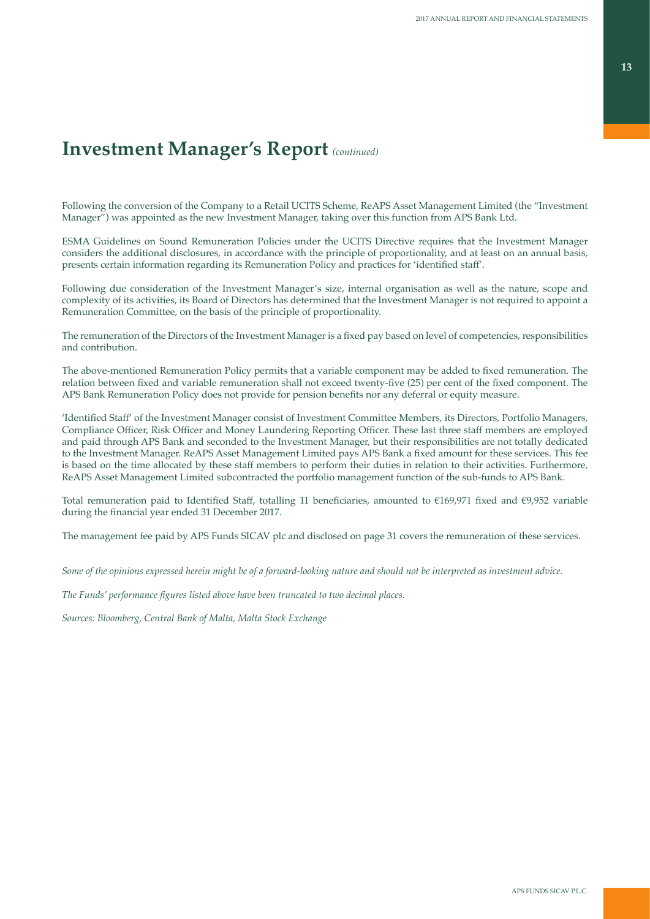**13**

# **Investment Manager's Report** *(continued)*

Following the conversion of the Company to a Retail UCITS Scheme, ReAPS Asset Management Limited (the "Investment Manager") was appointed as the new Investment Manager, taking over this function from APS Bank Ltd.

ESMA Guidelines on Sound Remuneration Policies under the UCITS Directive requires that the Investment Manager considers the additional disclosures, in accordance with the principle of proportionality, and at least on an annual basis, presents certain information regarding its Remuneration Policy and practices for 'identified staff'.

Following due consideration of the Investment Manager's size, internal organisation as well as the nature, scope and complexity of its activities, its Board of Directors has determined that the Investment Manager is not required to appoint a Remuneration Committee, on the basis of the principle of proportionality.

The remuneration of the Directors of the Investment Manager is a fixed pay based on level of competencies, responsibilities and contribution.

The above-mentioned Remuneration Policy permits that a variable component may be added to fixed remuneration. The relation between fixed and variable remuneration shall not exceed twenty-five (25) per cent of the fixed component. The APS Bank Remuneration Policy does not provide for pension benefits nor any deferral or equity measure.

'Identified Staff' of the Investment Manager consist of Investment Committee Members, its Directors, Portfolio Managers, Compliance Officer, Risk Officer and Money Laundering Reporting Officer. These last three staff members are employed and paid through APS Bank and seconded to the Investment Manager, but their responsibilities are not totally dedicated to the Investment Manager. ReAPS Asset Management Limited pays APS Bank a fixed amount for these services. This fee is based on the time allocated by these staff members to perform their duties in relation to their activities. Furthermore, ReAPS Asset Management Limited subcontracted the portfolio management function of the sub-funds to APS Bank.

Total remuneration paid to Identified Staff, totalling 11 beneficiaries, amounted to €169,971 fixed and €9,952 variable during the financial year ended 31 December 2017.

The management fee paid by APS Funds SICAV plc and disclosed on page 31 covers the remuneration of these services.

*Some of the opinions expressed herein might be of a forward-looking nature and should not be interpreted as investment advice.*

*The Funds' performance figures listed above have been truncated to two decimal places.* 

*Sources: Bloomberg, Central Bank of Malta, Malta Stock Exchange*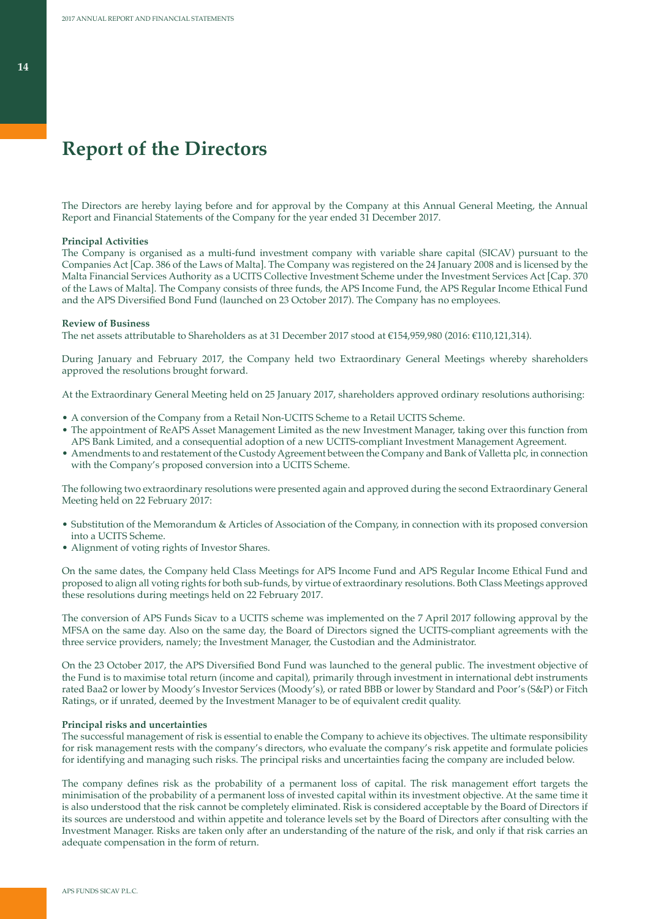# **Report of the Directors**

The Directors are hereby laying before and for approval by the Company at this Annual General Meeting, the Annual Report and Financial Statements of the Company for the year ended 31 December 2017.

#### **Principal Activities**

The Company is organised as a multi-fund investment company with variable share capital (SICAV) pursuant to the Companies Act [Cap. 386 of the Laws of Malta]. The Company was registered on the 24 January 2008 and is licensed by the Malta Financial Services Authority as a UCITS Collective Investment Scheme under the Investment Services Act [Cap. 370 of the Laws of Malta]. The Company consists of three funds, the APS Income Fund, the APS Regular Income Ethical Fund and the APS Diversified Bond Fund (launched on 23 October 2017). The Company has no employees.

#### **Review of Business**

The net assets attributable to Shareholders as at 31 December 2017 stood at €154,959,980 (2016: €110,121,314).

During January and February 2017, the Company held two Extraordinary General Meetings whereby shareholders approved the resolutions brought forward.

At the Extraordinary General Meeting held on 25 January 2017, shareholders approved ordinary resolutions authorising:

- A conversion of the Company from a Retail Non-UCITS Scheme to a Retail UCITS Scheme.
- The appointment of ReAPS Asset Management Limited as the new Investment Manager, taking over this function from APS Bank Limited, and a consequential adoption of a new UCITS-compliant Investment Management Agreement.
- Amendments to and restatement of the Custody Agreement between the Company and Bank of Valletta plc, in connection with the Company's proposed conversion into a UCITS Scheme.

The following two extraordinary resolutions were presented again and approved during the second Extraordinary General Meeting held on 22 February 2017:

- Substitution of the Memorandum & Articles of Association of the Company, in connection with its proposed conversion into a UCITS Scheme.
- Alignment of voting rights of Investor Shares.

On the same dates, the Company held Class Meetings for APS Income Fund and APS Regular Income Ethical Fund and proposed to align all voting rights for both sub-funds, by virtue of extraordinary resolutions. Both Class Meetings approved these resolutions during meetings held on 22 February 2017.

The conversion of APS Funds Sicav to a UCITS scheme was implemented on the 7 April 2017 following approval by the MFSA on the same day. Also on the same day, the Board of Directors signed the UCITS-compliant agreements with the three service providers, namely; the Investment Manager, the Custodian and the Administrator.

On the 23 October 2017, the APS Diversified Bond Fund was launched to the general public. The investment objective of the Fund is to maximise total return (income and capital), primarily through investment in international debt instruments rated Baa2 or lower by Moody's Investor Services (Moody's), or rated BBB or lower by Standard and Poor's (S&P) or Fitch Ratings, or if unrated, deemed by the Investment Manager to be of equivalent credit quality.

### **Principal risks and uncertainties**

The successful management of risk is essential to enable the Company to achieve its objectives. The ultimate responsibility for risk management rests with the company's directors, who evaluate the company's risk appetite and formulate policies for identifying and managing such risks. The principal risks and uncertainties facing the company are included below.

The company defines risk as the probability of a permanent loss of capital. The risk management effort targets the minimisation of the probability of a permanent loss of invested capital within its investment objective. At the same time it is also understood that the risk cannot be completely eliminated. Risk is considered acceptable by the Board of Directors if its sources are understood and within appetite and tolerance levels set by the Board of Directors after consulting with the Investment Manager. Risks are taken only after an understanding of the nature of the risk, and only if that risk carries an adequate compensation in the form of return.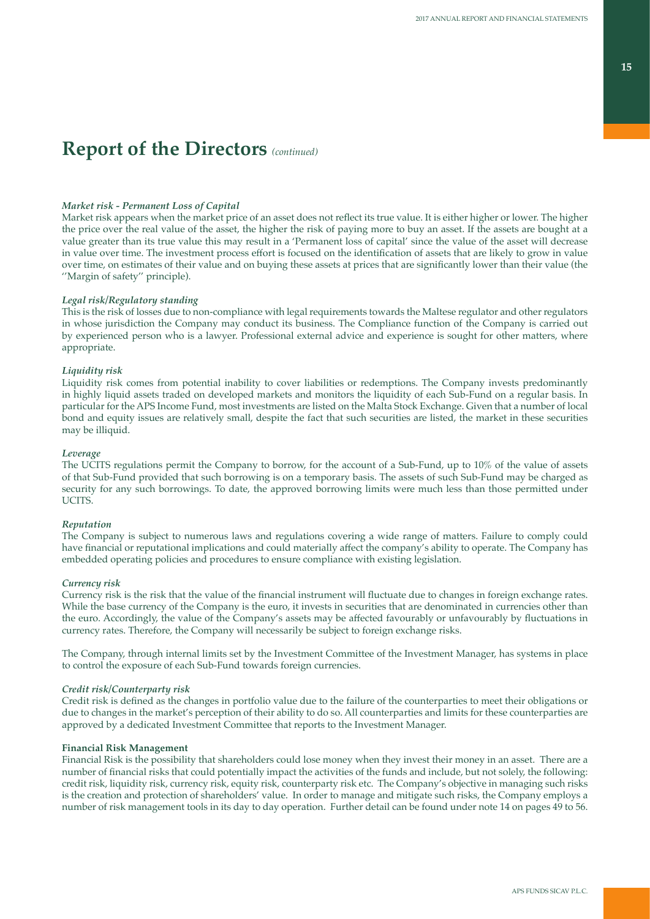# **Report of the Directors** *(continued)*

### *Market risk - Permanent Loss of Capital*

Market risk appears when the market price of an asset does not reflect its true value. It is either higher or lower. The higher the price over the real value of the asset, the higher the risk of paying more to buy an asset. If the assets are bought at a value greater than its true value this may result in a 'Permanent loss of capital' since the value of the asset will decrease in value over time. The investment process effort is focused on the identification of assets that are likely to grow in value over time, on estimates of their value and on buying these assets at prices that are significantly lower than their value (the ''Margin of safety'' principle).

### *Legal risk/Regulatory standing*

This is the risk of losses due to non-compliance with legal requirements towards the Maltese regulator and other regulators in whose jurisdiction the Company may conduct its business. The Compliance function of the Company is carried out by experienced person who is a lawyer. Professional external advice and experience is sought for other matters, where appropriate.

### *Liquidity risk*

Liquidity risk comes from potential inability to cover liabilities or redemptions. The Company invests predominantly in highly liquid assets traded on developed markets and monitors the liquidity of each Sub-Fund on a regular basis. In particular for the APS Income Fund, most investments are listed on the Malta Stock Exchange. Given that a number of local bond and equity issues are relatively small, despite the fact that such securities are listed, the market in these securities may be illiquid.

### *Leverage*

The UCITS regulations permit the Company to borrow, for the account of a Sub-Fund, up to 10% of the value of assets of that Sub-Fund provided that such borrowing is on a temporary basis. The assets of such Sub-Fund may be charged as security for any such borrowings. To date, the approved borrowing limits were much less than those permitted under UCITS.

### *Reputation*

The Company is subject to numerous laws and regulations covering a wide range of matters. Failure to comply could have financial or reputational implications and could materially affect the company's ability to operate. The Company has embedded operating policies and procedures to ensure compliance with existing legislation.

### *Currency risk*

Currency risk is the risk that the value of the financial instrument will fluctuate due to changes in foreign exchange rates. While the base currency of the Company is the euro, it invests in securities that are denominated in currencies other than the euro. Accordingly, the value of the Company's assets may be affected favourably or unfavourably by fluctuations in currency rates. Therefore, the Company will necessarily be subject to foreign exchange risks.

The Company, through internal limits set by the Investment Committee of the Investment Manager, has systems in place to control the exposure of each Sub-Fund towards foreign currencies.

### *Credit risk/Counterparty risk*

Credit risk is defined as the changes in portfolio value due to the failure of the counterparties to meet their obligations or due to changes in the market's perception of their ability to do so. All counterparties and limits for these counterparties are approved by a dedicated Investment Committee that reports to the Investment Manager.

### **Financial Risk Management**

Financial Risk is the possibility that shareholders could lose money when they invest their money in an asset. There are a number of financial risks that could potentially impact the activities of the funds and include, but not solely, the following: credit risk, liquidity risk, currency risk, equity risk, counterparty risk etc. The Company's objective in managing such risks is the creation and protection of shareholders' value. In order to manage and mitigate such risks, the Company employs a number of risk management tools in its day to day operation. Further detail can be found under note 14 on pages 49 to 56.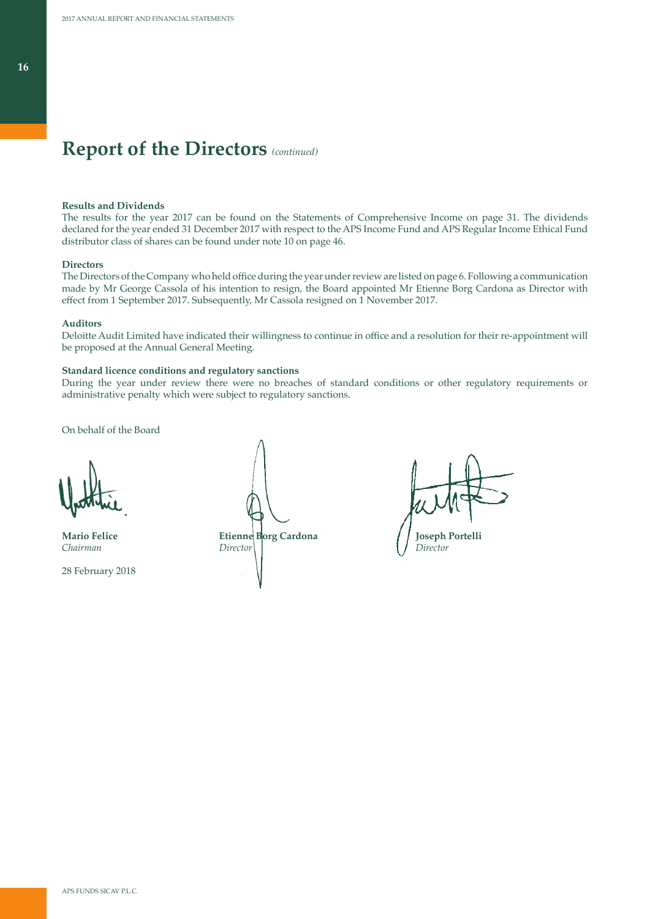# **Report of the Directors** *(continued)*

### **Results and Dividends**

The results for the year 2017 can be found on the Statements of Comprehensive Income on page 31. The dividends declared for the year ended 31 December 2017 with respect to the APS Income Fund and APS Regular Income Ethical Fund distributor class of shares can be found under note 10 on page 46.

### **Directors**

The Directors of the Company who held office during the year under review are listed on page 6. Following a communication made by Mr George Cassola of his intention to resign, the Board appointed Mr Etienne Borg Cardona as Director with effect from 1 September 2017. Subsequently, Mr Cassola resigned on 1 November 2017.

#### **Auditors**

Deloitte Audit Limited have indicated their willingness to continue in office and a resolution for their re-appointment will be proposed at the Annual General Meeting.

### **Standard licence conditions and regulatory sanctions**

During the year under review there were no breaches of standard conditions or other regulatory requirements or administrative penalty which were subject to regulatory sanctions.

On behalf of the Board

28 February 2018

**Mario Felice Etienne Borg Cardona (1996)** Joseph Portelli<br> *Chairman* Director (2007) Director *Chairman Director Director*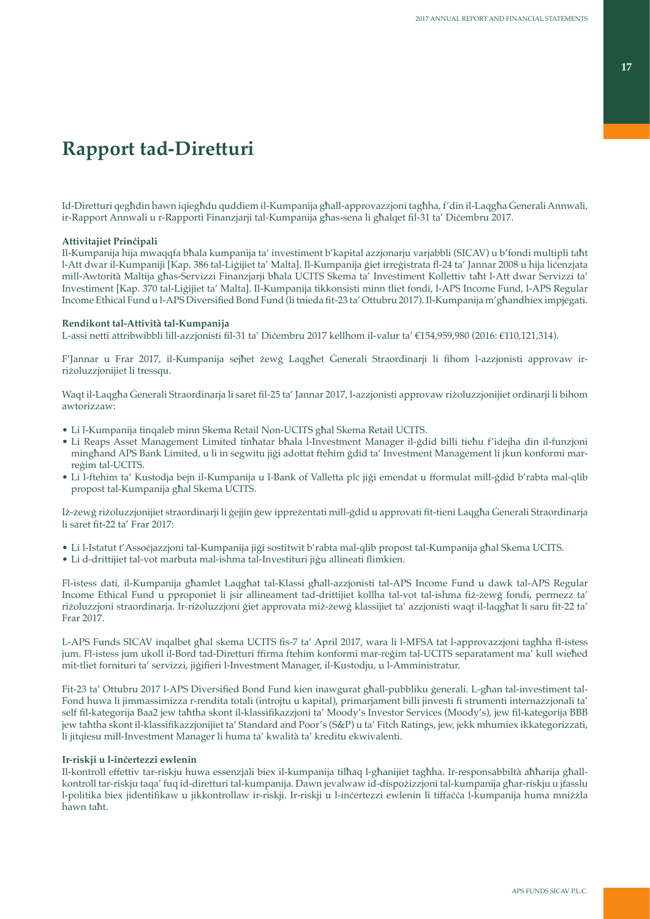# **Rapport tad-Diretturi**

Id-Diretturi qegħdin hawn iqiegħdu quddiem il-Kumpanija għall-approvazzjoni tagħha, f'din il-Laqgħa Ġenerali Annwali, ir-Rapport Annwali u r-Rapporti Finanzjarji tal-Kumpanija għas-sena li għalqet fil-31 ta' Diċembru 2017.

### **Attivitajiet Prinċipali**

Il-Kumpanija hija mwaqqfa bħala kumpanija ta' investiment b'kapital azzjonarju varjabbli (SICAV) u b'fondi multipli taħt l-Att dwar il-Kumpaniji [Kap. 386 tal-Liġijiet ta' Malta]. Il-Kumpanija ġiet irreġistrata fl-24 ta' Jannar 2008 u hija liċenzjata mill-Awtorità Maltija għas-Servizzi Finanzjarji bħala UCITS Skema ta' Investiment Kollettiv taħt l-Att dwar Servizzi ta' Investiment [Kap. 370 tal-Liġijiet ta' Malta]. Il-Kumpanija tikkonsisti minn tliet fondi, l-APS Income Fund, l-APS Regular Income Ethical Fund u l-APS Diversified Bond Fund (li tnieda fit-23 ta' Ottubru 2017). Il-Kumpanija m'għandhiex impjegati.

## **Rendikont tal-Attività tal-Kumpanija**

L-assi netti attribwibbli lill-azzjonisti fil-31 ta' Diċembru 2017 kellhom il-valur ta' €154,959,980 (2016: €110,121,314).

F'Jannar u Frar 2017, il-Kumpanija sejħet żewġ Laqgħet Ġenerali Straordinarji li fihom l-azzjonisti approvaw irriżoluzzjonijiet li tressqu.

Waqt il-Laqgħa Ġenerali Straordinarja li saret fil-25 ta' Jannar 2017, l-azzjonisti approvaw riżoluzzjonijiet ordinarji li bihom awtorizzaw:

- Li l-Kumpanija tinqaleb minn Skema Retail Non-UCITS għal Skema Retail UCITS.
- Li Reaps Asset Management Limited tinħatar bħala l-Investment Manager il-ġdid billi tieħu f'idejha din il-funzjoni mingħand APS Bank Limited, u li in segwitu jiġi adottat ftehim ġdid ta' Investment Management li jkun konformi marreġim tal-UCITS.
- Li l-ftehim ta' Kustodja bejn il-Kumpanija u l-Bank of Valletta plc jiġi emendat u fformulat mill-ġdid b'rabta mal-qlib propost tal-Kumpanija għal Skema UCITS.

Iż-żewġ riżoluzzjonijiet straordinarji li ġejjin ġew ippreżentati mill-ġdid u approvati fit-tieni Laqgħa Ġenerali Straordinarja li saret fit-22 ta' Frar 2017:

- Li l-Istatut t'Assoċjazzjoni tal-Kumpanija jiġi sostitwit b'rabta mal-qlib propost tal-Kumpanija għal Skema UCITS.
- Li d-drittijiet tal-vot marbuta mal-ishma tal-Investituri jiġu allineati flimkien.

Fl-istess dati, il-Kumpanija għamlet Laqgħat tal-Klassi għall-azzjonisti tal-APS Income Fund u dawk tal-APS Regular Income Ethical Fund u pproponiet li jsir allineament tad-drittijiet kollha tal-vot tal-ishma fiż-żewġ fondi, permezz ta' riżoluzzjoni straordinarja. Ir-riżoluzzjoni ġiet approvata miż-żewġ klassijiet ta' azzjonisti waqt il-laqgħat li saru fit-22 ta' Frar 2017.

L-APS Funds SICAV inqalbet għal skema UCITS fis-7 ta' April 2017, wara li l-MFSA tat l-approvazzjoni tagħha fl-istess jum. Fl-istess jum ukoll il-Bord tad-Diretturi ffirma ftehim konformi mar-reġim tal-UCITS separatament ma' kull wieħed mit-tliet fornituri ta' servizzi, jiġifieri l-Investment Manager, il-Kustodju, u l-Amministratur.

Fit-23 ta' Ottubru 2017 l-APS Diversified Bond Fund kien inawgurat għall-pubbliku ġenerali. L-għan tal-investiment tal-Fond huwa li jimmassimizza r-rendita totali (introjtu u kapital), primarjament billi jinvesti fi strumenti internazzjonali ta' self fil-kategorija Baa2 jew taħtha skont il-klassifikazzjoni ta' Moody's Investor Services (Moody's), jew fil-kategorija BBB jew taħtha skont il-klassifikazzjonijiet ta' Standard and Poor's (S&P) u ta' Fitch Ratings, jew, jekk mhumiex ikkategorizzati, li jitqiesu mill-Investment Manager li huma ta' kwalità ta' kreditu ekwivalenti.

## **Ir-riskji u l-inċertezzi ewlenin**

Il-kontroll effettiv tar-riskju huwa essenzjali biex il-kumpanija tilħaq l-għanijiet tagħha. Ir-responsabbiltà aħħarija għallkontroll tar-riskju taqa' fuq id-diretturi tal-kumpanija. Dawn jevalwaw id-dispożizzjoni tal-kumpanija għar-riskju u jfasslu l-politika biex jidentifikaw u jikkontrollaw ir-riskji. Ir-riskji u l-inċertezzi ewlenin li tiffaċċa l-kumpanija huma mniżżla hawn taħt.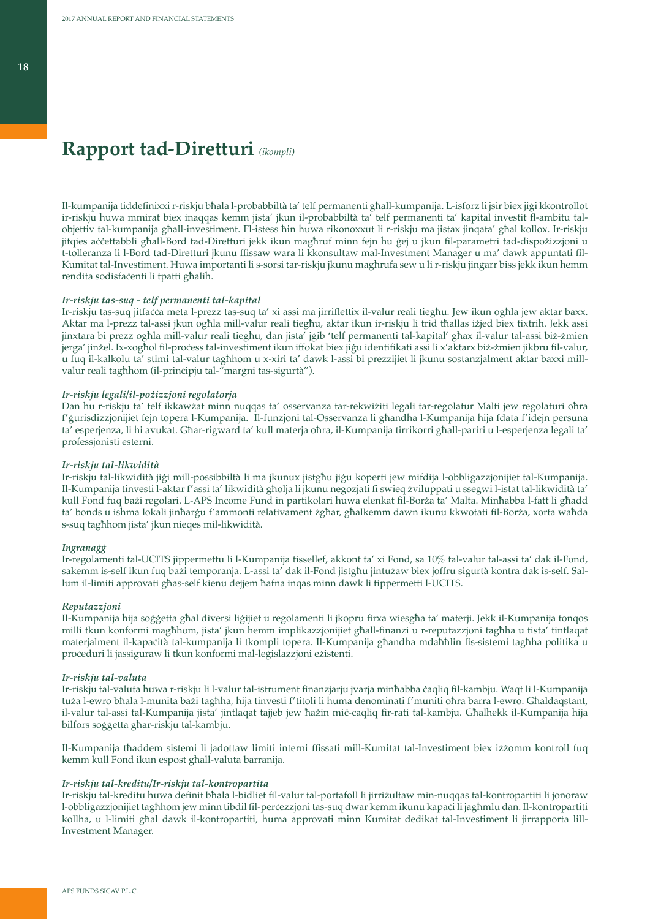# **Rapport tad-Diretturi** *(ikompli)*

Il-kumpanija tiddefinixxi r-riskju bħala l-probabbiltà ta' telf permanenti għall-kumpanija. L-isforz li jsir biex jiġi kkontrollot ir-riskju huwa mmirat biex inaqqas kemm jista' jkun il-probabbiltà ta' telf permanenti ta' kapital investit fl-ambitu talobjettiv tal-kumpanija għall-investiment. Fl-istess ħin huwa rikonoxxut li r-riskju ma jistax jinqata' għal kollox. Ir-riskju jitqies aċċettabbli għall-Bord tad-Diretturi jekk ikun magħruf minn fejn hu ġej u jkun fil-parametri tad-dispożizzjoni u t-tolleranza li l-Bord tad-Diretturi jkunu ffissaw wara li kkonsultaw mal-Investment Manager u ma' dawk appuntati fil-Kumitat tal-Investiment. Huwa importanti li s-sorsi tar-riskju jkunu magħrufa sew u li r-riskju jinġarr biss jekk ikun hemm rendita sodisfaċenti li tpatti għalih.

#### *Ir-riskju tas-suq - telf permanenti tal-kapital*

Ir-riskju tas-suq jitfaċċa meta l-prezz tas-suq ta' xi assi ma jirriflettix il-valur reali tiegħu. Jew ikun ogħla jew aktar baxx. Aktar ma l-prezz tal-assi jkun ogħla mill-valur reali tiegħu, aktar ikun ir-riskju li trid tħallas iżjed biex tixtrih. Jekk assi jinxtara bi prezz ogħla mill-valur reali tiegħu, dan jista' jġib 'telf permanenti tal-kapital' għax il-valur tal-assi biż-żmien jerga' jinżel. Ix-xogħol fil-proċess tal-investiment ikun iffokat biex jiġu identifikati assi li x'aktarx biż-żmien jikbru fil-valur, u fuq il-kalkolu ta' stimi tal-valur tagħhom u x-xiri ta' dawk l-assi bi prezzijiet li jkunu sostanzjalment aktar baxxi millvalur reali tagħhom (il-prinċipju tal-"marġni tas-sigurtà").

### *Ir-riskju legali/il-pożizzjoni regolatorja*

Dan hu r-riskju ta' telf ikkawżat minn nuqqas ta' osservanza tar-rekwiżiti legali tar-regolatur Malti jew regolaturi oħra f'ġurisdizzjonijiet fejn topera l-Kumpanija. Il-funzjoni tal-Osservanza li għandha l-Kumpanija hija fdata f'idejn persuna ta' esperjenza, li hi avukat. Għar-rigward ta' kull materja oħra, il-Kumpanija tirrikorri għall-pariri u l-esperjenza legali ta' professjonisti esterni.

### *Ir-riskju tal-likwidità*

Ir-riskju tal-likwidità jiġi mill-possibbiltà li ma jkunux jistgħu jiġu koperti jew mifdija l-obbligazzjonijiet tal-Kumpanija. Il-Kumpanija tinvesti l-aktar f'assi ta' likwidità għolja li jkunu negozjati fi swieq żviluppati u ssegwi l-istat tal-likwidità ta' kull Fond fuq bażi regolari. L-APS Income Fund in partikolari huwa elenkat fil-Borża ta' Malta. Minħabba l-fatt li għadd ta' bonds u ishma lokali jinħarġu f'ammonti relativament żgħar, għalkemm dawn ikunu kkwotati fil-Borża, xorta waħda s-suq tagħhom jista' jkun nieqes mil-likwidità.

### *Ingranaġġ*

Ir-regolamenti tal-UCITS jippermettu li l-Kumpanija tissellef, akkont ta' xi Fond, sa 10% tal-valur tal-assi ta' dak il-Fond, sakemm is-self ikun fuq bażi temporanja. L-assi ta' dak il-Fond jistgħu jintużaw biex joffru sigurtà kontra dak is-self. Sallum il-limiti approvati għas-self kienu dejjem ħafna inqas minn dawk li tippermetti l-UCITS.

#### *Reputazzjoni*

Il-Kumpanija hija soġġetta għal diversi liġijiet u regolamenti li jkopru firxa wiesgħa ta' materji. Jekk il-Kumpanija tonqos milli tkun konformi magħhom, jista' jkun hemm implikazzjonijiet għall-finanzi u r-reputazzjoni tagħha u tista' tintlaqat materjalment il-kapaċità tal-kumpanija li tkompli topera. Il-Kumpanija għandha mdaħħlin fis-sistemi tagħha politika u proċeduri li jassiguraw li tkun konformi mal-leġislazzjoni eżistenti.

### *Ir-riskju tal-valuta*

Ir-riskju tal-valuta huwa r-riskju li l-valur tal-istrument finanzjarju jvarja minħabba ċaqliq fil-kambju. Waqt li l-Kumpanija tuża l-ewro bħala l-munita bażi tagħha, hija tinvesti f'titoli li huma denominati f'muniti oħra barra l-ewro. Għaldaqstant, il-valur tal-assi tal-Kumpanija jista' jintlaqat tajjeb jew ħażin miċ-caqliq fir-rati tal-kambju. Għalhekk il-Kumpanija hija bilfors soġġetta għar-riskju tal-kambju.

Il-Kumpanija tħaddem sistemi li jadottaw limiti interni ffissati mill-Kumitat tal-Investiment biex iżżomm kontroll fuq kemm kull Fond ikun espost għall-valuta barranija.

### *Ir-riskju tal-kreditu/Ir-riskju tal-kontropartita*

Ir-riskju tal-kreditu huwa definit bħala l-bidliet fil-valur tal-portafoll li jirriżultaw min-nuqqas tal-kontropartiti li jonoraw l-obbligazzjonijiet tagħhom jew minn tibdil fil-perċezzjoni tas-suq dwar kemm ikunu kapaċi li jagħmlu dan. Il-kontropartiti kollha, u l-limiti għal dawk il-kontropartiti, huma approvati minn Kumitat dedikat tal-Investiment li jirrapporta lill-Investment Manager.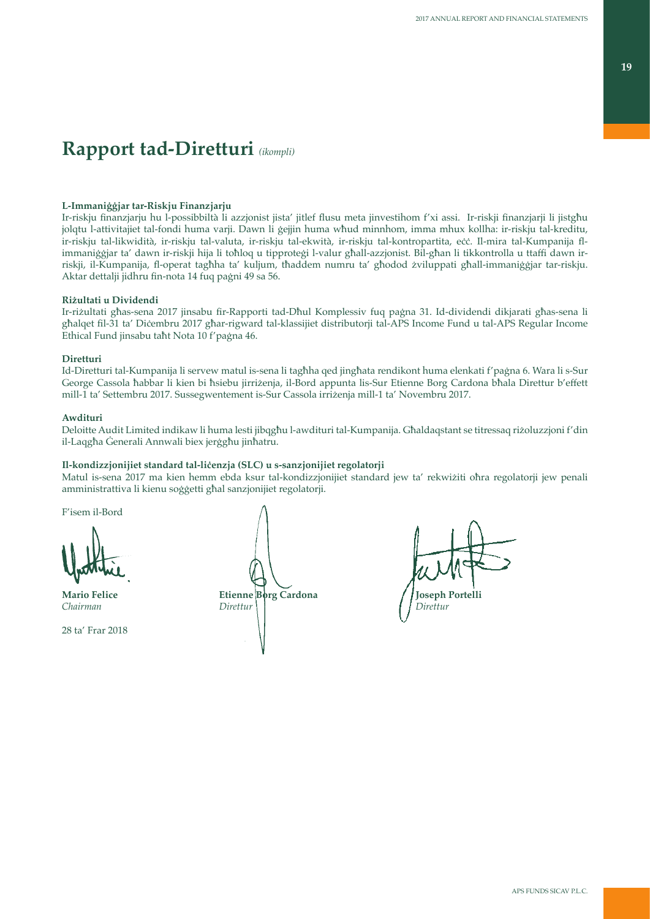# **Rapport tad-Diretturi** *(ikompli)*

## **L-Immaniġġjar tar-Riskju Finanzjarju**

Ir-riskju finanzjarju hu l-possibbiltà li azzjonist jista' jitlef flusu meta jinvestihom f'xi assi. Ir-riskji finanzjarji li jistgħu jolqtu l-attivitajiet tal-fondi huma varji. Dawn li ġejjin huma wħud minnhom, imma mhux kollha: ir-riskju tal-kreditu, ir-riskju tal-likwidità, ir-riskju tal-valuta, ir-riskju tal-ekwità, ir-riskju tal-kontropartita, eċċ. Il-mira tal-Kumpanija flimmaniġġjar ta' dawn ir-riskji hija li toħloq u tipproteġi l-valur għall-azzjonist. Bil-għan li tikkontrolla u ttaffi dawn irriskji, il-Kumpanija, fl-operat tagħha ta' kuljum, tħaddem numru ta' għodod żviluppati għall-immaniġġjar tar-riskju. Aktar dettalji jidhru fin-nota 14 fuq paġni 49 sa 56.

### **Riżultati u Dividendi**

Ir-riżultati għas-sena 2017 jinsabu fir-Rapporti tad-Dħul Komplessiv fuq paġna 31. Id-dividendi dikjarati għas-sena li għalqet fil-31 ta' Diċembru 2017 għar-rigward tal-klassijiet distributorji tal-APS Income Fund u tal-APS Regular Income Ethical Fund jinsabu taħt Nota 10 f'paġna 46.

### **Diretturi**

Id-Diretturi tal-Kumpanija li servew matul is-sena li tagħha qed jingħata rendikont huma elenkati f'paġna 6. Wara li s-Sur George Cassola ħabbar li kien bi ħsiebu jirriżenja, il-Bord appunta lis-Sur Etienne Borg Cardona bħala Direttur b'effett mill-1 ta' Settembru 2017. Sussegwentement is-Sur Cassola irriżenja mill-1 ta' Novembru 2017.

### **Awdituri**

Deloitte Audit Limited indikaw li huma lesti jibqgħu l-awdituri tal-Kumpanija. Għaldaqstant se titressaq riżoluzzjoni f'din il-Laqgħa Ġenerali Annwali biex jerġgħu jinħatru.

### **Il-kondizzjonijiet standard tal-liċenzja (SLC) u s-sanzjonijiet regolatorji**

Matul is-sena 2017 ma kien hemm ebda ksur tal-kondizzjonijiet standard jew ta' rekwiżiti oħra regolatorji jew penali amministrattiva li kienu soġġetti għal sanzjonijiet regolatorji.

F'isem il-Bord

28 ta' Frar 2018

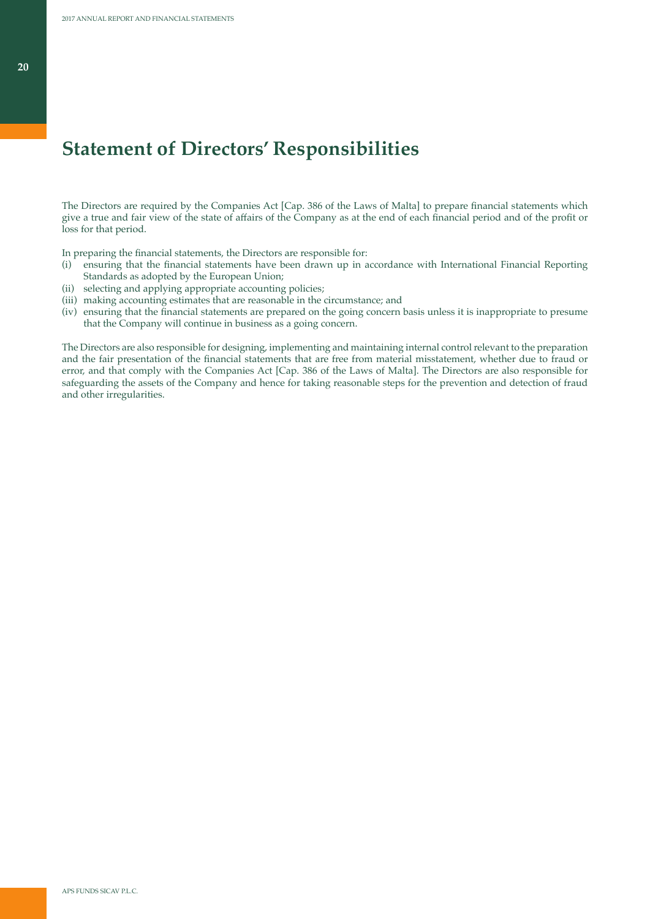# **Statement of Directors' Responsibilities**

The Directors are required by the Companies Act [Cap. 386 of the Laws of Malta] to prepare financial statements which give a true and fair view of the state of affairs of the Company as at the end of each financial period and of the profit or loss for that period.

In preparing the financial statements, the Directors are responsible for:

- (i) ensuring that the financial statements have been drawn up in accordance with International Financial Reporting Standards as adopted by the European Union;
- (ii) selecting and applying appropriate accounting policies;
- (iii) making accounting estimates that are reasonable in the circumstance; and
- (iv) ensuring that the financial statements are prepared on the going concern basis unless it is inappropriate to presume that the Company will continue in business as a going concern.

The Directors are also responsible for designing, implementing and maintaining internal control relevant to the preparation and the fair presentation of the financial statements that are free from material misstatement, whether due to fraud or error, and that comply with the Companies Act [Cap. 386 of the Laws of Malta]. The Directors are also responsible for safeguarding the assets of the Company and hence for taking reasonable steps for the prevention and detection of fraud and other irregularities.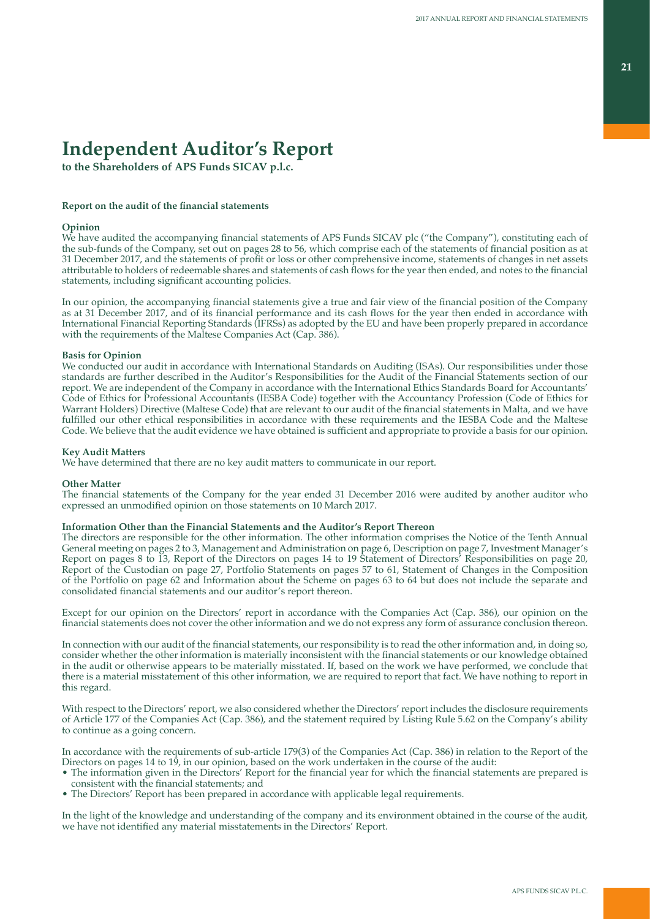# **Independent Auditor's Report**

**to the Shareholders of APS Funds SICAV p.l.c.**

### **Report on the audit of the financial statements**

### **Opinion**

We have audited the accompanying financial statements of APS Funds SICAV plc ("the Company"), constituting each of the sub-funds of the Company, set out on pages 28 to 56, which comprise each of the statements of financial position as at 31 December 2017, and the statements of profit or loss or other comprehensive income, statements of changes in net assets attributable to holders of redeemable shares and statements of cash flows for the year then ended, and notes to the financial statements, including significant accounting policies.

In our opinion, the accompanying financial statements give a true and fair view of the financial position of the Company as at 31 December 2017, and of its financial performance and its cash flows for the year then ended in accordance with International Financial Reporting Standards (IFRSs) as adopted by the EU and have been properly prepared in accordance with the requirements of the Maltese Companies Act (Cap. 386).

### **Basis for Opinion**

We conducted our audit in accordance with International Standards on Auditing (ISAs). Our responsibilities under those standards are further described in the Auditor's Responsibilities for the Audit of the Financial Statements section of our report. We are independent of the Company in accordance with the International Ethics Standards Board for Accountants' Code of Ethics for Professional Accountants (IESBA Code) together with the Accountancy Profession (Code of Ethics for Warrant Holders) Directive (Maltese Code) that are relevant to our audit of the financial statements in Malta, and we have fulfilled our other ethical responsibilities in accordance with these requirements and the IESBA Code and the Maltese Code. We believe that the audit evidence we have obtained is sufficient and appropriate to provide a basis for our opinion.

### **Key Audit Matters**

We have determined that there are no key audit matters to communicate in our report.

### **Other Matter**

The financial statements of the Company for the year ended 31 December 2016 were audited by another auditor who expressed an unmodified opinion on those statements on 10 March 2017.

### **Information Other than the Financial Statements and the Auditor's Report Thereon**

The directors are responsible for the other information. The other information comprises the Notice of the Tenth Annual General meeting on pages 2 to 3, Management and Administration on page 6, Description on page 7, Investment Manager's Report on pages 8 to 13, Report of the Directors on pages 14 to 19 Statement of Directors' Responsibilities on page 20, Report of the Custodian on page 27, Portfolio Statements on pages 57 to 61, Statement of Changes in the Composition of the Portfolio on page 62 and Information about the Scheme on pages 63 to 64 but does not include the separate and consolidated financial statements and our auditor's report thereon.

Except for our opinion on the Directors' report in accordance with the Companies Act (Cap. 386), our opinion on the financial statements does not cover the other information and we do not express any form of assurance conclusion thereon.

In connection with our audit of the financial statements, our responsibility is to read the other information and, in doing so, consider whether the other information is materially inconsistent with the financial statements or our knowledge obtained in the audit or otherwise appears to be materially misstated. If, based on the work we have performed, we conclude that there is a material misstatement of this other information, we are required to report that fact. We have nothing to report in this regard.

With respect to the Directors' report, we also considered whether the Directors' report includes the disclosure requirements of Article 177 of the Companies Act (Cap. 386), and the statement required by Listing Rule 5.62 on the Company's ability to continue as a going concern.

In accordance with the requirements of sub-article 179(3) of the Companies Act (Cap. 386) in relation to the Report of the Directors on pages 14 to 19, in our opinion, based on the work underfaken in the course of the audit:

- The information given in the Directors' Report for the financial year for which the financial statements are prepared is consistent with the financial statements; and
- The Directors' Report has been prepared in accordance with applicable legal requirements.

In the light of the knowledge and understanding of the company and its environment obtained in the course of the audit, we have not identified any material misstatements in the Directors' Report.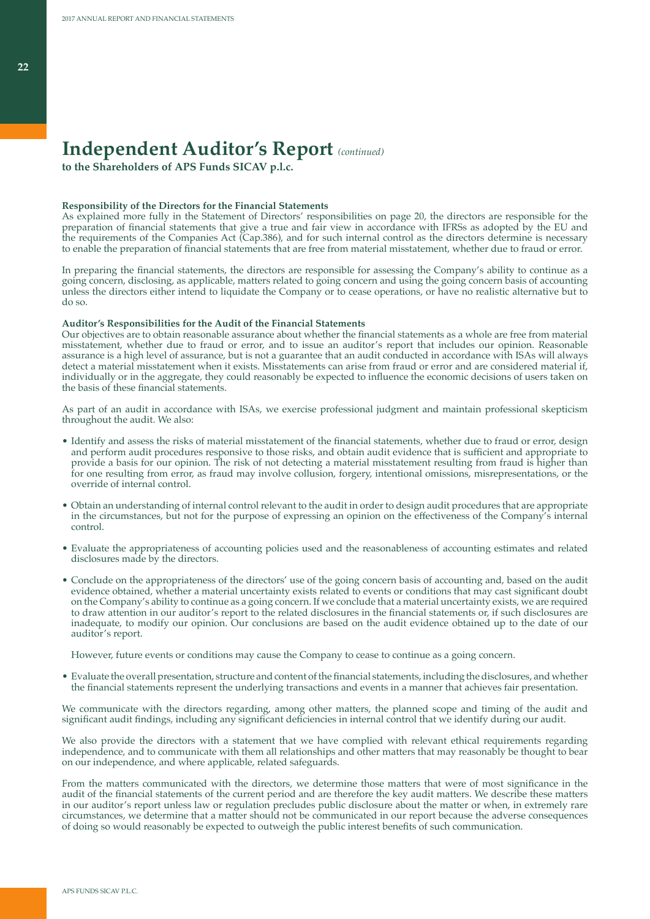# **Independent Auditor's Report** *(continued)*

**to the Shareholders of APS Funds SICAV p.l.c.**

### **Responsibility of the Directors for the Financial Statements**

As explained more fully in the Statement of Directors' responsibilities on page 20, the directors are responsible for the preparation of financial statements that give a true and fair view in accordance with IFRSs as adopted by the EU and the requirements of the Companies Act (Cap.386), and for such internal control as the directors determine is necessary to enable the preparation of financial statements that are free from material misstatement, whether due to fraud or error.

In preparing the financial statements, the directors are responsible for assessing the Company's ability to continue as a going concern, disclosing, as applicable, matters related to going concern and using the going concern basis of accounting unless the directors either intend to liquidate the Company or to cease operations, or have no realistic alternative but to do so.

### **Auditor's Responsibilities for the Audit of the Financial Statements**

Our objectives are to obtain reasonable assurance about whether the financial statements as a whole are free from material misstatement, whether due to fraud or error, and to issue an auditor's report that includes our opinion. Reasonable assurance is a high level of assurance, but is not a guarantee that an audit conducted in accordance with ISAs will always detect a material misstatement when it exists. Misstatements can arise from fraud or error and are considered material if, individually or in the aggregate, they could reasonably be expected to influence the economic decisions of users taken on the basis of these financial statements.

As part of an audit in accordance with ISAs, we exercise professional judgment and maintain professional skepticism throughout the audit. We also:

- Identify and assess the risks of material misstatement of the financial statements, whether due to fraud or error, design and perform audit procedures responsive to those risks, and obtain audit evidence that is sufficient and appropriate to provide a basis for our opinion. The risk of not detecting a material misstatement resulting from fraud is higher than for one resulting from error, as fraud may involve collusion, forgery, intentional omissions, misrepresentations, or the override of internal control.
- Obtain an understanding of internal control relevant to the audit in order to design audit procedures that are appropriate in the circumstances, but not for the purpose of expressing an opinion on the effectiveness of the Company's internal control.
- Evaluate the appropriateness of accounting policies used and the reasonableness of accounting estimates and related disclosures made by the directors.
- Conclude on the appropriateness of the directors' use of the going concern basis of accounting and, based on the audit evidence obtained, whether a material uncertainty exists related to events or conditions that may cast significant doubt on the Company's ability to continue as a going concern. If we conclude that a material uncertainty exists, we are required to draw attention in our auditor's report to the related disclosures in the financial statements or, if such disclosures are inadequate, to modify our opinion. Our conclusions are based on the audit evidence obtained up to the date of our auditor's report.

However, future events or conditions may cause the Company to cease to continue as a going concern.

• Evaluate the overall presentation, structure and content of the financial statements, including the disclosures, and whether the financial statements represent the underlying transactions and events in a manner that achieves fair presentation.

We communicate with the directors regarding, among other matters, the planned scope and timing of the audit and significant audit findings, including any significant deficiencies in internal control that we identify during our audit.

We also provide the directors with a statement that we have complied with relevant ethical requirements regarding independence, and to communicate with them all relationships and other matters that may reasonably be thought to bear on our independence, and where applicable, related safeguards.

From the matters communicated with the directors, we determine those matters that were of most significance in the audit of the financial statements of the current period and are therefore the key audit matters. We describe these matters in our auditor's report unless law or regulation precludes public disclosure about the matter or when, in extremely rare circumstances, we determine that a matter should not be communicated in our report because the adverse consequences of doing so would reasonably be expected to outweigh the public interest benefits of such communication.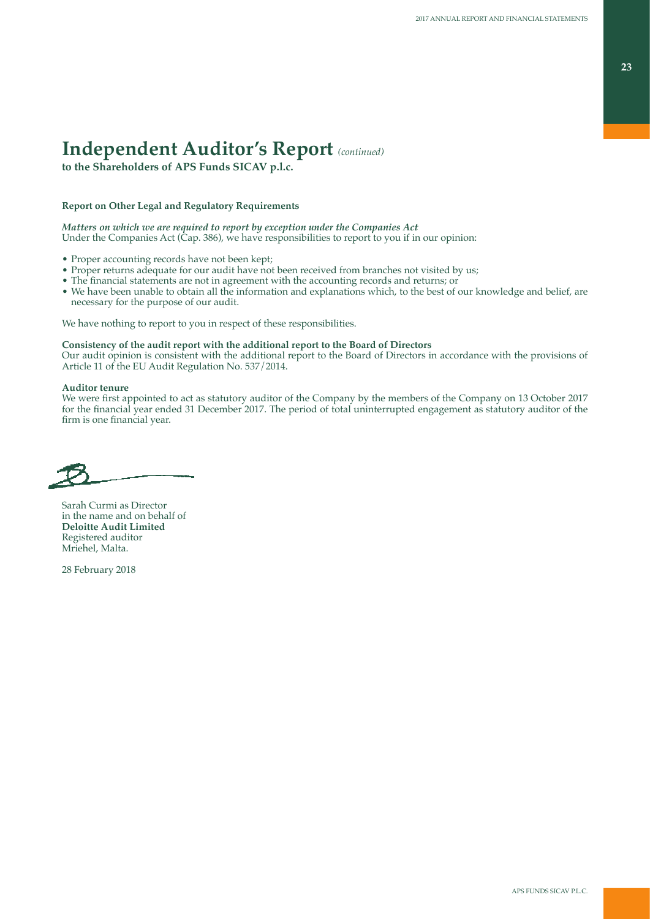# **Independent Auditor's Report** *(continued)*

**to the Shareholders of APS Funds SICAV p.l.c.**

## **Report on Other Legal and Regulatory Requirements**

*Matters on which we are required to report by exception under the Companies Act* Under the Companies Act (Cap. 386), we have responsibilities to report to you if in our opinion:

- Proper accounting records have not been kept;
- Proper returns adequate for our audit have not been received from branches not visited by us;
- The financial statements are not in agreement with the accounting records and returns; or
- We have been unable to obtain all the information and explanations which, to the best of our knowledge and belief, are necessary for the purpose of our audit.

We have nothing to report to you in respect of these responsibilities.

### **Consistency of the audit report with the additional report to the Board of Directors**

Our audit opinion is consistent with the additional report to the Board of Directors in accordance with the provisions of Article 11 of the EU Audit Regulation No. 537/2014.

### **Auditor tenure**

We were first appointed to act as statutory auditor of the Company by the members of the Company on 13 October 2017 for the financial year ended 31 December 2017. The period of total uninterrupted engagement as statutory auditor of the firm is one financial year.

Sarah Curmi as Director in the name and on behalf of **Deloitte Audit Limited** Registered auditor Mriehel, Malta.

28 February 2018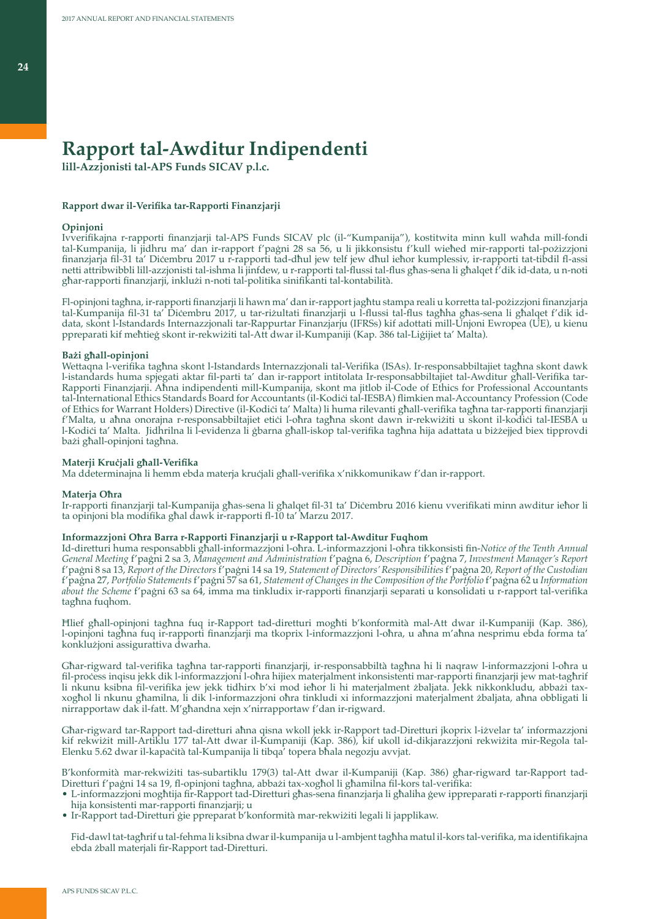# **Rapport tal-Awditur Indipendenti**

**lill-Azzjonisti tal-APS Funds SICAV p.l.c.**

#### **Rapport dwar il-Verifika tar-Rapporti Finanzjarji**

### **Opinjoni**

Ivverifikajna r-rapporti finanzjarji tal-APS Funds SICAV plc (il-"Kumpanija"), kostitwita minn kull waħda mill-fondi tal-Kumpanija, li jidhru ma' dan ir-rapport f'paġni 28 sa 56, u li jikkonsistu f'kull wieħed mir-rapporti tal-pożizzjoni finanzjarja fil-31 ta' Diċembru 2017 u r-rapporti tad-dħul jew telf jew dħul ieħor kumplessiv, ir-rapporti tat-tibdil fl-assi netti attribwibbli lill-azzjonisti tal-ishma li jinfdew, u r-rapporti tal-flussi tal-flus għas-sena li għalqet f'dik id-data, u n-noti għar-rapporti finanzjarji, inklużi n-noti tal-politika sinifikanti tal-kontabilità.

Fl-opinjoni tagħna, ir-rapporti finanzjarji li hawn ma' dan ir-rapport jagħtu stampa reali u korretta tal-pożizzjoni finanzjarja tal-Kumpanija fil-31 ta' Diċembru 2017, u tar-riżultati finanzjarji u l-flussi tal-flus tagħha għas-sena li għalqet f'dik iddata, skont l-Istandards Internazzjonali tar-Rappurtar Finanzjarju (IFRSs) kif adottati mill-Unjoni Ewropea (UE), u kienu ppreparati kif meħtieġ skont ir-rekwiżiti tal-Att dwar il-Kumpaniji (Kap. 386 tal-Liġijiet ta' Malta).

### **Bażi għall-opinjoni**

Wettaqna l-verifika tagħna skont l-Istandards Internazzjonali tal-Verifika (ISAs). Ir-responsabbiltajiet tagħna skont dawk l-istandards huma spjegati aktar fil-parti ta' dan ir-rapport intitolata Ir-responsabbiltajiet tal-Awditur għall-Verifika tar-Rapporti Finanzjarji. Aħna indipendenti mill-Kumpanija, skont ma jitlob il-Code of Ethics for Professional Accountants tal-International Ethics Standards Board for Accountants (il-Kodiċi tal-IESBA) flimkien mal-Accountancy Profession (Code of Ethics for Warrant Holders) Directive (il-Kodiċi ta' Malta) li huma rilevanti għall-verifika tagħna tar-rapporti finanzjarji f'Malta, u aħna onorajna r-responsabbiltajiet etiċi l-oħra tagħna skont dawn ir-rekwiżiti u skont il-kodiċi tal-IESBA u l-Kodiċi ta' Malta. Jidhrilna li l-evidenza li ġbarna għall-iskop tal-verifika tagħna hija adattata u biżżejjed biex tipprovdi bażi għall-opinjoni tagħna.

### **Materji Kruċjali għall-Verifika**

Ma ddeterminajna li hemm ebda materja kruċjali għall-verifika x'nikkomunikaw f'dan ir-rapport.

#### **Materja Oħra**

Ir-rapporti finanzjarji tal-Kumpanija għas-sena li għalqet fil-31 ta' Diċembru 2016 kienu vverifikati minn awditur ieħor li ta opinjoni bla modifika għal dawk ir-rapporti fl-10 ta' Marzu 2017.

### **Informazzjoni Oħra Barra r-Rapporti Finanzjarji u r-Rapport tal-Awditur Fuqhom**

Id-diretturi huma responsabbli għall-informazzjoni l-oħra. L-informazzjoni l-oħra tikkonsisti fin-*Notice of the Tenth Annual General Meeting* f'paġni 2 sa 3, *Management and Administration* f'paġna 6, *Description* f'paġna 7, *Investment Manager's Report* f'paġni 8 sa 13, *Report of the Directors* f'paġni 14 sa 19, *Statement of Directors' Responsibilities* f'paġna 20, *Report of the Custodian* f'paġna 27, *Portfolio Statements* f'paġni 57 sa 61, *Statement of Changes in the Composition of the Portfolio* f'paġna 62 u *Information about the Scheme* f'paġni 63 sa 64, imma ma tinkludix ir-rapporti finanzjarji separati u konsolidati u r-rapport tal-verifika tagħna fuqhom.

Ħlief għall-opinjoni tagħna fuq ir-Rapport tad-diretturi mogħti b'konformità mal-Att dwar il-Kumpaniji (Kap. 386), l-opinjoni tagħna fuq ir-rapporti finanzjarji ma tkoprix l-informazzjoni l-oħra, u aħna m'aħna nesprimu ebda forma ta' konklużjoni assigurattiva dwarha.

Għar-rigward tal-verifika tagħna tar-rapporti finanzjarji, ir-responsabbiltà tagħna hi li naqraw l-informazzjoni l-oħra u fil-proċess inqisu jekk dik l-informazzjoni l-oħra hijiex materjalment inkonsistenti mar-rapporti finanzjarji jew mat-tagħrif li nkunu ksibna fil-verifika jew jekk tidhirx b'xi mod ieħor li hi materjalment żbaljata. Jekk nikkonkludu, abbażi taxxogħol li nkunu għamilna, li dik l-informazzjoni oħra tinkludi xi informazzjoni materjalment żbaljata, aħna obbligati li nirrapportaw dak il-fatt. M'għandna xejn x'nirrapportaw f'dan ir-rigward.

Għar-rigward tar-Rapport tad-diretturi aħna qisna wkoll jekk ir-Rapport tad-Diretturi jkoprix l-iżvelar ta' informazzjoni kif rekwiżit mill-Artiklu 177 tal-Att dwar il-Kumpaniji (Kap. 386), kif ukoll id-dikjarazzjoni rekwiżita mir-Regola tal-Elenku 5.62 dwar il-kapaċità tal-Kumpanija li tibqa' topera bħala negozju avvjat.

B'konformità mar-rekwiżiti tas-subartiklu 179(3) tal-Att dwar il-Kumpaniji (Kap. 386) għar-rigward tar-Rapport tad-Diretturi f'paġni 14 sa 19, fl-opinjoni tagħna, abbażi tax-xogħol li għamilna fil-kors tal-verifika:

- L-informazzjoni mogħtija fir-Rapport tad-Diretturi għas-sena finanzjarja li għaliha ġew ippreparati r-rapporti finanzjarji hija konsistenti mar-rapporti finanzjarji; u
- Ir-Rapport tad-Diretturi ġie ppreparat b'konformità mar-rekwiżiti legali li japplikaw.

Fid-dawl tat-tagħrif u tal-fehma li ksibna dwar il-kumpanija u l-ambjent tagħha matul il-kors tal-verifika, ma identifikajna ebda żball materjali fir-Rapport tad-Diretturi.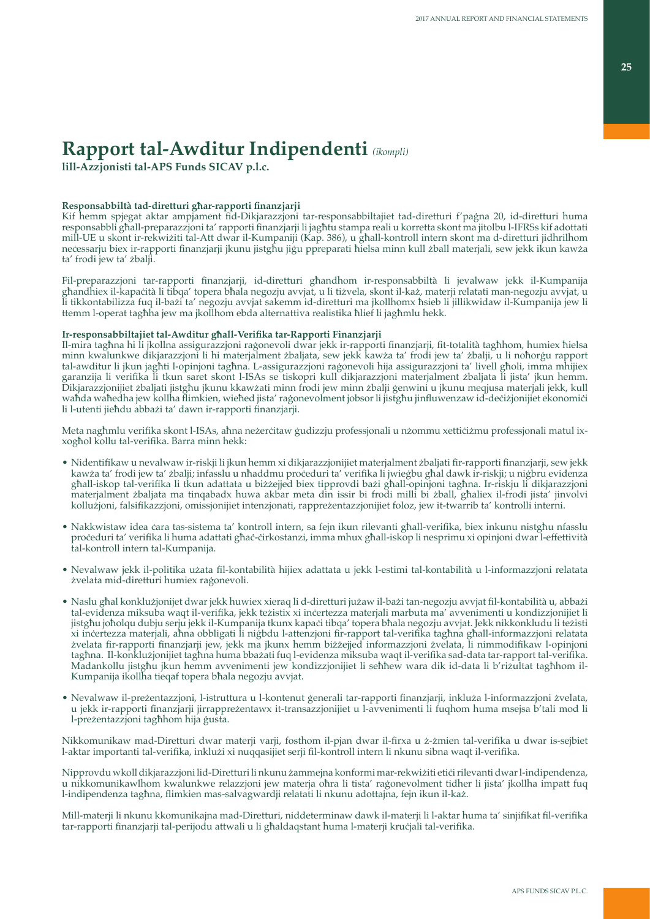# **Rapport tal-Awditur Indipendenti** *(ikompli)*

**lill-Azzjonisti tal-APS Funds SICAV p.l.c.**

## **Responsabbiltà tad-diretturi għar-rapporti finanzjarji**

Kif hemm spjegat aktar ampjament fid-Dikjarazzjoni tar-responsabbiltajiet tad-diretturi f'paġna 20, id-diretturi huma responsabbli għall-preparazzjoni ta' rapporti finanzjarji li jagħtu stampa reali u korretta skont ma jitolbu l-IFRSs kif adottati mill-UE u skont ir-rekwiżiti tal-Att dwar il-Kumpaniji (Kap. 386), u għall-kontroll intern skont ma d-diretturi jidhrilhom neċessarju biex ir-rapporti finanzjarji jkunu jistgħu jiġu ppreparati ħielsa minn kull żball materjali, sew jekk ikun kawża ta' frodi jew ta' żbalji.

Fil-preparazzjoni tar-rapporti finanzjarji, id-diretturi għandhom ir-responsabbiltà li jevalwaw jekk il-Kumpanija għandhiex il-kapaċità li tibqa' topera bħala negozju avvjat, u li tiżvela, skont il-każ, materji relatati man-negozju avvjat, u li tikkontabilizza fuq il-bażi ta' negozju avvjat sakemm id-diretturi ma jkollhomx ħsieb li jillikwidaw il-Kumpanija jew li ttemm l-operat tagħha jew ma jkollhom ebda alternattiva realistika ħlief li jagħmlu hekk.

# **Ir-responsabbiltajiet tal-Awditur għall-Verifika tar-Rapporti Finanzjarji**

Il-mira tagħna hi li jkollna assigurazzjoni raġonevoli dwar jekk ir-rapporti finanzjarji, fit-totalità tagħhom, humiex ħielsa minn kwalunkwe dikjarazzjoni li hi materjalment żbaljata, sew jekk kawża ta' frodi jew ta' żbalji, u li noħorġu rapport tal-awditur li jkun jagħti l-opinjoni tagħna. L-assigurazzjoni raġonevoli hija assigurazzjoni ta' livell għoli, imma mhijiex garanzija li verifika li tkun saret skont l-ISAs se tiskopri kull dikjarazzjoni materjalment żbaljata li jista' jkun hemm. Dikjarazzjonijiet żbaljati jistgħu jkunu kkawżati minn frodi jew minn żbalji ġenwini u jkunu meqjusa materjali jekk, kull waħda waħedha jew kollha flimkien, wieħed jista' raġonevolment jobsor li jistgħu jinfluwenzaw id-deċiżjonijiet ekonomiċi li l-utenti jieħdu abbażi ta' dawn ir-rapporti finanzjarji.

Meta nagħmlu verifika skont l-ISAs, aħna neżerċitaw ġudizzju professjonali u nżommu xettiċiżmu professjonali matul ixxogħol kollu tal-verifika. Barra minn hekk:

- Nidentifikaw u nevalwaw ir-riskji li jkun hemm xi dikjarazzjonijiet materjalment żbaljati fir-rapporti finanzjarji, sew jekk kawża ta' frodi jew ta' żbalji; infasslu u nħaddmu proċeduri ta' verifika li jwieġbu għal dawk ir-riskji; u niġbru evidenza għall-iskop tal-verifika li tkun adattata u biżżejjed biex tipprovdi bażi għall-opinjoni tagħna. Ir-riskju li dikjarazzjoni materjalment żbaljata ma tinqabadx huwa akbar meta din issir bi frodi milli bi żball, għaliex il-frodi jista' jinvolvi kollużjoni, falsifikazzjoni, omissjonijiet intenzjonati, rappreżentazzjonijiet foloz, jew it-twarrib ta' kontrolli interni.
- Nakkwistaw idea ċara tas-sistema ta' kontroll intern, sa fejn ikun rilevanti għall-verifika, biex inkunu nistgħu nfasslu proċeduri ta' verifika li huma adattati għaċ-ċirkostanzi, imma mhux għall-iskop li nesprimu xi opinjoni dwar l-effettività tal-kontroll intern tal-Kumpanija.
- Nevalwaw jekk il-politika użata fil-kontabilità hijiex adattata u jekk l-estimi tal-kontabilità u l-informazzjoni relatata żvelata mid-diretturi humiex raġonevoli.
- Naslu għal konklużjonijet dwar jekk huwiex xieraq li d-diretturi jużaw il-bażi tan-negozju avvjat fil-kontabilità u, abbażi tal-evidenza miksuba waqt il-verifika, jekk teżistix xi inċertezza materjali marbuta ma' avvenimenti u kondizzjonijiet li jistgħu joħolqu dubju serju jekk il-Kumpanija tkunx kapaċi tibqa' topera bħala negozju avvjat. Jekk nikkonkludu li teżisti xi inċertezza materjali, aħna obbligati li niġbdu l-attenzjoni fir-rapport tal-verifika tagħna għall-informazzjoni relatata żvelata fir-rapporti finanzjarji jew, jekk ma jkunx hemm biżżejjed informazzjoni żvelata, li nimmodifikaw l-opinjoni tagħna. Il-konklużjonijiet tagħna huma bbażati fuq l-evidenza miksuba waqt il-verifika sad-data tar-rapport tal-verifika. Madankollu jistgħu jkun hemm avvenimenti jew kondizzjonijiet li seħħew wara dik id-data li b'riżultat tagħhom il-Kumpanija ikollha tieqaf topera bħala negozju avvjat.
- Nevalwaw il-preżentazzjoni, l-istruttura u l-kontenut ġenerali tar-rapporti finanzjarji, inkluża l-informazzjoni żvelata, u jekk ir-rapporti finanzjarji jirrappreżentawx it-transazzjonijiet u l-avvenimenti li fuqhom huma msejsa b'tali mod li l-preżentazzjoni tagħhom hija ġusta.

Nikkomunikaw mad-Diretturi dwar materji varji, fosthom il-pjan dwar il-firxa u ż-żmien tal-verifika u dwar is-sejbiet l-aktar importanti tal-verifika, inklużi xi nuqqasijiet serji fil-kontroll intern li nkunu sibna waqt il-verifika.

Nipprovdu wkoll dikjarazzjoni lid-Diretturi li nkunu żammejna konformi mar-rekwiżiti etiċi rilevanti dwar l-indipendenza, u nikkomunikawlhom kwalunkwe relazzjoni jew materja oħra li tista' raġonevolment tidher li jista' jkollha impatt fuq l-indipendenza tagħna, flimkien mas-salvagwardji relatati li nkunu adottajna, fejn ikun il-każ.

Mill-materji li nkunu kkomunikajna mad-Diretturi, niddeterminaw dawk il-materji li l-aktar huma ta' sinjifikat fil-verifika tar-rapporti finanzjarji tal-perijodu attwali u li għaldaqstant huma l-materji kruċjali tal-verifika.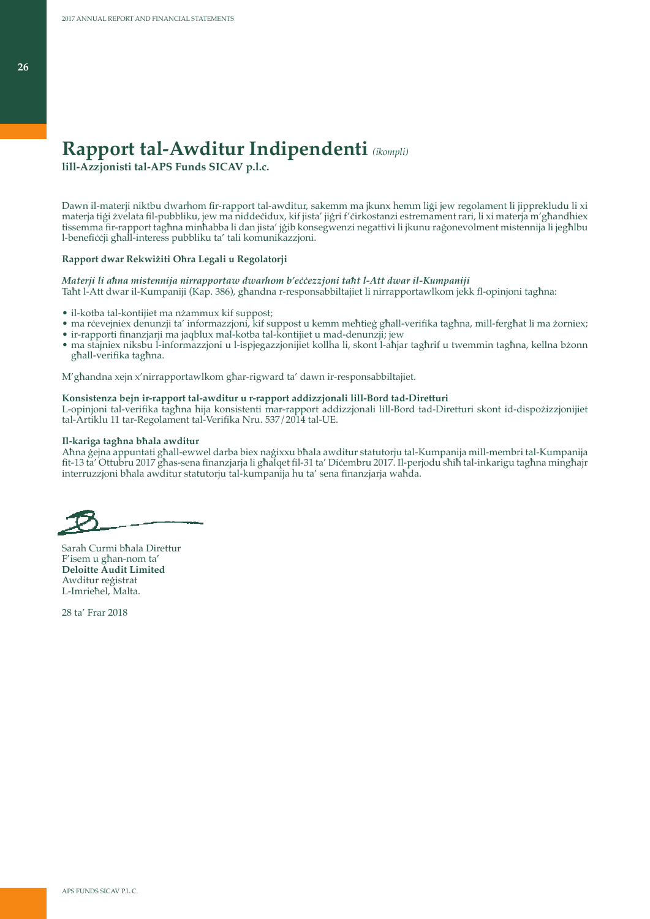# **Rapport tal-Awditur Indipendenti** *(ikompli)*

**lill-Azzjonisti tal-APS Funds SICAV p.l.c.**

Dawn il-materji niktbu dwarhom fir-rapport tal-awditur, sakemm ma jkunx hemm liġi jew regolament li jipprekludu li xi materja tiġi żvelata fil-pubbliku, jew ma niddeċidux, kif jista' jiġri f'ċirkostanzi estremament rari, li xi materja m'għandhiex tissemma fir-rapport tagħna minħabba li dan jista' jġib konsegwenzi negattivi li jkunu raġonevolment mistennija li jegħlbu l-benefiċċji għall-interess pubbliku ta' tali komunikazzjoni.

### **Rapport dwar Rekwiżiti Oħra Legali u Regolatorji**

### *Materji li aħna mistennija nirrapportaw dwarhom b'eċċezzjoni taħt l-Att dwar il-Kumpaniji*

Taħt l-Att dwar il-Kumpaniji (Kap. 386), għandna r-responsabbiltajiet li nirrapportawlkom jekk fl-opinjoni tagħna:

- il-kotba tal-kontijiet ma nżammux kif suppost;
- ma rċevejniex denunzji ta' informazzjoni, kif suppost u kemm meħtieġ għall-verifika tagħna, mill-fergħat li ma żorniex;
- ir-rapporti finanzjarji ma jaqblux mal-kotba tal-kontijiet u mad-denunzji; jew
- ma stajniex niksbu l-informazzjoni u l-ispjegazzjonijiet kollha li, skont l-aħjar tagħrif u twemmin tagħna, kellna bżonn għall-verifika tagħna.

M'għandna xejn x'nirrapportawlkom għar-rigward ta' dawn ir-responsabbiltajiet.

### **Konsistenza bejn ir-rapport tal-awditur u r-rapport addizzjonali lill-Bord tad-Diretturi**

L-opinjoni tal-verifika tagħna hija konsistenti mar-rapport addizzjonali lill-Bord tad-Diretturi skont id-dispożizzjonijiet tal-Artiklu 11 tar-Regolament tal-Verifika Nru. 537/2014 tal-UE.

### **Il-kariga tagħna bħala awditur**

Aħna ġejna appuntati għall-ewwel darba biex naġixxu bħala awditur statutorju tal-Kumpanija mill-membri tal-Kumpanija fit-13 ta' Ottubru 2017 għas-sena finanzjarja li għalqet fil-31 ta' Diċembru 2017. Il-perjodu sħiħ tal-inkarigu tagħna mingħajr interruzzjoni bħala awditur statutorju tal-kumpanija hu ta' sena finanzjarja waħda.

Sarah Curmi bħala Direttur F'isem u għan-nom ta' **Deloitte Audit Limited** Awditur reġistrat L-Imrieħel, Malta.

28 ta' Frar 2018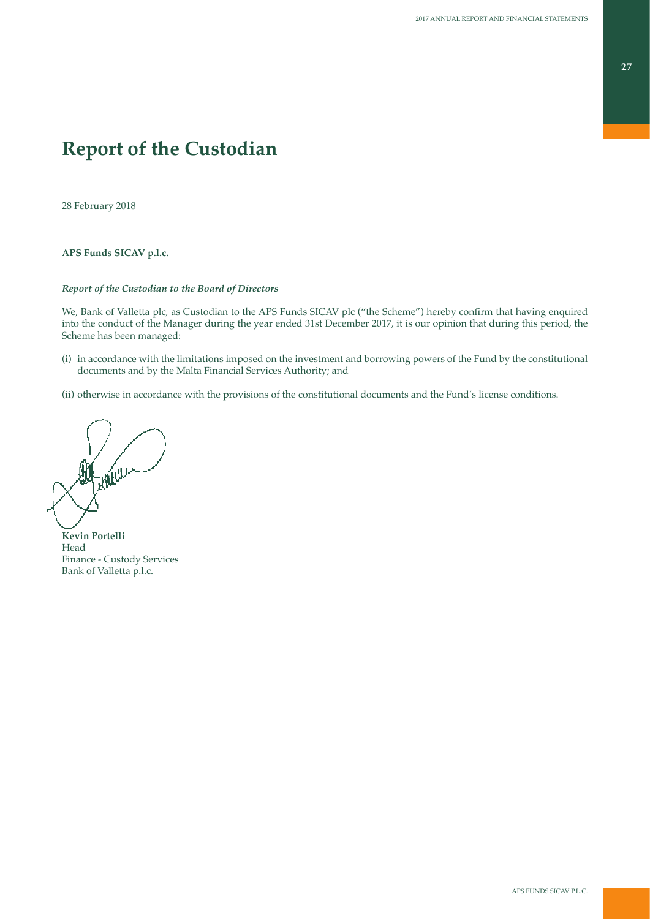# **Report of the Custodian**

28 February 2018

## **APS Funds SICAV p.l.c.**

## *Report of the Custodian to the Board of Directors*

We, Bank of Valletta plc, as Custodian to the APS Funds SICAV plc ("the Scheme") hereby confirm that having enquired into the conduct of the Manager during the year ended 31st December 2017, it is our opinion that during this period, the Scheme has been managed:

- (i) in accordance with the limitations imposed on the investment and borrowing powers of the Fund by the constitutional documents and by the Malta Financial Services Authority; and
- (ii) otherwise in accordance with the provisions of the constitutional documents and the Fund's license conditions.

**Kevin Portelli** Head Finance - Custody Services Bank of Valletta p.l.c.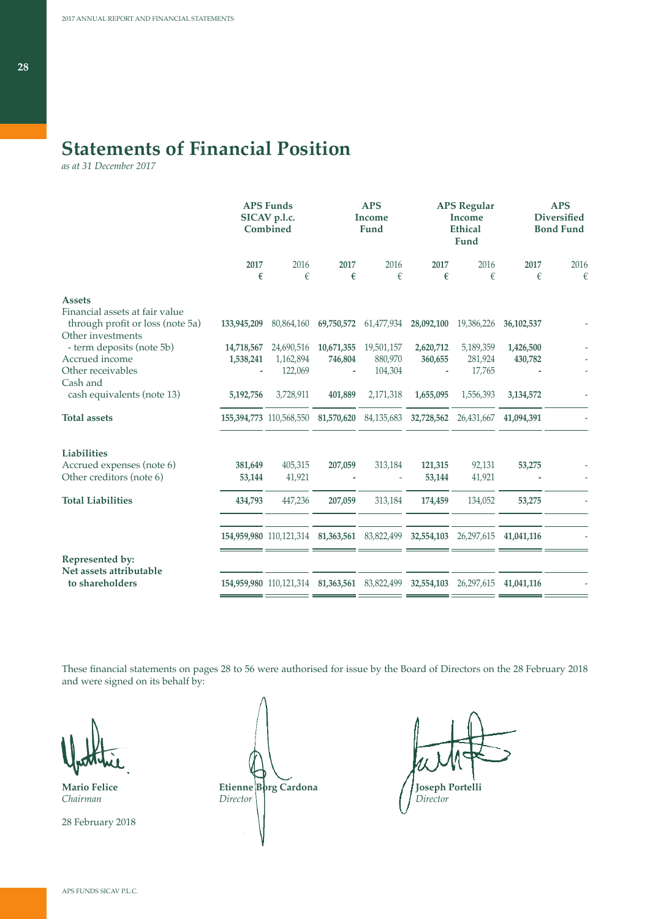# **Statements of Financial Position**

*as at 31 December 2017*

|                                                 |             | <b>APS Funds</b><br>SICAV p.l.c.<br>Combined                        | <b>APS</b><br>Income<br>Fund |                                  |            | <b>APS Regular</b><br><b>Income</b><br><b>Ethical</b><br>Fund | <b>APS</b><br><b>Diversified</b><br><b>Bond Fund</b> |           |
|-------------------------------------------------|-------------|---------------------------------------------------------------------|------------------------------|----------------------------------|------------|---------------------------------------------------------------|------------------------------------------------------|-----------|
|                                                 | 2017<br>€   | 2016<br>€                                                           | 2017<br>€                    | 2016<br>€                        | 2017<br>€  | 2016<br>€                                                     | 2017<br>€                                            | 2016<br>€ |
|                                                 |             |                                                                     |                              |                                  |            |                                                               |                                                      |           |
| <b>Assets</b><br>Financial assets at fair value |             |                                                                     |                              |                                  |            |                                                               |                                                      |           |
| through profit or loss (note 5a)                | 133,945,209 | 80,864,160                                                          |                              | 69,750,572 61,477,934 28,092,100 |            | 19,386,226                                                    | 36,102,537                                           |           |
| Other investments                               |             |                                                                     |                              |                                  |            |                                                               |                                                      |           |
| - term deposits (note 5b)                       | 14,718,567  | 24,690,516                                                          | 10,671,355                   | 19,501,157                       | 2,620,712  | 5,189,359                                                     | 1,426,500                                            |           |
| Accrued income<br>Other receivables             | 1,538,241   | 1,162,894<br>122,069                                                | 746,804                      | 880,970<br>104,304               | 360,655    | 281,924<br>17,765                                             | 430,782                                              |           |
| Cash and                                        |             |                                                                     |                              |                                  |            |                                                               |                                                      |           |
| cash equivalents (note 13)                      | 5,192,756   | 3,728,911                                                           | 401,889                      | 2,171,318                        | 1,655,095  | 1,556,393                                                     | 3,134,572                                            |           |
| <b>Total assets</b>                             |             | 155,394,773 110,568,550 81,570,620                                  |                              | 84,135,683                       | 32,728,562 | 26,431,667                                                    | 41,094,391                                           |           |
| <b>Liabilities</b>                              |             |                                                                     |                              |                                  |            |                                                               |                                                      |           |
| Accrued expenses (note 6)                       | 381,649     | 405,315                                                             | 207,059                      | 313,184                          | 121,315    | 92,131                                                        | 53,275                                               |           |
| Other creditors (note 6)                        | 53,144      | 41,921                                                              |                              |                                  | 53,144     | 41,921                                                        |                                                      |           |
| <b>Total Liabilities</b>                        | 434,793     | 447,236                                                             | 207,059                      | 313,184                          | 174,459    | 134,052                                                       | 53,275                                               |           |
|                                                 |             |                                                                     |                              |                                  |            |                                                               |                                                      |           |
|                                                 |             | 154,959,980 110,121,314 81,363,561 83,822,499                       |                              |                                  | 32,554,103 | 26,297,615                                                    | 41,041,116                                           |           |
| Represented by:<br>Net assets attributable      |             |                                                                     |                              |                                  |            |                                                               |                                                      |           |
| to shareholders                                 |             | 154,959,980 110,121,314 81,363,561 83,822,499 32,554,103 26,297,615 |                              |                                  |            |                                                               | 41,041,116                                           |           |
|                                                 |             |                                                                     |                              |                                  |            |                                                               |                                                      |           |

These financial statements on pages 28 to 56 were authorised for issue by the Board of Directors on the 28 February 2018 and were signed on its behalf by:

28 February 2018

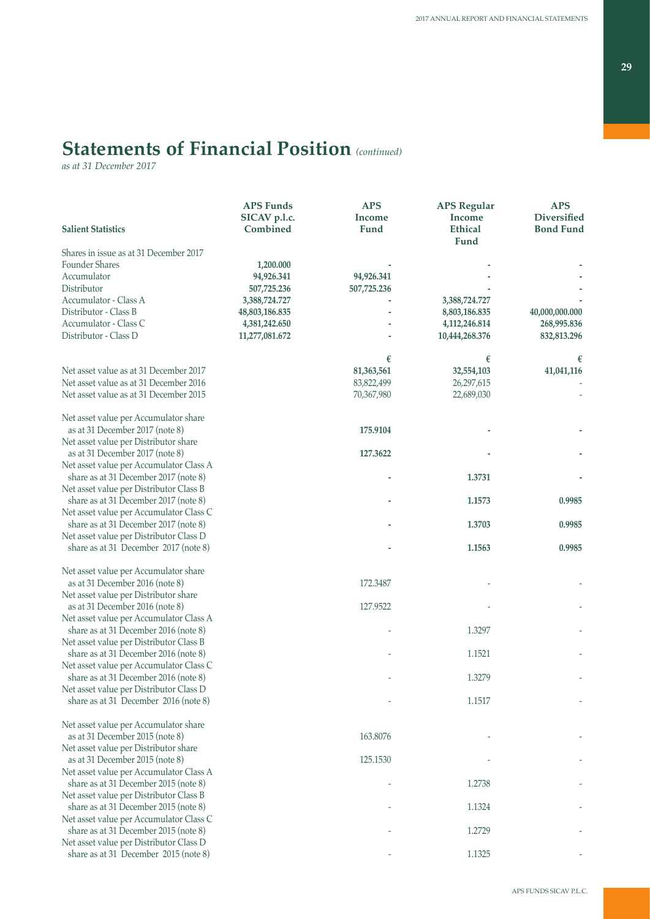# **Statements of Financial Position** *(continued)*

*as at 31 December 2017*

| <b>Salient Statistics</b>                                                        | <b>APS Funds</b><br>SICAV p.l.c.<br>Combined | <b>APS</b><br><b>Income</b><br>Fund | <b>APS Regular</b><br><b>Income</b><br><b>Ethical</b> | <b>APS</b><br><b>Diversified</b><br><b>Bond Fund</b> |
|----------------------------------------------------------------------------------|----------------------------------------------|-------------------------------------|-------------------------------------------------------|------------------------------------------------------|
|                                                                                  |                                              |                                     | Fund                                                  |                                                      |
| Shares in issue as at 31 December 2017                                           |                                              |                                     |                                                       |                                                      |
| <b>Founder Shares</b>                                                            | 1,200.000                                    |                                     |                                                       |                                                      |
| Accumulator                                                                      | 94,926.341                                   | 94,926.341                          |                                                       |                                                      |
| Distributor                                                                      | 507,725.236                                  | 507,725.236                         |                                                       |                                                      |
| Accumulator - Class A                                                            | 3,388,724.727                                |                                     | 3,388,724.727                                         |                                                      |
| Distributor - Class B                                                            | 48,803,186.835                               |                                     | 8,803,186.835                                         | 40,000,000.000                                       |
| Accumulator - Class C<br>Distributor - Class D                                   | 4,381,242.650                                |                                     | 4,112,246.814                                         | 268,995.836                                          |
|                                                                                  | 11,277,081.672                               |                                     | 10,444,268.376                                        | 832,813.296                                          |
|                                                                                  |                                              | €                                   | €                                                     | €                                                    |
| Net asset value as at 31 December 2017                                           |                                              | 81,363,561                          | 32,554,103                                            | 41,041,116                                           |
| Net asset value as at 31 December 2016                                           |                                              | 83,822,499                          | 26,297,615                                            |                                                      |
| Net asset value as at 31 December 2015                                           |                                              | 70,367,980                          | 22,689,030                                            |                                                      |
| Net asset value per Accumulator share                                            |                                              |                                     |                                                       |                                                      |
| as at 31 December 2017 (note 8)                                                  |                                              | 175.9104                            |                                                       |                                                      |
| Net asset value per Distributor share                                            |                                              |                                     |                                                       |                                                      |
| as at 31 December 2017 (note 8)                                                  |                                              | 127.3622                            |                                                       |                                                      |
| Net asset value per Accumulator Class A<br>share as at 31 December 2017 (note 8) |                                              |                                     | 1.3731                                                |                                                      |
| Net asset value per Distributor Class B                                          |                                              |                                     |                                                       |                                                      |
| share as at 31 December 2017 (note 8)                                            |                                              |                                     | 1.1573                                                | 0.9985                                               |
| Net asset value per Accumulator Class C                                          |                                              |                                     |                                                       |                                                      |
| share as at 31 December 2017 (note 8)                                            |                                              |                                     | 1.3703                                                | 0.9985                                               |
| Net asset value per Distributor Class D                                          |                                              |                                     |                                                       |                                                      |
| share as at 31 December 2017 (note 8)                                            |                                              |                                     | 1.1563                                                | 0.9985                                               |
| Net asset value per Accumulator share                                            |                                              |                                     |                                                       |                                                      |
| as at 31 December 2016 (note 8)                                                  |                                              | 172.3487                            |                                                       |                                                      |
| Net asset value per Distributor share                                            |                                              |                                     |                                                       |                                                      |
| as at 31 December 2016 (note 8)                                                  |                                              | 127.9522                            |                                                       |                                                      |
| Net asset value per Accumulator Class A                                          |                                              |                                     |                                                       |                                                      |
| share as at 31 December 2016 (note 8)<br>Net asset value per Distributor Class B |                                              |                                     | 1.3297                                                |                                                      |
| share as at 31 December 2016 (note 8)                                            |                                              |                                     | 1.1521                                                |                                                      |
| Net asset value per Accumulator Class C                                          |                                              |                                     |                                                       |                                                      |
| share as at 31 December 2016 (note 8)                                            |                                              |                                     | 1.3279                                                |                                                      |
| Net asset value per Distributor Class D                                          |                                              |                                     |                                                       |                                                      |
| share as at 31 December 2016 (note 8)                                            |                                              |                                     | 1.1517                                                |                                                      |
| Net asset value per Accumulator share                                            |                                              |                                     |                                                       |                                                      |
| as at 31 December 2015 (note 8)                                                  |                                              | 163.8076                            |                                                       |                                                      |
| Net asset value per Distributor share                                            |                                              |                                     |                                                       |                                                      |
| as at 31 December 2015 (note 8)                                                  |                                              | 125.1530                            |                                                       |                                                      |
| Net asset value per Accumulator Class A                                          |                                              |                                     |                                                       |                                                      |
| share as at 31 December 2015 (note 8)                                            |                                              |                                     | 1.2738                                                |                                                      |
| Net asset value per Distributor Class B<br>share as at 31 December 2015 (note 8) |                                              |                                     | 1.1324                                                |                                                      |
| Net asset value per Accumulator Class C                                          |                                              |                                     |                                                       |                                                      |
| share as at 31 December 2015 (note 8)                                            |                                              |                                     | 1.2729                                                |                                                      |
| Net asset value per Distributor Class D                                          |                                              |                                     |                                                       |                                                      |
| share as at 31 December 2015 (note 8)                                            |                                              |                                     | 1.1325                                                |                                                      |
|                                                                                  |                                              |                                     |                                                       |                                                      |

APS FUNDS SICAV P.L.C.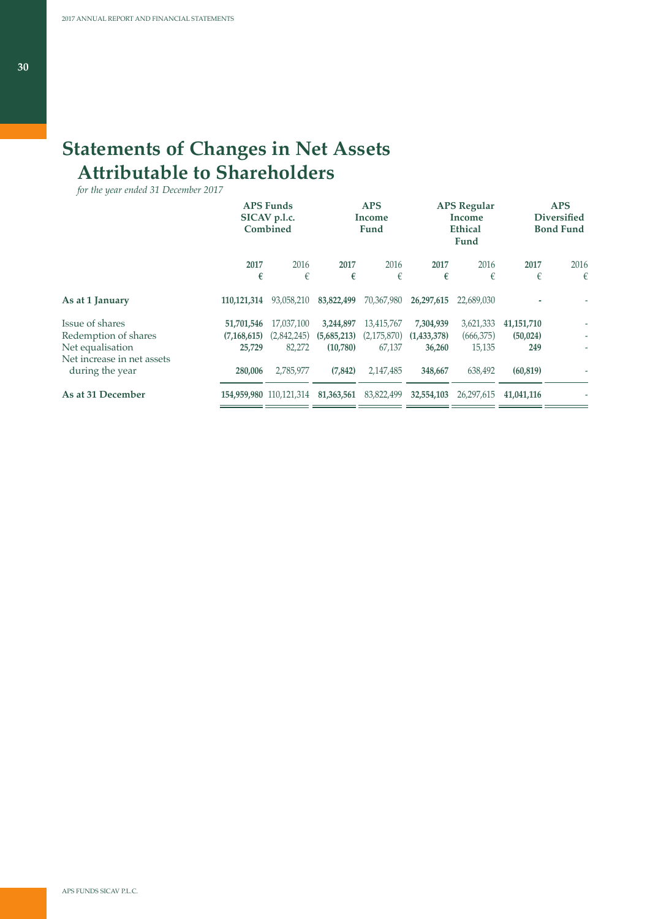# **Statements of Changes in Net Assets Attributable to Shareholders**

*for the year ended 31 December 2017*

|                                               | <b>APS Funds</b><br>SICAV p.l.c.<br>Combined |                         |             | <b>APS</b><br>Income<br>Fund |             | <b>APS Regular</b><br>Income<br><b>Ethical</b><br>Fund |              | <b>APS</b><br><b>Diversified</b><br><b>Bond Fund</b> |  |
|-----------------------------------------------|----------------------------------------------|-------------------------|-------------|------------------------------|-------------|--------------------------------------------------------|--------------|------------------------------------------------------|--|
|                                               | 2017                                         | 2016                    | 2017        | 2016                         | 2017        | 2016                                                   | 2017         | 2016                                                 |  |
|                                               | €                                            | €                       | €           | €                            | €           | €                                                      | €            | €                                                    |  |
| As at 1 January                               | 110,121,314                                  | 93,058,210              | 83,822,499  | 70,367,980                   | 26,297,615  | 22,689,030                                             |              |                                                      |  |
| Issue of shares                               | 51,701,546                                   | 17,037,100              | 3,244,897   | 13,415,767                   | 7,304,939   | 3,621,333                                              | 41, 151, 710 |                                                      |  |
| Redemption of shares                          | (7, 168, 615)                                | (2,842,245)             | (5,685,213) | (2,175,870)                  | (1,433,378) | (666,375)                                              | (50, 024)    |                                                      |  |
| Net equalisation                              | 25,729                                       | 82,272                  | (10,780)    | 67,137                       | 36,260      | 15,135                                                 | 249          | $\overline{\phantom{a}}$                             |  |
| Net increase in net assets<br>during the year | 280,006                                      | 2,785,977               | (7, 842)    | 2,147,485                    | 348,667     | 638,492                                                | (60, 819)    |                                                      |  |
| As at 31 December                             |                                              | 154,959,980 110,121,314 | 81,363,561  | 83,822,499                   | 32,554,103  | 26,297,615                                             | 41,041,116   |                                                      |  |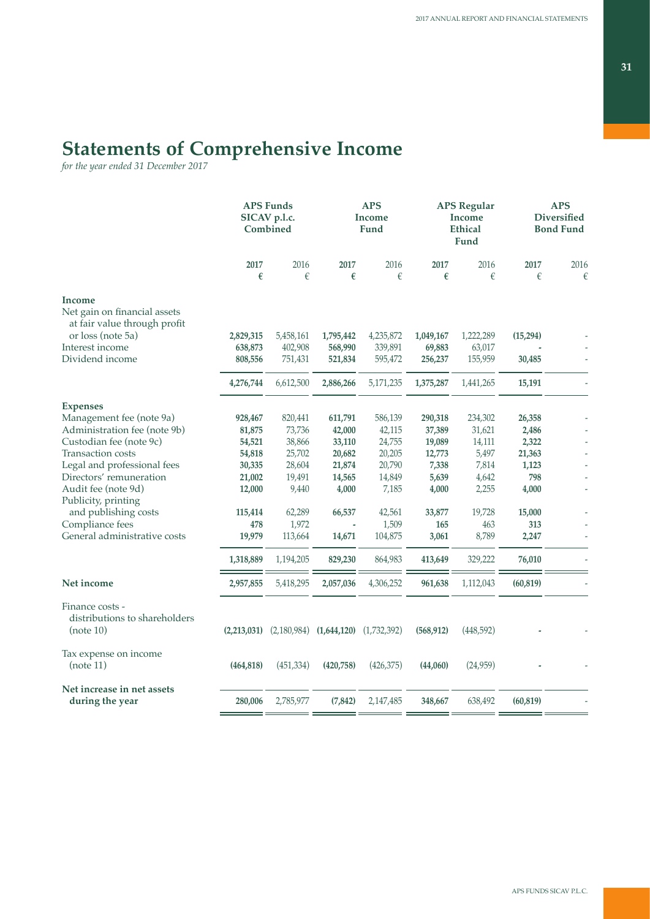# **Statements of Comprehensive Income**

*for the year ended 31 December 2017*

|                                                               |             | <b>APS Funds</b><br>SICAV p.l.c.<br>Combined |           | <b>APS</b><br>Income<br>Fund |            | <b>APS Regular</b><br><b>Income</b><br><b>Ethical</b><br>Fund | <b>APS</b><br><b>Diversified</b><br><b>Bond Fund</b> |           |
|---------------------------------------------------------------|-------------|----------------------------------------------|-----------|------------------------------|------------|---------------------------------------------------------------|------------------------------------------------------|-----------|
|                                                               | 2017<br>€   | 2016<br>€                                    | 2017<br>€ | 2016<br>€                    | 2017<br>€  | 2016<br>€                                                     | 2017<br>€                                            | 2016<br>€ |
| Income                                                        |             |                                              |           |                              |            |                                                               |                                                      |           |
| Net gain on financial assets<br>at fair value through profit  |             |                                              |           |                              |            |                                                               |                                                      |           |
| or loss (note 5a)                                             | 2,829,315   | 5,458,161                                    | 1,795,442 | 4,235,872                    | 1,049,167  | 1,222,289                                                     | (15,294)                                             |           |
| Interest income                                               | 638,873     | 402,908                                      | 568,990   | 339,891                      | 69,883     | 63,017                                                        |                                                      |           |
| Dividend income                                               | 808,556     | 751,431                                      | 521,834   | 595,472                      | 256,237    | 155,959                                                       | 30,485                                               |           |
|                                                               | 4,276,744   | 6,612,500                                    | 2,886,266 | 5,171,235                    | 1,375,287  | 1,441,265                                                     | 15,191                                               |           |
| <b>Expenses</b>                                               |             |                                              |           |                              |            |                                                               |                                                      |           |
| Management fee (note 9a)                                      | 928,467     | 820,441                                      | 611,791   | 586,139                      | 290,318    | 234,302                                                       | 26,358                                               |           |
| Administration fee (note 9b)                                  | 81,875      | 73,736                                       | 42,000    | 42,115                       | 37,389     | 31,621                                                        | 2,486                                                |           |
| Custodian fee (note 9c)                                       | 54,521      | 38,866                                       | 33,110    | 24,755                       | 19,089     | 14,111                                                        | 2,322                                                |           |
| Transaction costs                                             | 54,818      | 25,702                                       | 20,682    | 20,205                       | 12,773     | 5,497                                                         | 21,363                                               |           |
| Legal and professional fees                                   | 30,335      | 28,604                                       | 21,874    | 20,790                       | 7,338      | 7,814                                                         | 1,123                                                |           |
| Directors' remuneration                                       | 21,002      | 19,491                                       | 14,565    | 14,849                       | 5,639      | 4,642                                                         | 798                                                  |           |
| Audit fee (note 9d)<br>Publicity, printing                    | 12,000      | 9,440                                        | 4,000     | 7,185                        | 4,000      | 2,255                                                         | 4,000                                                |           |
| and publishing costs                                          | 115,414     | 62,289                                       | 66,537    | 42,561                       | 33,877     | 19,728                                                        | 15,000                                               |           |
| Compliance fees                                               | 478         | 1,972                                        |           | 1,509                        | 165        | 463                                                           | 313                                                  |           |
| General administrative costs                                  | 19,979      | 113,664                                      | 14,671    | 104,875                      | 3,061      | 8,789                                                         | 2,247                                                |           |
|                                                               | 1,318,889   | 1,194,205                                    | 829,230   | 864,983                      | 413,649    | 329,222                                                       | 76,010                                               |           |
| Net income                                                    | 2,957,855   | 5,418,295                                    | 2,057,036 | 4,306,252                    | 961,638    | 1,112,043                                                     | (60, 819)                                            |           |
| Finance costs -<br>distributions to shareholders<br>(note 10) | (2,213,031) | $(2,180,984)$ $(1,644,120)$                  |           | (1,732,392)                  | (568, 912) | (448, 592)                                                    |                                                      |           |
|                                                               |             |                                              |           |                              |            |                                                               |                                                      |           |
| Tax expense on income<br>(note 11)                            | (464, 818)  | (451, 334)                                   | (420,758) | (426, 375)                   | (44,060)   | (24,959)                                                      |                                                      |           |
| Net increase in net assets<br>during the year                 | 280,006     | 2,785,977                                    | (7, 842)  | 2,147,485                    | 348,667    | 638,492                                                       | (60, 819)                                            |           |
|                                                               |             |                                              |           |                              |            |                                                               |                                                      |           |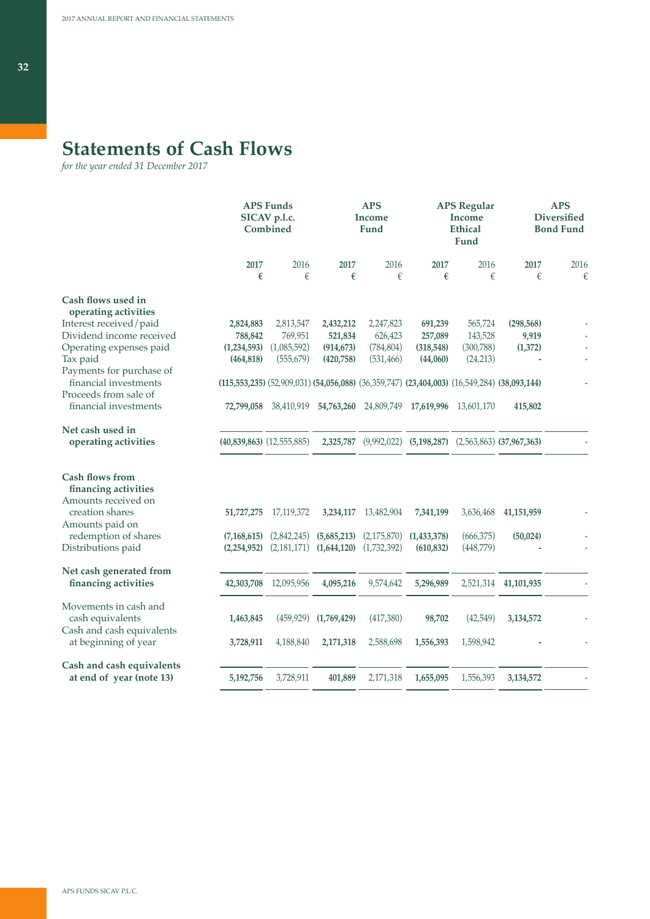# **Statements of Cash Flows**

*for the year ended 31 December 2017*

|                                            |                                                                                             | <b>APS Funds</b><br>SICAV p.l.c.<br>Combined |             | <b>APS</b><br>Income<br>Fund |                                                          | <b>APS Regular</b><br>Income<br><b>Ethical</b><br>Fund |                      | <b>APS</b><br><b>Diversified</b><br><b>Bond Fund</b> |  |
|--------------------------------------------|---------------------------------------------------------------------------------------------|----------------------------------------------|-------------|------------------------------|----------------------------------------------------------|--------------------------------------------------------|----------------------|------------------------------------------------------|--|
|                                            | 2017<br>€                                                                                   | 2016<br>€                                    | 2017<br>€   | 2016<br>€                    | 2017<br>€                                                | 2016<br>€                                              | 2017<br>€            | 2016<br>€                                            |  |
|                                            |                                                                                             |                                              |             |                              |                                                          |                                                        |                      |                                                      |  |
| Cash flows used in<br>operating activities |                                                                                             |                                              |             |                              |                                                          |                                                        |                      |                                                      |  |
| Interest received/paid                     | 2,824,883                                                                                   | 2,813,547                                    | 2,432,212   | 2,247,823                    | 691,239                                                  | 565,724                                                | (298, 568)           |                                                      |  |
| Dividend income received                   | 788,842                                                                                     | 769,951                                      | 521,834     | 626,423                      | 257,089                                                  | 143,528                                                | 9,919                |                                                      |  |
| Operating expenses paid                    | (1,234,593)                                                                                 | (1,085,592)                                  | (914, 673)  | (784, 804)                   | (318, 548)                                               | (300, 788)                                             | (1,372)              |                                                      |  |
| Tax paid                                   | (464, 818)                                                                                  | (555, 679)                                   | (420,758)   | (531, 466)                   | (44,060)                                                 | (24,213)                                               |                      |                                                      |  |
| Payments for purchase of                   |                                                                                             |                                              |             |                              |                                                          |                                                        |                      |                                                      |  |
| financial investments                      | (115,553,235) (52,909,031) (54,056,088) (36,359,747) (23,404,003) (16,549,284) (38,093,144) |                                              |             |                              |                                                          |                                                        |                      |                                                      |  |
| Proceeds from sale of                      |                                                                                             |                                              |             |                              |                                                          |                                                        |                      |                                                      |  |
| financial investments                      |                                                                                             | 72,799,058 38,410,919                        |             |                              | 54,763,260 24,809,749 17,619,996                         | 13,601,170                                             | 415,802              |                                                      |  |
| Net cash used in                           |                                                                                             |                                              |             |                              |                                                          |                                                        |                      |                                                      |  |
| operating activities                       |                                                                                             | $(40,839,863)$ $(12,555,885)$                | 2,325,787   |                              | $(9,992,022)$ $(5,198,287)$ $(2,563,863)$ $(37,967,363)$ |                                                        |                      |                                                      |  |
| <b>Cash flows from</b>                     |                                                                                             |                                              |             |                              |                                                          |                                                        |                      |                                                      |  |
| financing activities                       |                                                                                             |                                              |             |                              |                                                          |                                                        |                      |                                                      |  |
| Amounts received on                        |                                                                                             |                                              |             |                              |                                                          |                                                        |                      |                                                      |  |
| creation shares                            | 51,727,275                                                                                  | 17,119,372                                   | 3,234,117   | 13,482,904                   | 7,341,199                                                | 3,636,468                                              | 41, 151, 959         |                                                      |  |
| Amounts paid on                            |                                                                                             |                                              |             |                              |                                                          |                                                        |                      |                                                      |  |
| redemption of shares                       | (7, 168, 615)                                                                               | (2,842,245)                                  | (5,685,213) | (2,175,870)                  | (1, 433, 378)                                            | (666, 375)                                             | (50,024)             |                                                      |  |
| Distributions paid                         | (2,254,952)                                                                                 | (2,181,171)                                  | (1,644,120) | (1,732,392)                  | (610, 832)                                               | (448,779)                                              |                      |                                                      |  |
| Net cash generated from                    |                                                                                             |                                              |             |                              |                                                          |                                                        |                      |                                                      |  |
| financing activities                       | 42,303,708                                                                                  | 12,095,956                                   | 4,095,216   | 9,574,642                    | 5,296,989                                                |                                                        | 2,521,314 41,101,935 |                                                      |  |
| Movements in cash and                      |                                                                                             |                                              |             |                              |                                                          |                                                        |                      |                                                      |  |
| cash equivalents                           | 1,463,845                                                                                   | (459, 929)                                   | (1,769,429) | (417,380)                    | 98,702                                                   | (42,549)                                               | 3,134,572            |                                                      |  |
| Cash and cash equivalents                  |                                                                                             |                                              |             |                              |                                                          |                                                        |                      |                                                      |  |
| at beginning of year                       | 3,728,911                                                                                   | 4,188,840                                    | 2,171,318   | 2,588,698                    | 1,556,393                                                | 1,598,942                                              |                      |                                                      |  |
| Cash and cash equivalents                  |                                                                                             |                                              |             |                              |                                                          |                                                        |                      |                                                      |  |
| at end of year (note 13)                   | 5,192,756                                                                                   | 3,728,911                                    | 401,889     | 2,171,318                    | 1,655,095                                                | 1,556,393                                              | 3,134,572            |                                                      |  |
|                                            |                                                                                             |                                              |             |                              |                                                          |                                                        |                      |                                                      |  |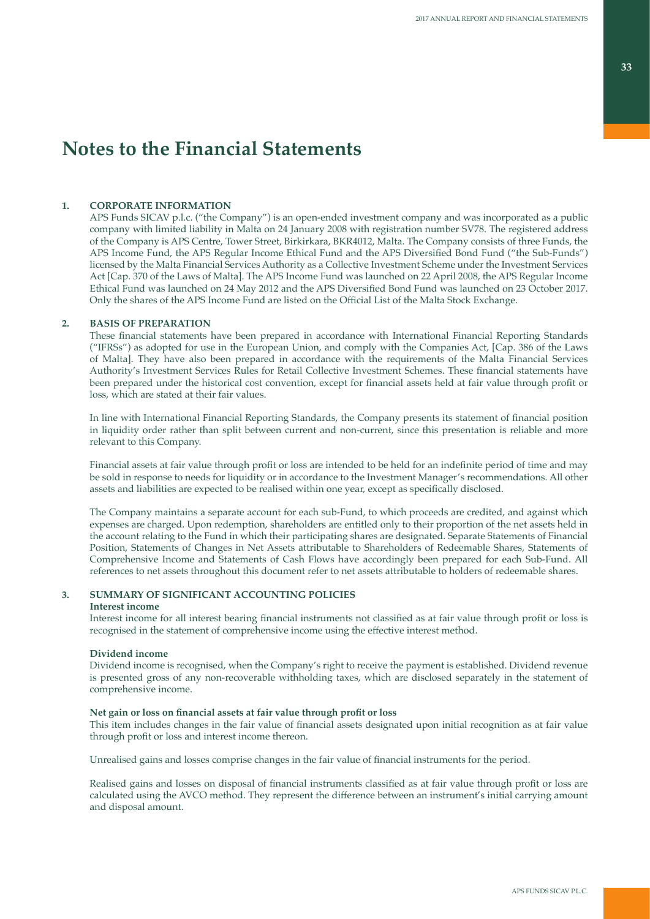# **Notes to the Financial Statements**

# **1. CORPORATE INFORMATION**

APS Funds SICAV p.l.c. ("the Company") is an open-ended investment company and was incorporated as a public company with limited liability in Malta on 24 January 2008 with registration number SV78. The registered address of the Company is APS Centre, Tower Street, Birkirkara, BKR4012, Malta. The Company consists of three Funds, the APS Income Fund, the APS Regular Income Ethical Fund and the APS Diversified Bond Fund ("the Sub-Funds") licensed by the Malta Financial Services Authority as a Collective Investment Scheme under the Investment Services Act [Cap. 370 of the Laws of Malta]. The APS Income Fund was launched on 22 April 2008, the APS Regular Income Ethical Fund was launched on 24 May 2012 and the APS Diversified Bond Fund was launched on 23 October 2017. Only the shares of the APS Income Fund are listed on the Official List of the Malta Stock Exchange.

## **2. BASIS OF PREPARATION**

These financial statements have been prepared in accordance with International Financial Reporting Standards ("IFRSs") as adopted for use in the European Union, and comply with the Companies Act, [Cap. 386 of the Laws of Malta]. They have also been prepared in accordance with the requirements of the Malta Financial Services Authority's Investment Services Rules for Retail Collective Investment Schemes. These financial statements have been prepared under the historical cost convention, except for financial assets held at fair value through profit or loss, which are stated at their fair values.

In line with International Financial Reporting Standards, the Company presents its statement of financial position in liquidity order rather than split between current and non-current, since this presentation is reliable and more relevant to this Company.

Financial assets at fair value through profit or loss are intended to be held for an indefinite period of time and may be sold in response to needs for liquidity or in accordance to the Investment Manager's recommendations. All other assets and liabilities are expected to be realised within one year, except as specifically disclosed.

The Company maintains a separate account for each sub-Fund, to which proceeds are credited, and against which expenses are charged. Upon redemption, shareholders are entitled only to their proportion of the net assets held in the account relating to the Fund in which their participating shares are designated. Separate Statements of Financial Position, Statements of Changes in Net Assets attributable to Shareholders of Redeemable Shares, Statements of Comprehensive Income and Statements of Cash Flows have accordingly been prepared for each Sub-Fund. All references to net assets throughout this document refer to net assets attributable to holders of redeemable shares.

# **3. SUMMARY OF SIGNIFICANT ACCOUNTING POLICIES**

### **Interest income**

Interest income for all interest bearing financial instruments not classified as at fair value through profit or loss is recognised in the statement of comprehensive income using the effective interest method.

## **Dividend income**

Dividend income is recognised, when the Company's right to receive the payment is established. Dividend revenue is presented gross of any non-recoverable withholding taxes, which are disclosed separately in the statement of comprehensive income.

### **Net gain or loss on financial assets at fair value through profit or loss**

This item includes changes in the fair value of financial assets designated upon initial recognition as at fair value through profit or loss and interest income thereon.

Unrealised gains and losses comprise changes in the fair value of financial instruments for the period.

Realised gains and losses on disposal of financial instruments classified as at fair value through profit or loss are calculated using the AVCO method. They represent the difference between an instrument's initial carrying amount and disposal amount.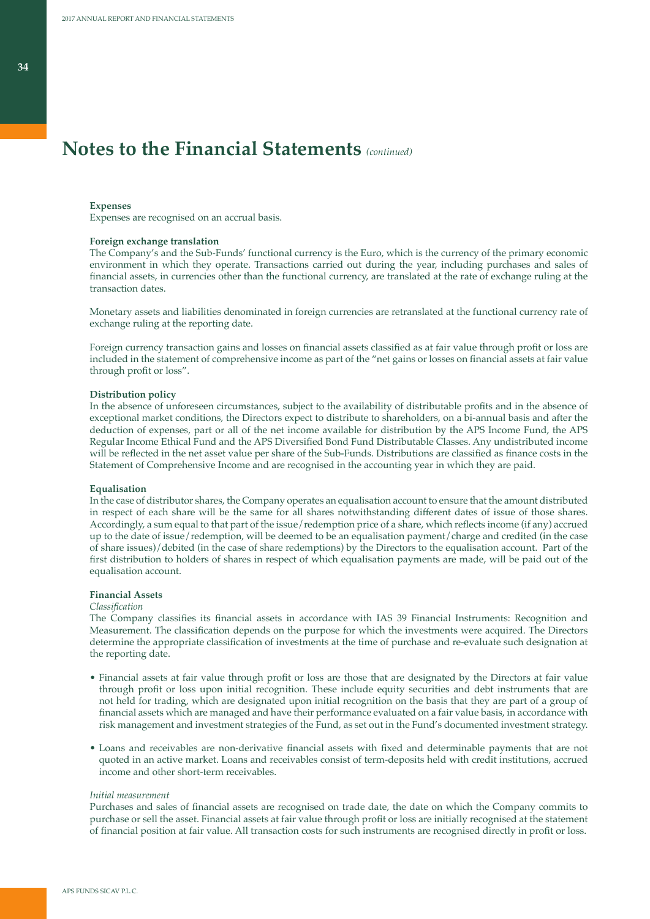#### **Expenses**

Expenses are recognised on an accrual basis.

#### **Foreign exchange translation**

The Company's and the Sub-Funds' functional currency is the Euro, which is the currency of the primary economic environment in which they operate. Transactions carried out during the year, including purchases and sales of financial assets, in currencies other than the functional currency, are translated at the rate of exchange ruling at the transaction dates.

Monetary assets and liabilities denominated in foreign currencies are retranslated at the functional currency rate of exchange ruling at the reporting date.

Foreign currency transaction gains and losses on financial assets classified as at fair value through profit or loss are included in the statement of comprehensive income as part of the "net gains or losses on financial assets at fair value through profit or loss".

### **Distribution policy**

In the absence of unforeseen circumstances, subject to the availability of distributable profits and in the absence of exceptional market conditions, the Directors expect to distribute to shareholders, on a bi-annual basis and after the deduction of expenses, part or all of the net income available for distribution by the APS Income Fund, the APS Regular Income Ethical Fund and the APS Diversified Bond Fund Distributable Classes. Any undistributed income will be reflected in the net asset value per share of the Sub-Funds. Distributions are classified as finance costs in the Statement of Comprehensive Income and are recognised in the accounting year in which they are paid.

### **Equalisation**

In the case of distributor shares, the Company operates an equalisation account to ensure that the amount distributed in respect of each share will be the same for all shares notwithstanding different dates of issue of those shares. Accordingly, a sum equal to that part of the issue/redemption price of a share, which reflects income (if any) accrued up to the date of issue/redemption, will be deemed to be an equalisation payment/charge and credited (in the case of share issues)/debited (in the case of share redemptions) by the Directors to the equalisation account. Part of the first distribution to holders of shares in respect of which equalisation payments are made, will be paid out of the equalisation account.

### **Financial Assets**

#### *Classification*

The Company classifies its financial assets in accordance with IAS 39 Financial Instruments: Recognition and Measurement. The classification depends on the purpose for which the investments were acquired. The Directors determine the appropriate classification of investments at the time of purchase and re-evaluate such designation at the reporting date.

- Financial assets at fair value through profit or loss are those that are designated by the Directors at fair value through profit or loss upon initial recognition. These include equity securities and debt instruments that are not held for trading, which are designated upon initial recognition on the basis that they are part of a group of financial assets which are managed and have their performance evaluated on a fair value basis, in accordance with risk management and investment strategies of the Fund, as set out in the Fund's documented investment strategy.
- Loans and receivables are non-derivative financial assets with fixed and determinable payments that are not quoted in an active market. Loans and receivables consist of term-deposits held with credit institutions, accrued income and other short-term receivables.

### *Initial measurement*

Purchases and sales of financial assets are recognised on trade date, the date on which the Company commits to purchase or sell the asset. Financial assets at fair value through profit or loss are initially recognised at the statement of financial position at fair value. All transaction costs for such instruments are recognised directly in profit or loss.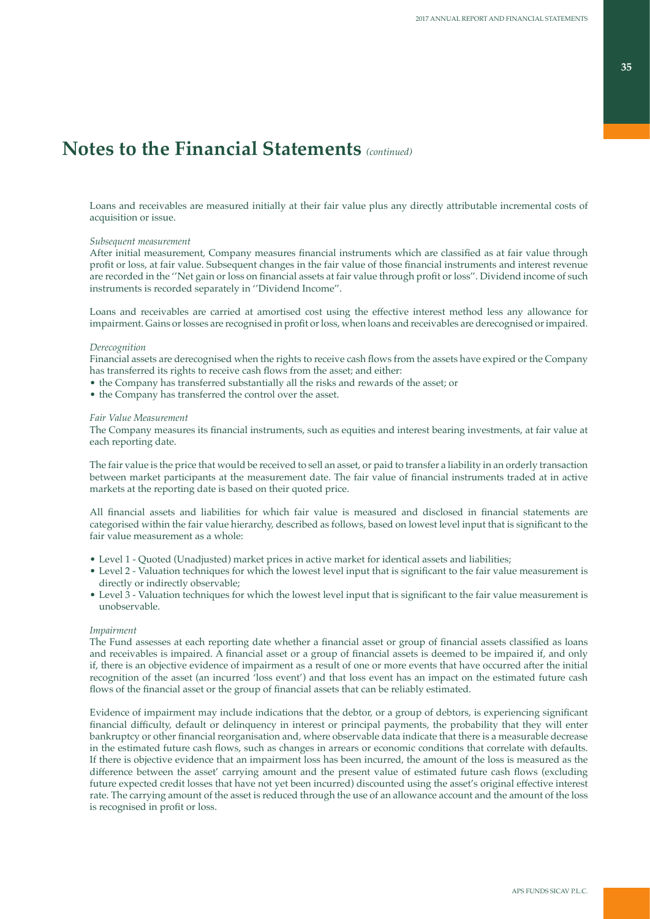Loans and receivables are measured initially at their fair value plus any directly attributable incremental costs of acquisition or issue.

### *Subsequent measurement*

After initial measurement, Company measures financial instruments which are classified as at fair value through profit or loss, at fair value. Subsequent changes in the fair value of those financial instruments and interest revenue are recorded in the ''Net gain or loss on financial assets at fair value through profit or loss''. Dividend income of such instruments is recorded separately in ''Dividend Income''.

Loans and receivables are carried at amortised cost using the effective interest method less any allowance for impairment. Gains or losses are recognised in profit or loss, when loans and receivables are derecognised or impaired.

### *Derecognition*

Financial assets are derecognised when the rights to receive cash flows from the assets have expired or the Company has transferred its rights to receive cash flows from the asset; and either:

- the Company has transferred substantially all the risks and rewards of the asset; or
- the Company has transferred the control over the asset.

#### *Fair Value Measurement*

The Company measures its financial instruments, such as equities and interest bearing investments, at fair value at each reporting date.

The fair value is the price that would be received to sell an asset, or paid to transfer a liability in an orderly transaction between market participants at the measurement date. The fair value of financial instruments traded at in active markets at the reporting date is based on their quoted price.

All financial assets and liabilities for which fair value is measured and disclosed in financial statements are categorised within the fair value hierarchy, described as follows, based on lowest level input that is significant to the fair value measurement as a whole:

- Level 1 Quoted (Unadjusted) market prices in active market for identical assets and liabilities;
- Level 2 Valuation techniques for which the lowest level input that is significant to the fair value measurement is directly or indirectly observable;
- Level 3 Valuation techniques for which the lowest level input that is significant to the fair value measurement is unobservable.

### *Impairment*

The Fund assesses at each reporting date whether a financial asset or group of financial assets classified as loans and receivables is impaired. A financial asset or a group of financial assets is deemed to be impaired if, and only if, there is an objective evidence of impairment as a result of one or more events that have occurred after the initial recognition of the asset (an incurred 'loss event') and that loss event has an impact on the estimated future cash flows of the financial asset or the group of financial assets that can be reliably estimated.

Evidence of impairment may include indications that the debtor, or a group of debtors, is experiencing significant financial difficulty, default or delinquency in interest or principal payments, the probability that they will enter bankruptcy or other financial reorganisation and, where observable data indicate that there is a measurable decrease in the estimated future cash flows, such as changes in arrears or economic conditions that correlate with defaults. If there is objective evidence that an impairment loss has been incurred, the amount of the loss is measured as the difference between the asset' carrying amount and the present value of estimated future cash flows (excluding future expected credit losses that have not yet been incurred) discounted using the asset's original effective interest rate. The carrying amount of the asset is reduced through the use of an allowance account and the amount of the loss is recognised in profit or loss.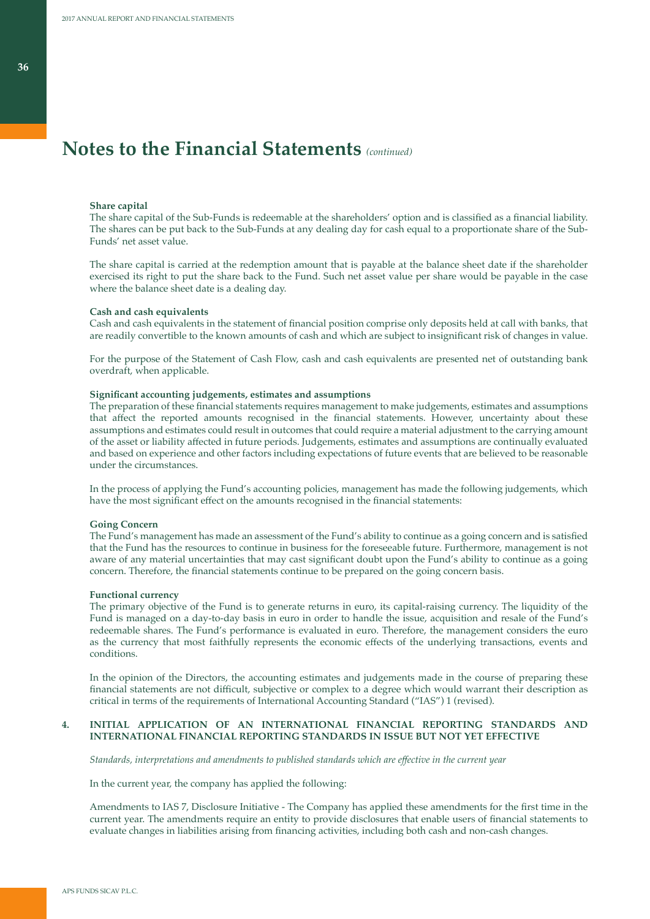### **Share capital**

The share capital of the Sub-Funds is redeemable at the shareholders' option and is classified as a financial liability. The shares can be put back to the Sub-Funds at any dealing day for cash equal to a proportionate share of the Sub-Funds' net asset value.

The share capital is carried at the redemption amount that is payable at the balance sheet date if the shareholder exercised its right to put the share back to the Fund. Such net asset value per share would be payable in the case where the balance sheet date is a dealing day.

#### **Cash and cash equivalents**

Cash and cash equivalents in the statement of financial position comprise only deposits held at call with banks, that are readily convertible to the known amounts of cash and which are subject to insignificant risk of changes in value.

For the purpose of the Statement of Cash Flow, cash and cash equivalents are presented net of outstanding bank overdraft, when applicable.

### **Significant accounting judgements, estimates and assumptions**

The preparation of these financial statements requires management to make judgements, estimates and assumptions that affect the reported amounts recognised in the financial statements. However, uncertainty about these assumptions and estimates could result in outcomes that could require a material adjustment to the carrying amount of the asset or liability affected in future periods. Judgements, estimates and assumptions are continually evaluated and based on experience and other factors including expectations of future events that are believed to be reasonable under the circumstances.

In the process of applying the Fund's accounting policies, management has made the following judgements, which have the most significant effect on the amounts recognised in the financial statements:

### **Going Concern**

The Fund's management has made an assessment of the Fund's ability to continue as a going concern and is satisfied that the Fund has the resources to continue in business for the foreseeable future. Furthermore, management is not aware of any material uncertainties that may cast significant doubt upon the Fund's ability to continue as a going concern. Therefore, the financial statements continue to be prepared on the going concern basis.

### **Functional currency**

The primary objective of the Fund is to generate returns in euro, its capital-raising currency. The liquidity of the Fund is managed on a day-to-day basis in euro in order to handle the issue, acquisition and resale of the Fund's redeemable shares. The Fund's performance is evaluated in euro. Therefore, the management considers the euro as the currency that most faithfully represents the economic effects of the underlying transactions, events and conditions.

In the opinion of the Directors, the accounting estimates and judgements made in the course of preparing these financial statements are not difficult, subjective or complex to a degree which would warrant their description as critical in terms of the requirements of International Accounting Standard ("IAS") 1 (revised).

### **4. INITIAL APPLICATION OF AN INTERNATIONAL FINANCIAL REPORTING STANDARDS AND INTERNATIONAL FINANCIAL REPORTING STANDARDS IN ISSUE BUT NOT YET EFFECTIVE**

*Standards, interpretations and amendments to published standards which are effective in the current year*

In the current year, the company has applied the following:

Amendments to IAS 7, Disclosure Initiative - The Company has applied these amendments for the first time in the current year. The amendments require an entity to provide disclosures that enable users of financial statements to evaluate changes in liabilities arising from financing activities, including both cash and non-cash changes.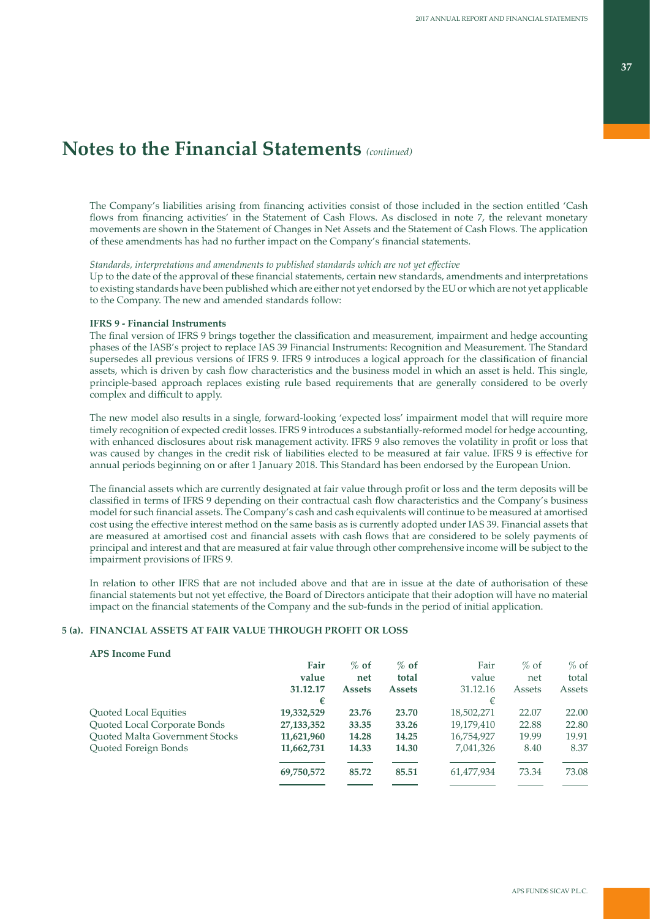The Company's liabilities arising from financing activities consist of those included in the section entitled 'Cash flows from financing activities' in the Statement of Cash Flows. As disclosed in note 7, the relevant monetary movements are shown in the Statement of Changes in Net Assets and the Statement of Cash Flows. The application of these amendments has had no further impact on the Company's financial statements.

### *Standards, interpretations and amendments to published standards which are not yet effective*

Up to the date of the approval of these financial statements, certain new standards, amendments and interpretations to existing standards have been published which are either not yet endorsed by the EU or which are not yet applicable to the Company. The new and amended standards follow:

### **IFRS 9 - Financial Instruments**

The final version of IFRS 9 brings together the classification and measurement, impairment and hedge accounting phases of the IASB's project to replace IAS 39 Financial Instruments: Recognition and Measurement. The Standard supersedes all previous versions of IFRS 9. IFRS 9 introduces a logical approach for the classification of financial assets, which is driven by cash flow characteristics and the business model in which an asset is held. This single, principle-based approach replaces existing rule based requirements that are generally considered to be overly complex and difficult to apply.

The new model also results in a single, forward-looking 'expected loss' impairment model that will require more timely recognition of expected credit losses. IFRS 9 introduces a substantially-reformed model for hedge accounting, with enhanced disclosures about risk management activity. IFRS 9 also removes the volatility in profit or loss that was caused by changes in the credit risk of liabilities elected to be measured at fair value. IFRS 9 is effective for annual periods beginning on or after 1 January 2018. This Standard has been endorsed by the European Union.

The financial assets which are currently designated at fair value through profit or loss and the term deposits will be classified in terms of IFRS 9 depending on their contractual cash flow characteristics and the Company's business model for such financial assets. The Company's cash and cash equivalents will continue to be measured at amortised cost using the effective interest method on the same basis as is currently adopted under IAS 39. Financial assets that are measured at amortised cost and financial assets with cash flows that are considered to be solely payments of principal and interest and that are measured at fair value through other comprehensive income will be subject to the impairment provisions of IFRS 9.

In relation to other IFRS that are not included above and that are in issue at the date of authorisation of these financial statements but not yet effective, the Board of Directors anticipate that their adoption will have no material impact on the financial statements of the Company and the sub-funds in the period of initial application.

## **5 (a). FINANCIAL ASSETS AT FAIR VALUE THROUGH PROFIT OR LOSS**

## **APS Income Fund**

|                                       | Fair         | $%$ of        | $%$ of        | Fair       | $\%$ of | $%$ of |
|---------------------------------------|--------------|---------------|---------------|------------|---------|--------|
|                                       | value        | net           | total         | value      | net     | total  |
|                                       | 31.12.17     | <b>Assets</b> | <b>Assets</b> | 31.12.16   | Assets  | Assets |
|                                       | €            |               |               | €          |         |        |
| Quoted Local Equities                 | 19,332,529   | 23.76         | 23.70         | 18,502,271 | 22.07   | 22.00  |
| Quoted Local Corporate Bonds          | 27, 133, 352 | 33.35         | 33.26         | 19,179,410 | 22.88   | 22.80  |
| <b>Ouoted Malta Government Stocks</b> | 11,621,960   | 14.28         | 14.25         | 16,754,927 | 19.99   | 19.91  |
| Quoted Foreign Bonds                  | 11,662,731   | 14.33         | 14.30         | 7,041,326  | 8.40    | 8.37   |
|                                       | 69,750,572   | 85.72         | 85.51         | 61,477,934 | 73.34   | 73.08  |
|                                       |              |               |               |            |         |        |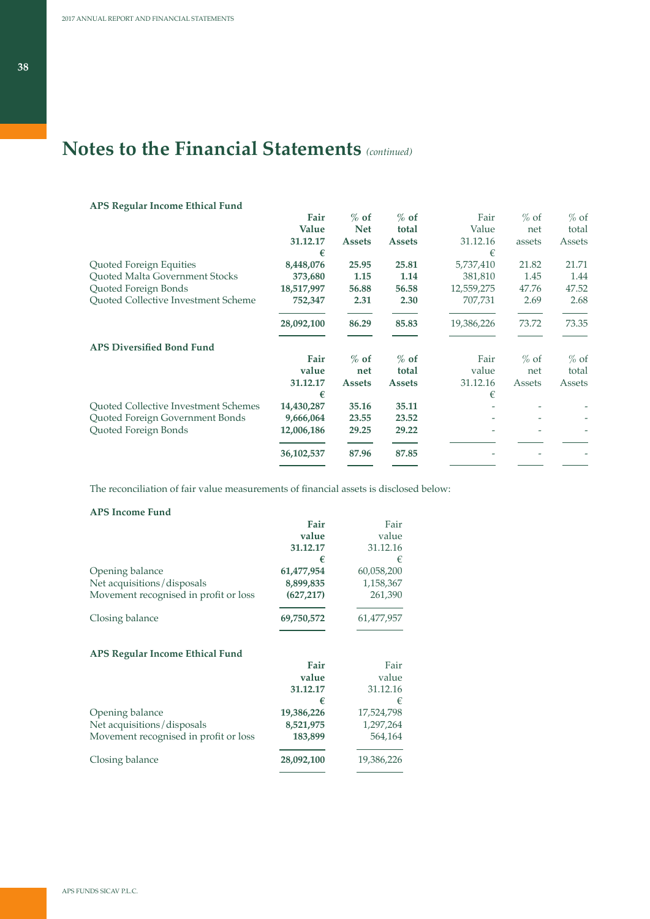# **APS Regular Income Ethical Fund**

|                                             | Fair       | $%$ of        | $%$ of        | Fair       | $%$ of | $%$ of |
|---------------------------------------------|------------|---------------|---------------|------------|--------|--------|
|                                             | Value      | <b>Net</b>    | total         | Value      | net    | total  |
|                                             | 31.12.17   | <b>Assets</b> | <b>Assets</b> | 31.12.16   | assets | Assets |
|                                             | €          |               |               | €          |        |        |
| Quoted Foreign Equities                     | 8,448,076  | 25.95         | 25.81         | 5,737,410  | 21.82  | 21.71  |
| Quoted Malta Government Stocks              | 373,680    | 1.15          | 1.14          | 381,810    | 1.45   | 1.44   |
| Quoted Foreign Bonds                        | 18,517,997 | 56.88         | 56.58         | 12,559,275 | 47.76  | 47.52  |
| Quoted Collective Investment Scheme         | 752,347    | 2.31          | 2.30          | 707,731    | 2.69   | 2.68   |
|                                             | 28,092,100 | 86.29         | 85.83         | 19,386,226 | 73.72  | 73.35  |
| <b>APS Diversified Bond Fund</b>            |            |               |               |            |        |        |
|                                             | Fair       | $%$ of        | $%$ of        | Fair       | $%$ of | $%$ of |
|                                             | value      | net           | total         | value      | net    | total  |
|                                             | 31.12.17   | <b>Assets</b> | <b>Assets</b> | 31.12.16   | Assets | Assets |
|                                             | €          |               |               | €          |        |        |
| <b>Ouoted Collective Investment Schemes</b> | 14,430,287 | 35.16         | 35.11         |            |        |        |
| Quoted Foreign Government Bonds             | 9,666,064  | 23.55         | 23.52         |            |        |        |
| Quoted Foreign Bonds                        | 12,006,186 | 29.25         | 29.22         |            |        |        |
|                                             | 36,102,537 | 87.96         | 87.85         |            |        |        |
|                                             |            |               |               |            |        |        |

The reconciliation of fair value measurements of financial assets is disclosed below:

# **APS Income Fund**

|                                        | Fair       | Fair       |
|----------------------------------------|------------|------------|
|                                        | value      | value      |
|                                        | 31.12.17   | 31.12.16   |
|                                        | €          | €          |
| Opening balance                        | 61,477,954 | 60,058,200 |
| Net acquisitions/disposals             | 8,899,835  | 1,158,367  |
| Movement recognised in profit or loss  | (627, 217) | 261,390    |
| Closing balance                        | 69,750,572 | 61,477,957 |
| <b>APS Regular Income Ethical Fund</b> | Fair       |            |
|                                        |            | Fair       |
|                                        | value      | value      |
|                                        | 31.12.17   | 31.12.16   |
|                                        | €          | €          |
| Opening balance                        | 19,386,226 | 17,524,798 |
| Net acquisitions/disposals             | 8,521,975  | 1,297,264  |
| Movement recognised in profit or loss  | 183,899    | 564,164    |
| Closing balance                        | 28,092,100 | 19,386,226 |
|                                        |            |            |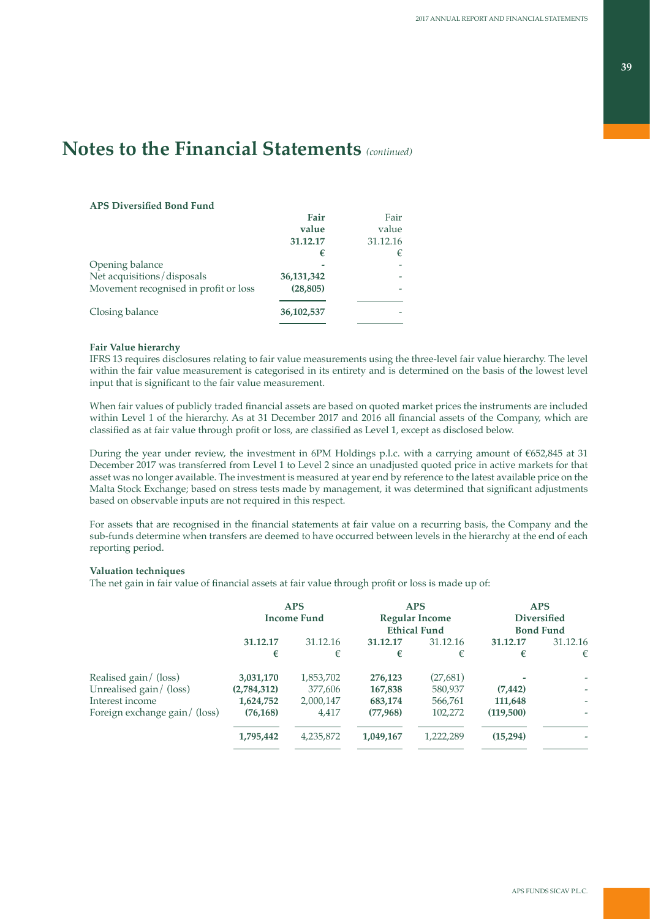### **APS Diversified Bond Fund**

|                                       | Fair       | Fair     |
|---------------------------------------|------------|----------|
|                                       | value      | value    |
|                                       | 31.12.17   | 31.12.16 |
|                                       | €          | €        |
| Opening balance                       |            |          |
| Net acquisitions/disposals            | 36,131,342 |          |
| Movement recognised in profit or loss | (28, 805)  |          |
|                                       |            |          |
| Closing balance                       | 36,102,537 |          |
|                                       |            |          |

### **Fair Value hierarchy**

IFRS 13 requires disclosures relating to fair value measurements using the three-level fair value hierarchy. The level within the fair value measurement is categorised in its entirety and is determined on the basis of the lowest level input that is significant to the fair value measurement.

When fair values of publicly traded financial assets are based on quoted market prices the instruments are included within Level 1 of the hierarchy. As at 31 December 2017 and 2016 all financial assets of the Company, which are classified as at fair value through profit or loss, are classified as Level 1, except as disclosed below.

During the year under review, the investment in 6PM Holdings p.l.c. with a carrying amount of €652,845 at 31 December 2017 was transferred from Level 1 to Level 2 since an unadjusted quoted price in active markets for that asset was no longer available. The investment is measured at year end by reference to the latest available price on the Malta Stock Exchange; based on stress tests made by management, it was determined that significant adjustments based on observable inputs are not required in this respect.

For assets that are recognised in the financial statements at fair value on a recurring basis, the Company and the sub-funds determine when transfers are deemed to have occurred between levels in the hierarchy at the end of each reporting period.

### **Valuation techniques**

The net gain in fair value of financial assets at fair value through profit or loss is made up of:

|                               | <b>APS</b><br><b>Income Fund</b> |           |           | <b>APS</b><br><b>Regular Income</b><br><b>Ethical Fund</b> | <b>APS</b><br><b>Diversified</b><br><b>Bond Fund</b> |          |
|-------------------------------|----------------------------------|-----------|-----------|------------------------------------------------------------|------------------------------------------------------|----------|
|                               | 31.12.17                         | 31.12.16  | 31.12.17  | 31.12.16                                                   | 31.12.17                                             | 31.12.16 |
|                               | €                                | €         | €         | €                                                          | €                                                    | €        |
| Realised gain/ (loss)         | 3,031,170                        | 1,853,702 | 276,123   | (27, 681)                                                  |                                                      |          |
| Unrealised gain/ (loss)       | (2,784,312)                      | 377,606   | 167,838   | 580,937                                                    | (7, 442)                                             | ٠        |
| Interest income               | 1,624,752                        | 2,000,147 | 683,174   | 566,761                                                    | 111,648                                              |          |
| Foreign exchange gain/ (loss) | (76, 168)                        | 4,417     | (77,968)  | 102,272                                                    | (119,500)                                            | ۰        |
|                               | 1,795,442                        | 4,235,872 | 1,049,167 | 1,222,289                                                  | (15,294)                                             |          |
|                               |                                  |           |           |                                                            |                                                      |          |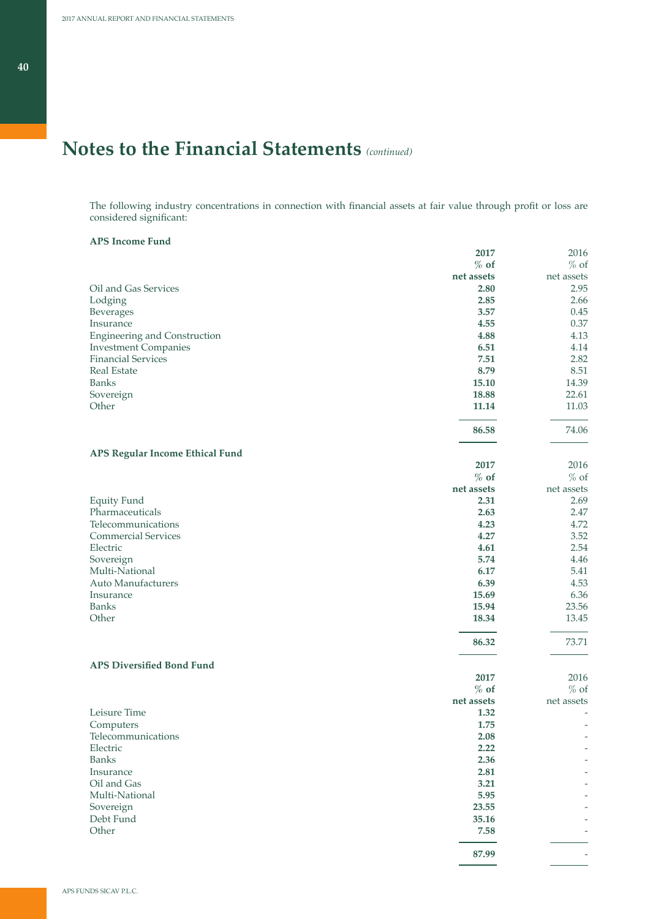The following industry concentrations in connection with financial assets at fair value through profit or loss are considered significant:

### **APS Income Fund**

|                                     | 2017       | 2016       |
|-------------------------------------|------------|------------|
|                                     | $%$ of     | $%$ of     |
|                                     | net assets | net assets |
| Oil and Gas Services                | 2.80       | 2.95       |
| Lodging                             | 2.85       | 2.66       |
| Beverages                           | 3.57       | 0.45       |
| Insurance                           | 4.55       | 0.37       |
| <b>Engineering and Construction</b> | 4.88       | 4.13       |
| <b>Investment Companies</b>         | 6.51       | 4.14       |
| <b>Financial Services</b>           | 7.51       | 2.82       |
| <b>Real Estate</b>                  | 8.79       | 8.51       |
| <b>Banks</b>                        | 15.10      | 14.39      |
| Sovereign                           | 18.88      | 22.61      |
| Other                               | 11.14      | 11.03      |
|                                     | 86.58      | 74.06      |
| APS Regular Income Ethical Fund     |            |            |
|                                     | 2017       | 2016       |
|                                     | $%$ of     | $%$ of     |
|                                     | net assets | net assets |
| <b>Equity Fund</b>                  | 2.31       | 2.69       |
| Pharmaceuticals                     | 2.63       | 2.47       |
| Telecommunications                  | 4.23       | 4.72       |
| <b>Commercial Services</b>          | 4.27       | 3.52       |
| Electric                            | 4.61       | 2.54       |
| Sovereign                           | 5.74       | 4.46       |
| Multi-National                      | 6.17       | 5.41       |
| Auto Manufacturers                  | 6.39       | 4.53       |
| Insurance                           | 15.69      | 6.36       |
| <b>Banks</b>                        | 15.94      | 23.56      |
| Other                               | 18.34      | 13.45      |
|                                     | 86.32      | 73.71      |
| <b>APS Diversified Bond Fund</b>    |            |            |
|                                     | 2017       | 2016       |
|                                     | $%$ of     | $%$ of     |
|                                     | net assets | net assets |
| Leisure Time                        | 1.32       |            |
| Computers                           | 1.75       |            |
| Telecommunications                  | 2.08       |            |
| Electric                            | 2.22       |            |
| <b>Banks</b>                        | 2.36       |            |
| Insurance                           | 2.81       |            |
| Oil and Gas                         | 3.21       |            |
| Multi-National                      | 5.95       |            |
| Sovereign                           | 23.55      |            |
| Debt Fund                           | 35.16      |            |
| Other                               | 7.58       |            |
|                                     | 87.99      |            |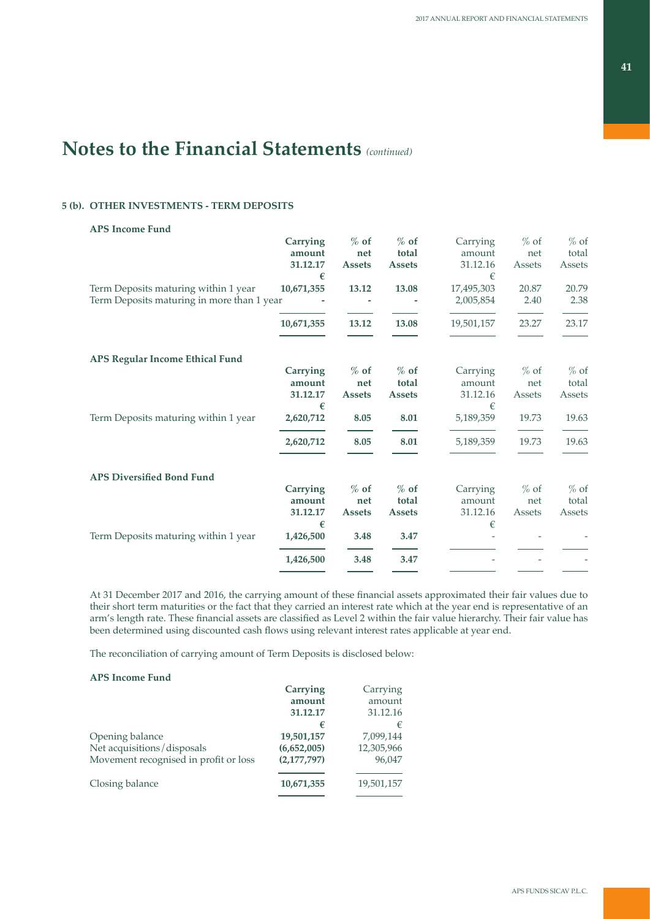# **5 (b). OTHER INVESTMENTS - TERM DEPOSITS**

## **APS Income Fund**

|                                            | Carrying        | $%$ of        | $%$ of        | Carrying   | $%$ of | $%$ of |
|--------------------------------------------|-----------------|---------------|---------------|------------|--------|--------|
|                                            | amount          | net           | total         | amount     | net    | total  |
|                                            | 31.12.17        | <b>Assets</b> | <b>Assets</b> | 31.12.16   | Assets | Assets |
|                                            | €               |               |               | €          |        |        |
| Term Deposits maturing within 1 year       | 10,671,355      | 13.12         | 13.08         | 17,495,303 | 20.87  | 20.79  |
| Term Deposits maturing in more than 1 year |                 |               |               | 2,005,854  | 2.40   | 2.38   |
|                                            | 10,671,355      | 13.12         | 13.08         | 19,501,157 | 23.27  | 23.17  |
| APS Regular Income Ethical Fund            |                 |               |               |            |        |        |
|                                            | <b>Carrying</b> | $%$ of        | $%$ of        | Carrying   | $%$ of | $%$ of |
|                                            | amount          | net           | total         | amount     | net    | total  |
|                                            | 31.12.17        | <b>Assets</b> | <b>Assets</b> | 31.12.16   | Assets | Assets |
|                                            | €               |               |               | €          |        |        |
| Term Deposits maturing within 1 year       | 2,620,712       | 8.05          | 8.01          | 5,189,359  | 19.73  | 19.63  |
|                                            | 2,620,712       | 8.05          | 8.01          | 5,189,359  | 19.73  | 19.63  |
| <b>APS Diversified Bond Fund</b>           |                 |               |               |            |        |        |
|                                            | <b>Carrying</b> | $%$ of        | $%$ of        | Carrying   | $%$ of | $%$ of |
|                                            | amount          | net           | total         | amount     | net    | total  |
|                                            | 31.12.17        | <b>Assets</b> | <b>Assets</b> | 31.12.16   | Assets | Assets |
|                                            | €               |               |               | €          |        |        |
| Term Deposits maturing within 1 year       | 1,426,500       | 3.48          | 3.47          |            |        |        |
|                                            | 1,426,500       | 3.48          | 3.47          |            |        |        |
|                                            |                 |               |               |            |        |        |

At 31 December 2017 and 2016, the carrying amount of these financial assets approximated their fair values due to their short term maturities or the fact that they carried an interest rate which at the year end is representative of an arm's length rate. These financial assets are classified as Level 2 within the fair value hierarchy. Their fair value has been determined using discounted cash flows using relevant interest rates applicable at year end.

The reconciliation of carrying amount of Term Deposits is disclosed below:

### **APS Income Fund**

| Carrying    | Carrying   |
|-------------|------------|
| amount      | amount     |
| 31.12.17    | 31.12.16   |
| €           | €          |
| 19,501,157  | 7,099,144  |
| (6,652,005) | 12,305,966 |
| (2,177,797) | 96,047     |
| 10,671,355  | 19,501,157 |
|             |            |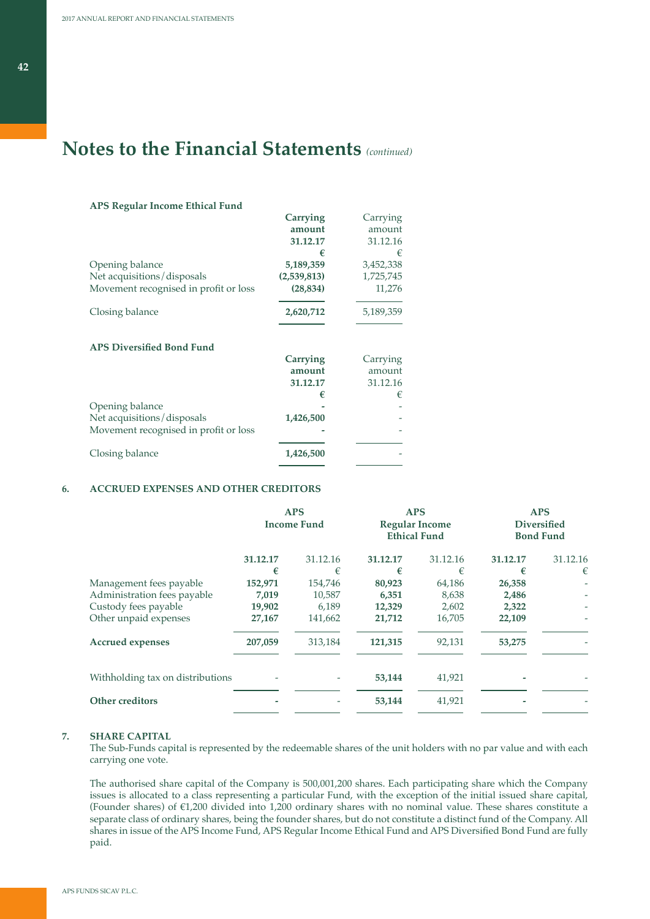**APS Regular Income Ethical Fund**

# **Notes to the Financial Statements** *(continued)*

| агэ кединаг пісоше бинсаг гипи        |             |           |
|---------------------------------------|-------------|-----------|
|                                       | Carrying    | Carrying  |
|                                       | amount      | amount    |
|                                       | 31.12.17    | 31.12.16  |
|                                       | €           | €         |
| Opening balance                       | 5,189,359   | 3,452,338 |
| Net acquisitions/disposals            | (2,539,813) | 1,725,745 |
| Movement recognised in profit or loss | (28, 834)   | 11,276    |
| Closing balance                       | 2,620,712   | 5,189,359 |
| <b>APS Diversified Bond Fund</b>      |             |           |
|                                       | Carrying    | Carrying  |
|                                       | amount      | amount    |
|                                       | 31.12.17    | 31.12.16  |
|                                       | €           | €         |
| Opening balance                       |             |           |
| Net acquisitions/disposals            | 1,426,500   |           |
| Movement recognised in profit or loss |             |           |
| Closing balance                       | 1,426,500   |           |
|                                       |             |           |

### **6. ACCRUED EXPENSES AND OTHER CREDITORS**

|                                  |          | <b>APS</b><br><b>Income Fund</b> |          | <b>APS</b><br><b>Regular Income</b><br><b>Ethical Fund</b> |          | <b>APS</b><br><b>Diversified</b><br><b>Bond Fund</b> |
|----------------------------------|----------|----------------------------------|----------|------------------------------------------------------------|----------|------------------------------------------------------|
|                                  | 31.12.17 | 31.12.16                         | 31.12.17 | 31.12.16                                                   | 31.12.17 | 31.12.16                                             |
|                                  | €        | €                                | €        | €                                                          | €        | €                                                    |
| Management fees payable          | 152,971  | 154,746                          | 80,923   | 64,186                                                     | 26,358   |                                                      |
| Administration fees payable      | 7,019    | 10,587                           | 6,351    | 8,638                                                      | 2,486    |                                                      |
| Custody fees payable             | 19,902   | 6,189                            | 12,329   | 2,602                                                      | 2,322    |                                                      |
| Other unpaid expenses            | 27,167   | 141,662                          | 21,712   | 16,705                                                     | 22,109   |                                                      |
| <b>Accrued expenses</b>          | 207,059  | 313,184                          | 121,315  | 92,131                                                     | 53,275   |                                                      |
| Withholding tax on distributions |          |                                  | 53,144   | 41,921                                                     |          |                                                      |
| Other creditors                  |          |                                  | 53,144   | 41,921                                                     |          |                                                      |
|                                  |          |                                  |          |                                                            |          |                                                      |

### **7. SHARE CAPITAL**

The Sub-Funds capital is represented by the redeemable shares of the unit holders with no par value and with each carrying one vote.

The authorised share capital of the Company is 500,001,200 shares. Each participating share which the Company issues is allocated to a class representing a particular Fund, with the exception of the initial issued share capital, (Founder shares) of €1,200 divided into 1,200 ordinary shares with no nominal value. These shares constitute a separate class of ordinary shares, being the founder shares, but do not constitute a distinct fund of the Company. All shares in issue of the APS Income Fund, APS Regular Income Ethical Fund and APS Diversified Bond Fund are fully paid.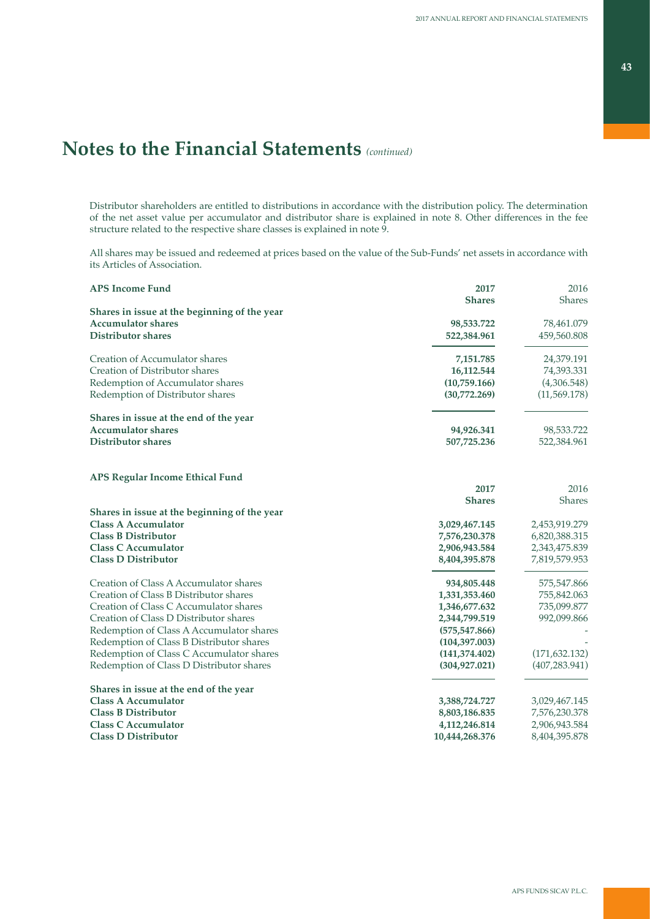## **43**

# **Notes to the Financial Statements** *(continued)*

Distributor shareholders are entitled to distributions in accordance with the distribution policy. The determination of the net asset value per accumulator and distributor share is explained in note 8. Other differences in the fee structure related to the respective share classes is explained in note 9.

All shares may be issued and redeemed at prices based on the value of the Sub-Funds' net assets in accordance with its Articles of Association.

| <b>APS Income Fund</b>                       | 2017<br><b>Shares</b> | 2016<br>Shares |
|----------------------------------------------|-----------------------|----------------|
| Shares in issue at the beginning of the year |                       |                |
| <b>Accumulator shares</b>                    | 98,533.722            | 78,461.079     |
| <b>Distributor shares</b>                    | 522,384.961           | 459,560.808    |
| Creation of Accumulator shares               | 7,151.785             | 24,379.191     |
| Creation of Distributor shares               | 16,112.544            | 74,393.331     |
| Redemption of Accumulator shares             | (10,759.166)          | (4,306.548)    |
| Redemption of Distributor shares             | (30,772.269)          | (11, 569.178)  |
| Shares in issue at the end of the year       |                       |                |
| <b>Accumulator shares</b>                    | 94,926.341            | 98,533.722     |
| <b>Distributor shares</b>                    | 507,725.236           | 522,384.961    |
| <b>APS Regular Income Ethical Fund</b>       |                       |                |
|                                              | 2017                  | 2016           |
|                                              | <b>Shares</b>         | <b>Shares</b>  |
| Shares in issue at the beginning of the year |                       |                |
| <b>Class A Accumulator</b>                   | 3,029,467.145         | 2,453,919.279  |
| <b>Class B Distributor</b>                   | 7,576,230.378         | 6,820,388.315  |
| <b>Class C Accumulator</b>                   | 2,906,943.584         | 2,343,475.839  |
| <b>Class D Distributor</b>                   | 8,404,395.878         | 7,819,579.953  |
| Creation of Class A Accumulator shares       | 934,805.448           | 575,547.866    |
| Creation of Class B Distributor shares       | 1,331,353.460         | 755,842.063    |
| Creation of Class C Accumulator shares       | 1,346,677.632         | 735,099.877    |
| Creation of Class D Distributor shares       | 2,344,799.519         | 992,099.866    |
| Redemption of Class A Accumulator shares     | (575, 547.866)        |                |
| Redemption of Class B Distributor shares     | (104, 397, 003)       |                |
| Redemption of Class C Accumulator shares     | (141,374.402)         | (171, 632.132) |
| Redemption of Class D Distributor shares     | (304, 927.021)        | (407, 283.941) |
| Shares in issue at the end of the year       |                       |                |
| <b>Class A Accumulator</b>                   | 3,388,724.727         | 3,029,467.145  |
| <b>Class B Distributor</b>                   | 8,803,186.835         | 7,576,230.378  |
| <b>Class C Accumulator</b>                   | 4, 112, 246.814       | 2,906,943.584  |
| <b>Class D Distributor</b>                   | 10,444,268.376        | 8,404,395.878  |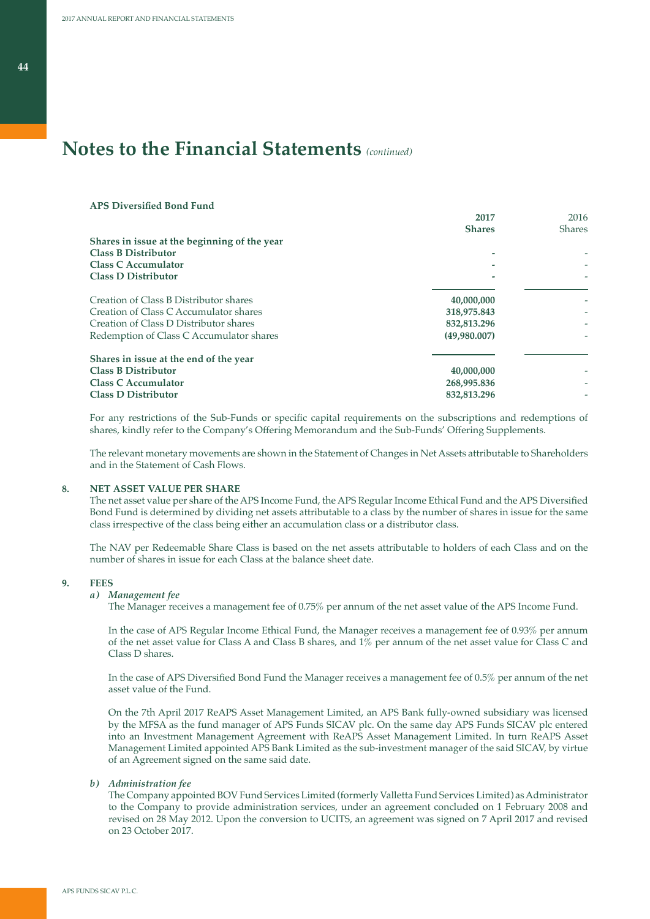| <b>APS Diversified Bond Fund</b>             |               |               |
|----------------------------------------------|---------------|---------------|
|                                              | 2017          | 2016          |
|                                              | <b>Shares</b> | <b>Shares</b> |
| Shares in issue at the beginning of the year |               |               |
| <b>Class B Distributor</b>                   |               |               |
| <b>Class C Accumulator</b>                   |               |               |
| <b>Class D Distributor</b>                   |               |               |
| Creation of Class B Distributor shares       | 40,000,000    |               |
| Creation of Class C Accumulator shares       | 318,975.843   |               |
| Creation of Class D Distributor shares       | 832,813.296   |               |
| Redemption of Class C Accumulator shares     | (49,980.007)  |               |
| Shares in issue at the end of the year       |               |               |
| <b>Class B Distributor</b>                   | 40,000,000    |               |
| <b>Class C Accumulator</b>                   | 268,995.836   |               |
| <b>Class D Distributor</b>                   | 832,813.296   |               |

For any restrictions of the Sub-Funds or specific capital requirements on the subscriptions and redemptions of shares, kindly refer to the Company's Offering Memorandum and the Sub-Funds' Offering Supplements.

The relevant monetary movements are shown in the Statement of Changes in Net Assets attributable to Shareholders and in the Statement of Cash Flows.

## **8. NET ASSET VALUE PER SHARE**

The net asset value per share of the APS Income Fund, the APS Regular Income Ethical Fund and the APS Diversified Bond Fund is determined by dividing net assets attributable to a class by the number of shares in issue for the same class irrespective of the class being either an accumulation class or a distributor class.

The NAV per Redeemable Share Class is based on the net assets attributable to holders of each Class and on the number of shares in issue for each Class at the balance sheet date.

### **9. FEES**

### *a) Management fee*

The Manager receives a management fee of 0.75% per annum of the net asset value of the APS Income Fund.

In the case of APS Regular Income Ethical Fund, the Manager receives a management fee of 0.93% per annum of the net asset value for Class A and Class B shares, and 1% per annum of the net asset value for Class C and Class D shares.

In the case of APS Diversified Bond Fund the Manager receives a management fee of 0.5% per annum of the net asset value of the Fund.

 On the 7th April 2017 ReAPS Asset Management Limited, an APS Bank fully-owned subsidiary was licensed by the MFSA as the fund manager of APS Funds SICAV plc. On the same day APS Funds SICAV plc entered into an Investment Management Agreement with ReAPS Asset Management Limited. In turn ReAPS Asset Management Limited appointed APS Bank Limited as the sub-investment manager of the said SICAV, by virtue of an Agreement signed on the same said date.

### *b) Administration fee*

 The Company appointed BOV Fund Services Limited (formerly Valletta Fund Services Limited) as Administrator to the Company to provide administration services, under an agreement concluded on 1 February 2008 and revised on 28 May 2012. Upon the conversion to UCITS, an agreement was signed on 7 April 2017 and revised on 23 October 2017.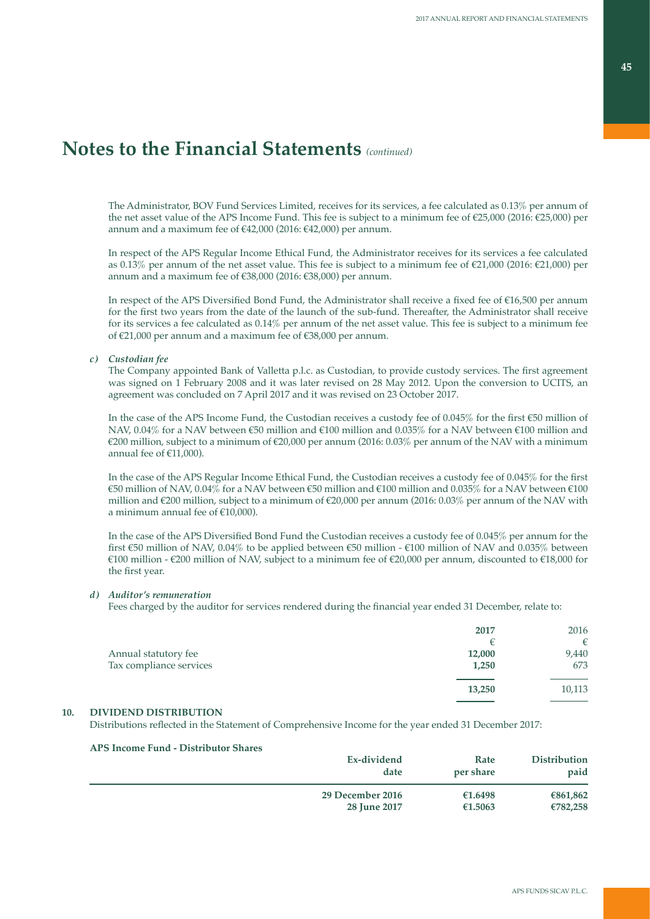The Administrator, BOV Fund Services Limited, receives for its services, a fee calculated as 0.13% per annum of the net asset value of the APS Income Fund. This fee is subject to a minimum fee of €25,000 (2016: €25,000) per annum and a maximum fee of €42,000 (2016: €42,000) per annum.

 In respect of the APS Regular Income Ethical Fund, the Administrator receives for its services a fee calculated as 0.13% per annum of the net asset value. This fee is subject to a minimum fee of €21,000 (2016: €21,000) per annum and a maximum fee of €38,000 (2016: €38,000) per annum.

In respect of the APS Diversified Bond Fund, the Administrator shall receive a fixed fee of €16,500 per annum for the first two years from the date of the launch of the sub-fund. Thereafter, the Administrator shall receive for its services a fee calculated as 0.14% per annum of the net asset value. This fee is subject to a minimum fee of €21,000 per annum and a maximum fee of €38,000 per annum.

### *c) Custodian fee*

The Company appointed Bank of Valletta p.l.c. as Custodian, to provide custody services. The first agreement was signed on 1 February 2008 and it was later revised on 28 May 2012. Upon the conversion to UCITS, an agreement was concluded on 7 April 2017 and it was revised on 23 October 2017.

In the case of the APS Income Fund, the Custodian receives a custody fee of 0.045% for the first €50 million of NAV, 0.04% for a NAV between €50 million and €100 million and 0.035% for a NAV between €100 million and €200 million, subject to a minimum of €20,000 per annum (2016: 0.03% per annum of the NAV with a minimum annual fee of  $£11,000$ ).

In the case of the APS Regular Income Ethical Fund, the Custodian receives a custody fee of 0.045% for the first €50 million of NAV, 0.04% for a NAV between €50 million and €100 million and 0.035% for a NAV between €100 million and €200 million, subject to a minimum of €20,000 per annum (2016: 0.03% per annum of the NAV with a minimum annual fee of  $€10,000$ ).

In the case of the APS Diversified Bond Fund the Custodian receives a custody fee of 0.045% per annum for the first €50 million of NAV, 0.04% to be applied between €50 million - €100 million of NAV and 0.035% between €100 million - €200 million of NAV, subject to a minimum fee of €20,000 per annum, discounted to €18,000 for the first year.

### *d) Auditor's remuneration*

Fees charged by the auditor for services rendered during the financial year ended 31 December, relate to:

|                                                 | 2017            | 2016<br>€    |
|-------------------------------------------------|-----------------|--------------|
| Annual statutory fee<br>Tax compliance services | 12,000<br>1,250 | 9,440<br>673 |
|                                                 | 13,250          | 10,113       |

# **10. DIVIDEND DISTRIBUTION**

Distributions reflected in the Statement of Comprehensive Income for the year ended 31 December 2017:

| Ex-dividend<br>date | Rate<br>per share | Distribution<br>paid |
|---------------------|-------------------|----------------------|
| 29 December 2016    | €1.6498           | €861,862             |
| 28 June 2017        | €1.5063           | €782,258             |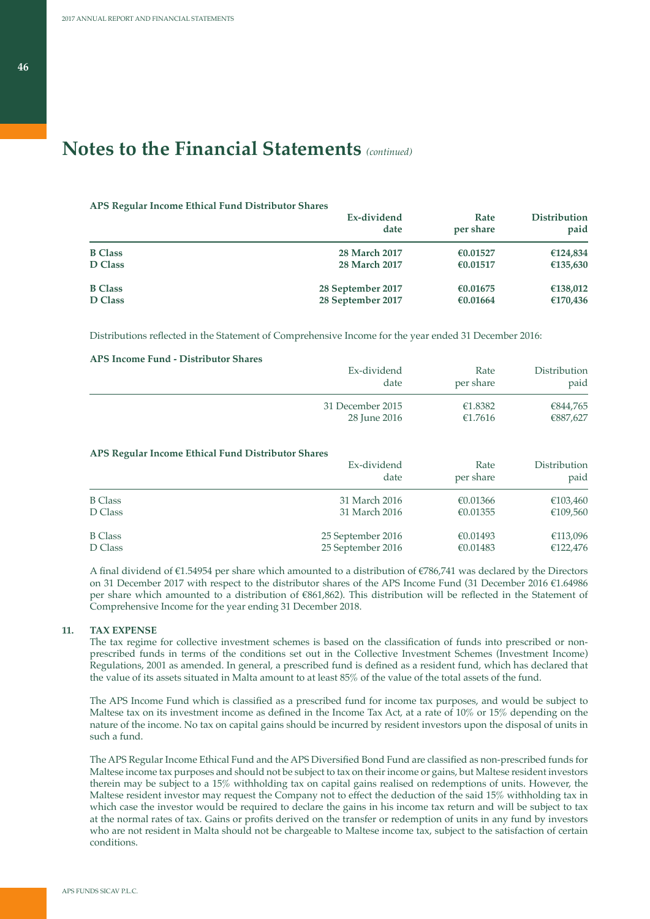#### **APS Regular Income Ethical Fund Distributor Shares**

|                | Ex-dividend<br>date  | Rate<br>per share | <b>Distribution</b><br>paid |
|----------------|----------------------|-------------------|-----------------------------|
| <b>B</b> Class | 28 March 2017        | €0.01527          | €124,834                    |
| <b>D</b> Class | <b>28 March 2017</b> | €0.01517          | €135,630                    |
| <b>B</b> Class | 28 September 2017    | €0.01675          | €138,012                    |
| <b>D</b> Class | 28 September 2017    | €0.01664          | €170,436                    |

Distributions reflected in the Statement of Comprehensive Income for the year ended 31 December 2016:

### **APS Income Fund - Distributor Shares**

| Ex-dividend      | Rate      | Distribution |
|------------------|-----------|--------------|
| date             | per share | paid         |
| 31 December 2015 | €1.8382   | €844,765     |
| 28 June 2016     | €1.7616   | €887,627     |

### **APS Regular Income Ethical Fund Distributor Shares**

|                | Ex-dividend<br>date | Rate<br>per share | Distribution<br>paid |
|----------------|---------------------|-------------------|----------------------|
| <b>B</b> Class | 31 March 2016       | €0.01366          | €103,460             |
| D Class        | 31 March 2016       | €0.01355          | €109,560             |
| <b>B</b> Class | 25 September 2016   | €0.01493          | €113,096             |
| D Class        | 25 September 2016   | €0.01483          | €122,476             |

A final dividend of €1.54954 per share which amounted to a distribution of €786,741 was declared by the Directors on 31 December 2017 with respect to the distributor shares of the APS Income Fund (31 December 2016 €1.64986 per share which amounted to a distribution of €861,862). This distribution will be reflected in the Statement of Comprehensive Income for the year ending 31 December 2018.

### **11. TAX EXPENSE**

The tax regime for collective investment schemes is based on the classification of funds into prescribed or nonprescribed funds in terms of the conditions set out in the Collective Investment Schemes (Investment Income) Regulations, 2001 as amended. In general, a prescribed fund is defined as a resident fund, which has declared that the value of its assets situated in Malta amount to at least 85% of the value of the total assets of the fund.

The APS Income Fund which is classified as a prescribed fund for income tax purposes, and would be subject to Maltese tax on its investment income as defined in the Income Tax Act, at a rate of 10% or 15% depending on the nature of the income. No tax on capital gains should be incurred by resident investors upon the disposal of units in such a fund.

The APS Regular Income Ethical Fund and the APS Diversified Bond Fund are classified as non-prescribed funds for Maltese income tax purposes and should not be subject to tax on their income or gains, but Maltese resident investors therein may be subject to a 15% withholding tax on capital gains realised on redemptions of units. However, the Maltese resident investor may request the Company not to effect the deduction of the said 15% withholding tax in which case the investor would be required to declare the gains in his income tax return and will be subject to tax at the normal rates of tax. Gains or profits derived on the transfer or redemption of units in any fund by investors who are not resident in Malta should not be chargeable to Maltese income tax, subject to the satisfaction of certain conditions.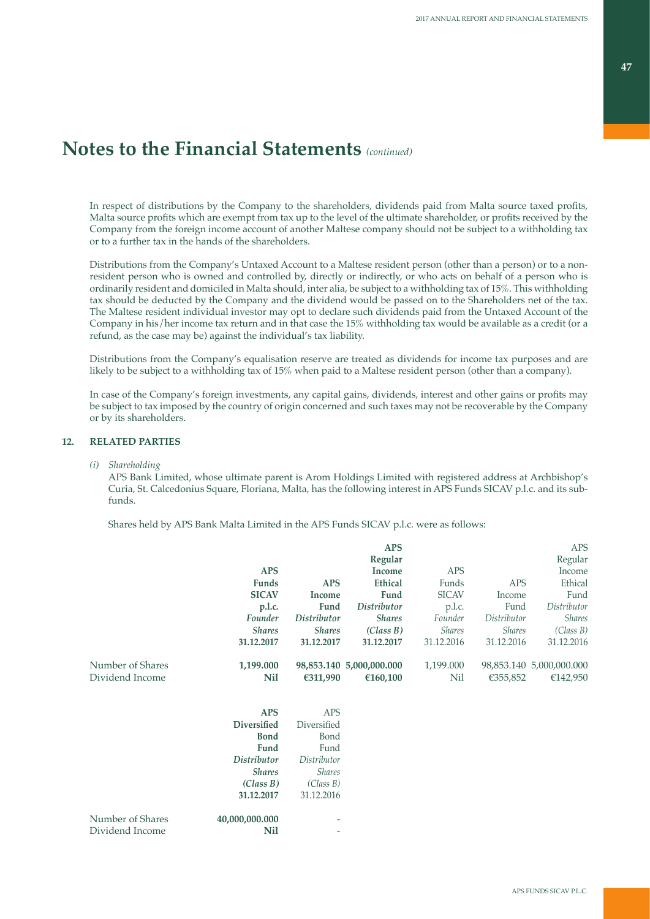In respect of distributions by the Company to the shareholders, dividends paid from Malta source taxed profits, Malta source profits which are exempt from tax up to the level of the ultimate shareholder, or profits received by the Company from the foreign income account of another Maltese company should not be subject to a withholding tax or to a further tax in the hands of the shareholders.

Distributions from the Company's Untaxed Account to a Maltese resident person (other than a person) or to a nonresident person who is owned and controlled by, directly or indirectly, or who acts on behalf of a person who is ordinarily resident and domiciled in Malta should, inter alia, be subject to a withholding tax of 15%. This withholding tax should be deducted by the Company and the dividend would be passed on to the Shareholders net of the tax. The Maltese resident individual investor may opt to declare such dividends paid from the Untaxed Account of the Company in his/her income tax return and in that case the 15% withholding tax would be available as a credit (or a refund, as the case may be) against the individual's tax liability.

Distributions from the Company's equalisation reserve are treated as dividends for income tax purposes and are likely to be subject to a withholding tax of 15% when paid to a Maltese resident person (other than a company).

In case of the Company's foreign investments, any capital gains, dividends, interest and other gains or profits may be subject to tax imposed by the country of origin concerned and such taxes may not be recoverable by the Company or by its shareholders.

### **12. RELATED PARTIES**

*(i) Shareholding*

 APS Bank Limited, whose ultimate parent is Arom Holdings Limited with registered address at Archbishop's Curia, St. Calcedonius Square, Floriana, Malta, has the following interest in APS Funds SICAV p.l.c. and its subfunds.

Shares held by APS Bank Malta Limited in the APS Funds SICAV p.l.c. were as follows:

|                  |                    |               | <b>APS</b>               |               |               | <b>APS</b>               |
|------------------|--------------------|---------------|--------------------------|---------------|---------------|--------------------------|
|                  |                    |               | Regular                  |               |               | Regular                  |
|                  | <b>APS</b>         |               | Income                   | <b>APS</b>    |               | Income                   |
|                  | <b>Funds</b>       | <b>APS</b>    | <b>Ethical</b>           | Funds         | <b>APS</b>    | Ethical                  |
|                  | <b>SICAV</b>       | Income        | Fund                     | <b>SICAV</b>  | Income        | Fund                     |
|                  | p.l.c.             | Fund          | <b>Distributor</b>       | p.l.c.        | Fund          | Distributor              |
|                  | Founder            | Distributor   | <b>Shares</b>            | Founder       | Distributor   | <b>Shares</b>            |
|                  | <b>Shares</b>      | <b>Shares</b> | (Class B)                | <b>Shares</b> | <b>Shares</b> | (Class B)                |
|                  | 31.12.2017         | 31.12.2017    | 31.12.2017               | 31.12.2016    | 31.12.2016    | 31.12.2016               |
| Number of Shares | 1,199.000          |               | 98,853.140 5,000,000.000 | 1,199.000     |               | 98,853.140 5,000,000.000 |
| Dividend Income  | Nil                | €311,990      | €160,100                 | Nil           | €355,852      | €142,950                 |
|                  |                    |               |                          |               |               |                          |
|                  | <b>APS</b>         | <b>APS</b>    |                          |               |               |                          |
|                  | <b>Diversified</b> | Diversified   |                          |               |               |                          |
|                  | <b>Bond</b>        | Bond          |                          |               |               |                          |
|                  | Fund               | Fund          |                          |               |               |                          |
|                  | <b>Distributor</b> | Distributor   |                          |               |               |                          |
|                  | <b>Shares</b>      | <b>Shares</b> |                          |               |               |                          |
|                  | (Class B)          | (Class B)     |                          |               |               |                          |
|                  | 31.12.2017         | 31.12.2016    |                          |               |               |                          |
| Number of Shares | 40,000,000.000     |               |                          |               |               |                          |
| Dividend Income  | Nil                | ٠             |                          |               |               |                          |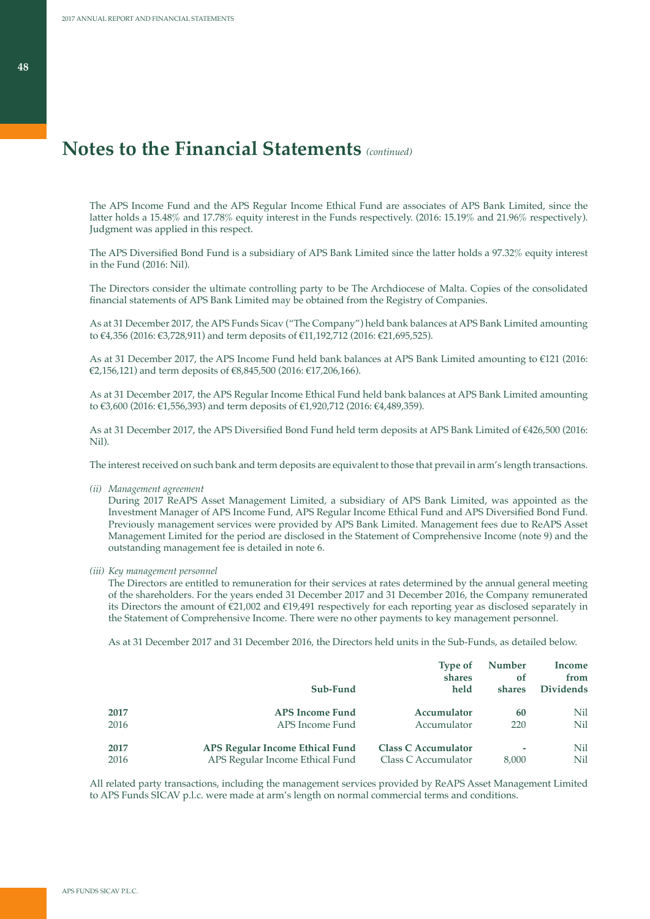The APS Income Fund and the APS Regular Income Ethical Fund are associates of APS Bank Limited, since the latter holds a 15.48% and 17.78% equity interest in the Funds respectively. (2016: 15.19% and 21.96% respectively). Judgment was applied in this respect.

The APS Diversified Bond Fund is a subsidiary of APS Bank Limited since the latter holds a 97.32% equity interest in the Fund (2016: Nil).

The Directors consider the ultimate controlling party to be The Archdiocese of Malta. Copies of the consolidated financial statements of APS Bank Limited may be obtained from the Registry of Companies.

As at 31 December 2017, the APS Funds Sicav ("The Company") held bank balances at APS Bank Limited amounting to €4,356 (2016: €3,728,911) and term deposits of €11,192,712 (2016: €21,695,525).

As at 31 December 2017, the APS Income Fund held bank balances at APS Bank Limited amounting to €121 (2016: €2,156,121) and term deposits of €8,845,500 (2016: €17,206,166).

As at 31 December 2017, the APS Regular Income Ethical Fund held bank balances at APS Bank Limited amounting to €3,600 (2016: €1,556,393) and term deposits of €1,920,712 (2016: €4,489,359).

As at 31 December 2017, the APS Diversified Bond Fund held term deposits at APS Bank Limited of €426,500 (2016: Nil).

The interest received on such bank and term deposits are equivalent to those that prevail in arm's length transactions.

*(ii) Management agreement*

 During 2017 ReAPS Asset Management Limited, a subsidiary of APS Bank Limited, was appointed as the Investment Manager of APS Income Fund, APS Regular Income Ethical Fund and APS Diversified Bond Fund. Previously management services were provided by APS Bank Limited. Management fees due to ReAPS Asset Management Limited for the period are disclosed in the Statement of Comprehensive Income (note 9) and the outstanding management fee is detailed in note 6.

*(iii) Key management personnel*

 The Directors are entitled to remuneration for their services at rates determined by the annual general meeting of the shareholders. For the years ended 31 December 2017 and 31 December 2016, the Company remunerated its Directors the amount of €21,002 and €19,491 respectively for each reporting year as disclosed separately in the Statement of Comprehensive Income. There were no other payments to key management personnel.

As at 31 December 2017 and 31 December 2016, the Directors held units in the Sub-Funds, as detailed below.

|      |                                        | <b>Type of</b><br>shares   | <b>Number</b><br>Ωf | Income<br>from   |
|------|----------------------------------------|----------------------------|---------------------|------------------|
|      | Sub-Fund                               | held                       | shares              | <b>Dividends</b> |
| 2017 | <b>APS Income Fund</b>                 | Accumulator                | 60                  | Nil              |
| 2016 | APS Income Fund                        | Accumulator                | 220                 | Nil              |
| 2017 | <b>APS Regular Income Ethical Fund</b> | <b>Class C Accumulator</b> | ٠                   | Nil              |
| 2016 | APS Regular Income Ethical Fund        | Class C Accumulator        | 8.000               | Nil              |

All related party transactions, including the management services provided by ReAPS Asset Management Limited to APS Funds SICAV p.l.c. were made at arm's length on normal commercial terms and conditions.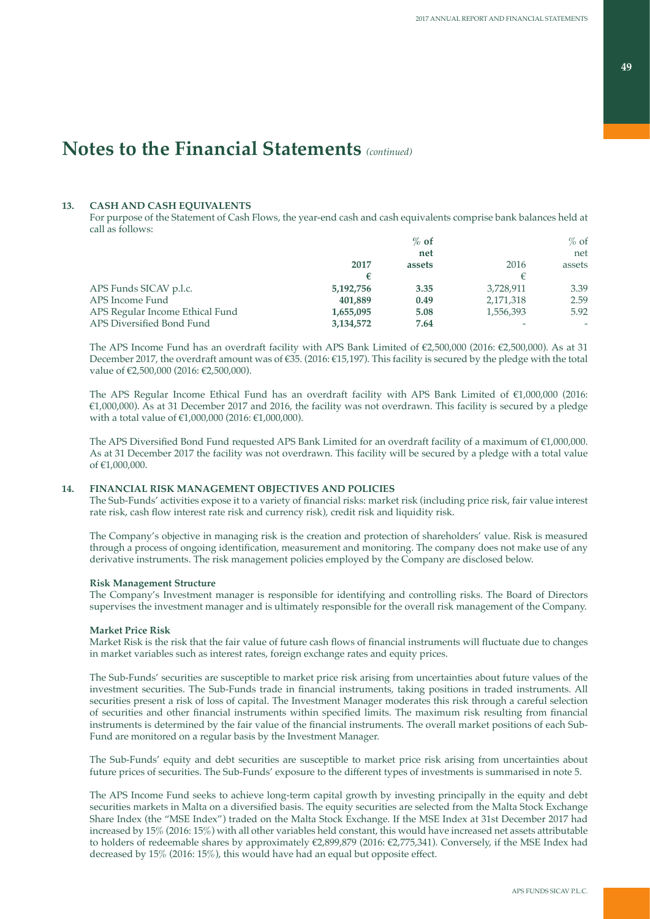## **13. CASH AND CASH EQUIVALENTS**

For purpose of the Statement of Cash Flows, the year-end cash and cash equivalents comprise bank balances held at call as follows:

|                                 |           | $%$ of |           | $%$ of |
|---------------------------------|-----------|--------|-----------|--------|
|                                 |           | net    |           | net    |
|                                 | 2017      | assets | 2016      | assets |
|                                 | €         |        |           |        |
| APS Funds SICAV p.l.c.          | 5,192,756 | 3.35   | 3,728,911 | 3.39   |
| APS Income Fund                 | 401,889   | 0.49   | 2,171,318 | 2.59   |
| APS Regular Income Ethical Fund | 1,655,095 | 5.08   | 1,556,393 | 5.92   |
| APS Diversified Bond Fund       | 3,134,572 | 7.64   |           | ۰      |
|                                 |           |        |           |        |

The APS Income Fund has an overdraft facility with APS Bank Limited of €2,500,000 (2016: €2,500,000). As at 31 December 2017, the overdraft amount was of €35. (2016: €15,197). This facility is secured by the pledge with the total value of €2,500,000 (2016: €2,500,000).

The APS Regular Income Ethical Fund has an overdraft facility with APS Bank Limited of €1,000,000 (2016: €1,000,000). As at 31 December 2017 and 2016, the facility was not overdrawn. This facility is secured by a pledge with a total value of €1,000,000 (2016: €1,000,000).

The APS Diversified Bond Fund requested APS Bank Limited for an overdraft facility of a maximum of €1,000,000. As at 31 December 2017 the facility was not overdrawn. This facility will be secured by a pledge with a total value of €1,000,000.

## **14. FINANCIAL RISK MANAGEMENT OBJECTIVES AND POLICIES**

The Sub-Funds' activities expose it to a variety of financial risks: market risk (including price risk, fair value interest rate risk, cash flow interest rate risk and currency risk), credit risk and liquidity risk.

The Company's objective in managing risk is the creation and protection of shareholders' value. Risk is measured through a process of ongoing identification, measurement and monitoring. The company does not make use of any derivative instruments. The risk management policies employed by the Company are disclosed below.

### **Risk Management Structure**

The Company's Investment manager is responsible for identifying and controlling risks. The Board of Directors supervises the investment manager and is ultimately responsible for the overall risk management of the Company.

## **Market Price Risk**

Market Risk is the risk that the fair value of future cash flows of financial instruments will fluctuate due to changes in market variables such as interest rates, foreign exchange rates and equity prices.

The Sub-Funds' securities are susceptible to market price risk arising from uncertainties about future values of the investment securities. The Sub-Funds trade in financial instruments, taking positions in traded instruments. All securities present a risk of loss of capital. The Investment Manager moderates this risk through a careful selection of securities and other financial instruments within specified limits. The maximum risk resulting from financial instruments is determined by the fair value of the financial instruments. The overall market positions of each Sub-Fund are monitored on a regular basis by the Investment Manager.

The Sub-Funds' equity and debt securities are susceptible to market price risk arising from uncertainties about future prices of securities. The Sub-Funds' exposure to the different types of investments is summarised in note 5.

The APS Income Fund seeks to achieve long-term capital growth by investing principally in the equity and debt securities markets in Malta on a diversified basis. The equity securities are selected from the Malta Stock Exchange Share Index (the "MSE Index") traded on the Malta Stock Exchange. If the MSE Index at 31st December 2017 had increased by 15% (2016: 15%) with all other variables held constant, this would have increased net assets attributable to holders of redeemable shares by approximately €2,899,879 (2016: €2,775,341). Conversely, if the MSE Index had decreased by 15% (2016: 15%), this would have had an equal but opposite effect.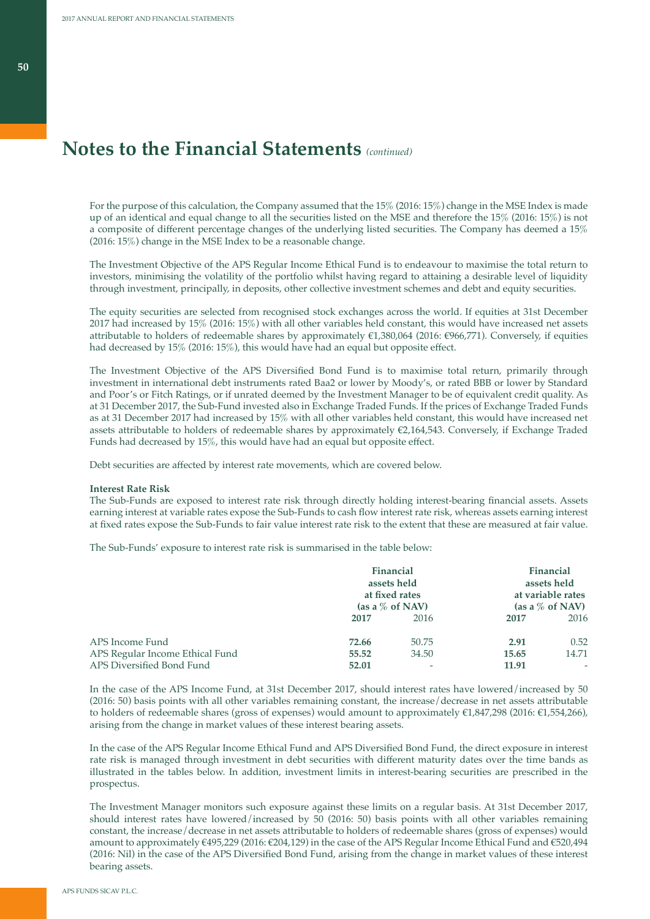For the purpose of this calculation, the Company assumed that the 15% (2016: 15%) change in the MSE Index is made up of an identical and equal change to all the securities listed on the MSE and therefore the 15% (2016: 15%) is not a composite of different percentage changes of the underlying listed securities. The Company has deemed a 15% (2016: 15%) change in the MSE Index to be a reasonable change.

The Investment Objective of the APS Regular Income Ethical Fund is to endeavour to maximise the total return to investors, minimising the volatility of the portfolio whilst having regard to attaining a desirable level of liquidity through investment, principally, in deposits, other collective investment schemes and debt and equity securities.

The equity securities are selected from recognised stock exchanges across the world. If equities at 31st December 2017 had increased by 15% (2016: 15%) with all other variables held constant, this would have increased net assets attributable to holders of redeemable shares by approximately €1,380,064 (2016: €966,771). Conversely, if equities had decreased by 15% (2016: 15%), this would have had an equal but opposite effect.

The Investment Objective of the APS Diversified Bond Fund is to maximise total return, primarily through investment in international debt instruments rated Baa2 or lower by Moody's, or rated BBB or lower by Standard and Poor's or Fitch Ratings, or if unrated deemed by the Investment Manager to be of equivalent credit quality. As at 31 December 2017, the Sub-Fund invested also in Exchange Traded Funds. If the prices of Exchange Traded Funds as at 31 December 2017 had increased by 15% with all other variables held constant, this would have increased net assets attributable to holders of redeemable shares by approximately €2,164,543. Conversely, if Exchange Traded Funds had decreased by 15%, this would have had an equal but opposite effect.

Debt securities are affected by interest rate movements, which are covered below.

#### **Interest Rate Risk**

The Sub-Funds are exposed to interest rate risk through directly holding interest-bearing financial assets. Assets earning interest at variable rates expose the Sub-Funds to cash flow interest rate risk, whereas assets earning interest at fixed rates expose the Sub-Funds to fair value interest rate risk to the extent that these are measured at fair value.

The Sub-Funds' exposure to interest rate risk is summarised in the table below:

|                                 |       | <b>Financial</b><br>assets held<br>at fixed rates<br>(as a $\%$ of NAV) |       | Financial<br>assets held<br>at variable rates<br>(as a $\%$ of NAV) |
|---------------------------------|-------|-------------------------------------------------------------------------|-------|---------------------------------------------------------------------|
|                                 | 2017  | 2016                                                                    | 2017  | 2016                                                                |
| APS Income Fund                 | 72.66 | 50.75                                                                   | 2.91  | 0.52                                                                |
| APS Regular Income Ethical Fund | 55.52 | 34.50                                                                   | 15.65 | 14.71                                                               |
| APS Diversified Bond Fund       | 52.01 | ۰                                                                       | 11.91 | ۰                                                                   |

In the case of the APS Income Fund, at 31st December 2017, should interest rates have lowered/increased by 50 (2016: 50) basis points with all other variables remaining constant, the increase/decrease in net assets attributable to holders of redeemable shares (gross of expenses) would amount to approximately €1,847,298 (2016: €1,554,266), arising from the change in market values of these interest bearing assets.

In the case of the APS Regular Income Ethical Fund and APS Diversified Bond Fund, the direct exposure in interest rate risk is managed through investment in debt securities with different maturity dates over the time bands as illustrated in the tables below. In addition, investment limits in interest-bearing securities are prescribed in the prospectus.

The Investment Manager monitors such exposure against these limits on a regular basis. At 31st December 2017, should interest rates have lowered/increased by 50 (2016: 50) basis points with all other variables remaining constant, the increase/decrease in net assets attributable to holders of redeemable shares (gross of expenses) would amount to approximately €495,229 (2016: €204,129) in the case of the APS Regular Income Ethical Fund and €520,494 (2016: Nil) in the case of the APS Diversified Bond Fund, arising from the change in market values of these interest bearing assets.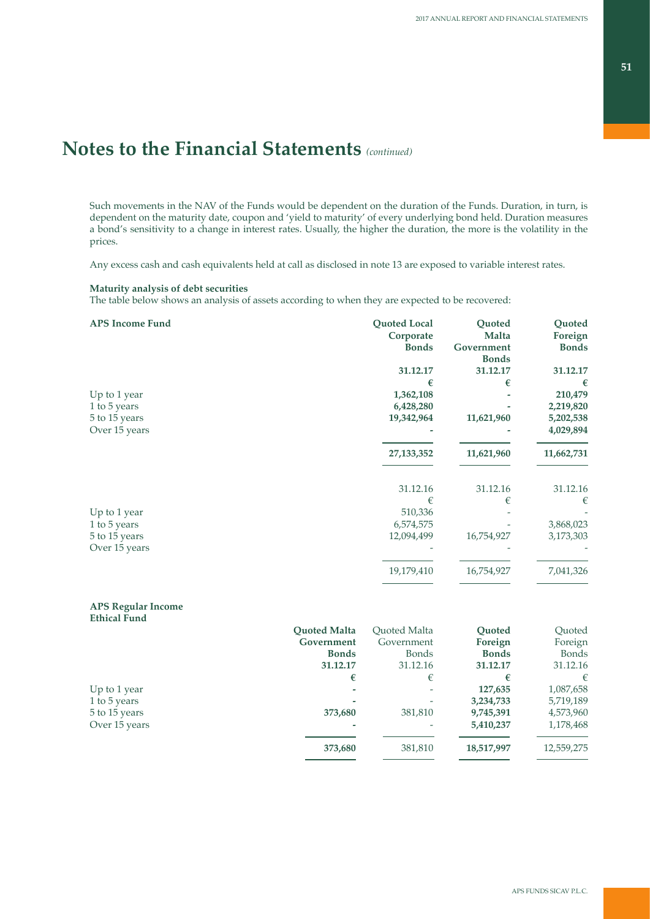Such movements in the NAV of the Funds would be dependent on the duration of the Funds. Duration, in turn, is dependent on the maturity date, coupon and 'yield to maturity' of every underlying bond held. Duration measures a bond's sensitivity to a change in interest rates. Usually, the higher the duration, the more is the volatility in the prices.

Any excess cash and cash equivalents held at call as disclosed in note 13 are exposed to variable interest rates.

## **Maturity analysis of debt securities**

The table below shows an analysis of assets according to when they are expected to be recovered:

| <b>APS Income Fund</b> | Quoted Local | Quoted       | Quoted       |
|------------------------|--------------|--------------|--------------|
|                        | Corporate    | Malta        | Foreign      |
|                        | <b>Bonds</b> | Government   | <b>Bonds</b> |
|                        |              | <b>Bonds</b> |              |
|                        | 31.12.17     | 31.12.17     | 31.12.17     |
|                        | €            | €            | €            |
| Up to 1 year           | 1,362,108    |              | 210,479      |
| 1 to 5 years           | 6,428,280    |              | 2,219,820    |
| 5 to 15 years          | 19,342,964   | 11,621,960   | 5,202,538    |
| Over 15 years          |              |              | 4,029,894    |
|                        | 27, 133, 352 | 11,621,960   | 11,662,731   |
|                        | 31.12.16     | 31.12.16     | 31.12.16     |
|                        | €            | €            | €            |
| Up to 1 year           | 510,336      |              |              |
| 1 to 5 years           | 6,574,575    |              | 3,868,023    |
| 5 to 15 years          | 12,094,499   | 16,754,927   | 3,173,303    |
| Over 15 years          |              |              |              |
|                        | 19,179,410   | 16,754,927   | 7,041,326    |
|                        |              |              |              |

### **APS Regular Income Ethical Fund**

|               | <b>Ouoted Malta</b> | Ouoted Malta | Ouoted       | Quoted     |
|---------------|---------------------|--------------|--------------|------------|
|               | Government          | Government   | Foreign      | Foreign    |
|               | <b>Bonds</b>        | <b>Bonds</b> | <b>Bonds</b> | Bonds      |
|               | 31.12.17            | 31.12.16     | 31.12.17     | 31.12.16   |
|               | €                   | €            | €            | $\epsilon$ |
| Up to 1 year  | -                   | ٠            | 127,635      | 1,087,658  |
| 1 to 5 years  |                     | ۰            | 3,234,733    | 5,719,189  |
| 5 to 15 years | 373,680             | 381,810      | 9,745,391    | 4,573,960  |
| Over 15 years |                     | ۰            | 5,410,237    | 1,178,468  |
|               | 373,680             | 381,810      | 18,517,997   | 12,559,275 |
|               |                     |              |              |            |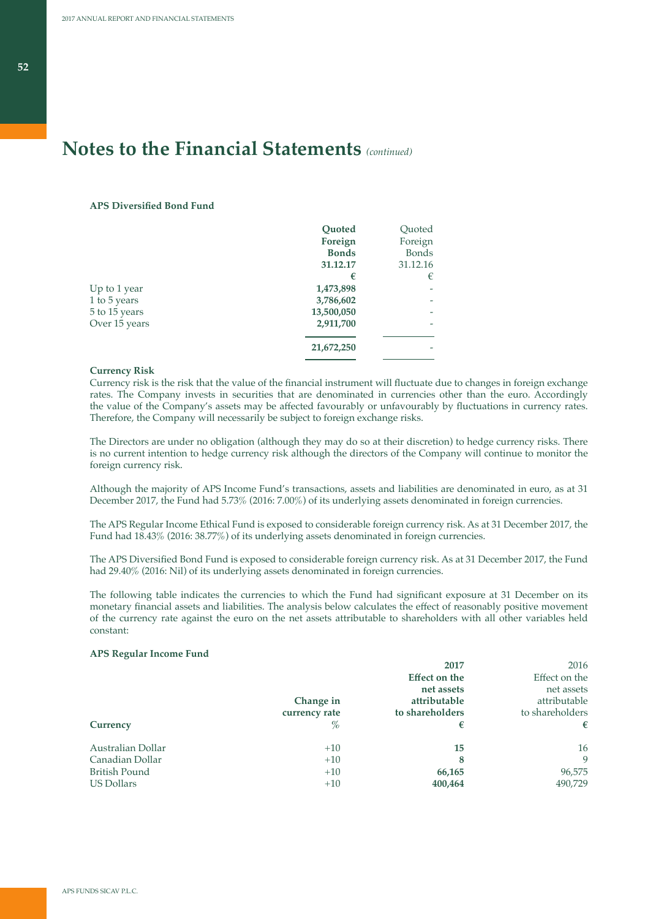### **APS Diversified Bond Fund**

|               | <b>Quoted</b> | Quoted       |
|---------------|---------------|--------------|
|               | Foreign       | Foreign      |
|               | <b>Bonds</b>  | <b>Bonds</b> |
|               | 31.12.17      | 31.12.16     |
|               | €             | €            |
| Up to 1 year  | 1,473,898     |              |
| 1 to 5 years  | 3,786,602     |              |
| 5 to 15 years | 13,500,050    |              |
| Over 15 years | 2,911,700     |              |
|               | 21,672,250    |              |
|               |               |              |

### **Currency Risk**

Currency risk is the risk that the value of the financial instrument will fluctuate due to changes in foreign exchange rates. The Company invests in securities that are denominated in currencies other than the euro. Accordingly the value of the Company's assets may be affected favourably or unfavourably by fluctuations in currency rates. Therefore, the Company will necessarily be subject to foreign exchange risks.

The Directors are under no obligation (although they may do so at their discretion) to hedge currency risks. There is no current intention to hedge currency risk although the directors of the Company will continue to monitor the foreign currency risk.

Although the majority of APS Income Fund's transactions, assets and liabilities are denominated in euro, as at 31 December 2017, the Fund had 5.73% (2016: 7.00%) of its underlying assets denominated in foreign currencies.

The APS Regular Income Ethical Fund is exposed to considerable foreign currency risk. As at 31 December 2017, the Fund had 18.43% (2016: 38.77%) of its underlying assets denominated in foreign currencies.

The APS Diversified Bond Fund is exposed to considerable foreign currency risk. As at 31 December 2017, the Fund had 29.40% (2016: Nil) of its underlying assets denominated in foreign currencies.

The following table indicates the currencies to which the Fund had significant exposure at 31 December on its monetary financial assets and liabilities. The analysis below calculates the effect of reasonably positive movement of the currency rate against the euro on the net assets attributable to shareholders with all other variables held constant:

### **APS Regular Income Fund**

|                      |               | 2017                 | 2016            |
|----------------------|---------------|----------------------|-----------------|
|                      |               | <b>Effect on the</b> | Effect on the   |
|                      |               | net assets           | net assets      |
|                      | Change in     | attributable         | attributable    |
|                      | currency rate | to shareholders      | to shareholders |
| Currency             | $\%$          | €                    | €               |
| Australian Dollar    | $+10$         | 15                   | 16              |
| Canadian Dollar      | $+10$         | 8                    | 9               |
| <b>British Pound</b> | $+10$         | 66,165               | 96,575          |
| US Dollars           | $+10$         | 400,464              | 490.729         |
|                      |               |                      |                 |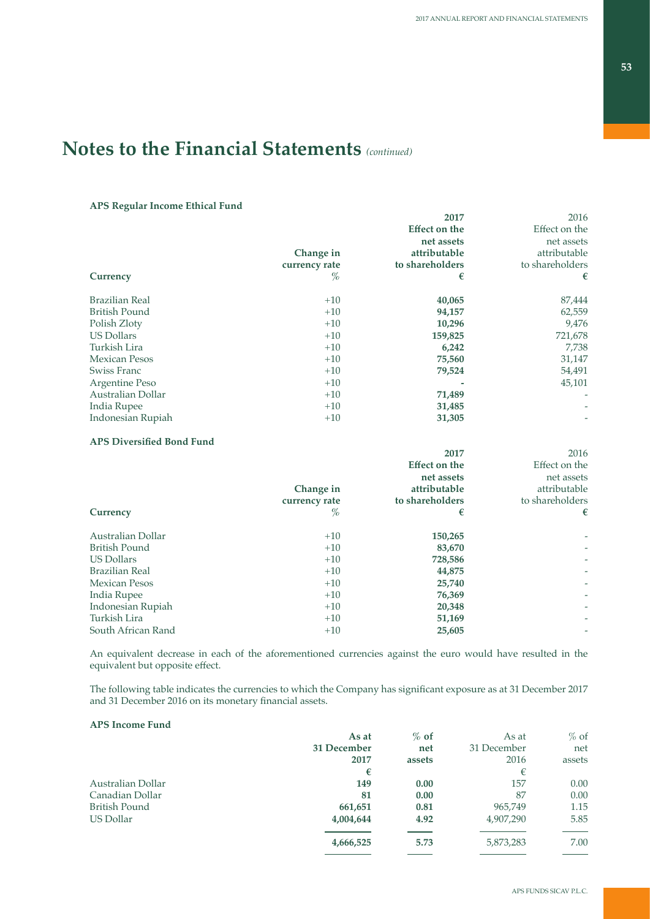### **APS Regular Income Ethical Fund**

|                       |               | 2017                 | 2016            |
|-----------------------|---------------|----------------------|-----------------|
|                       |               | <b>Effect on the</b> | Effect on the   |
|                       |               | net assets           | net assets      |
|                       | Change in     | attributable         | attributable    |
|                       | currency rate | to shareholders      | to shareholders |
| Currency              | %             | €                    | €               |
| <b>Brazilian Real</b> | $+10$         | 40,065               | 87,444          |
| <b>British Pound</b>  | $+10$         | 94,157               | 62,559          |
| Polish Zloty          | $+10$         | 10,296               | 9,476           |
| <b>US Dollars</b>     | $+10$         | 159,825              | 721,678         |
| Turkish Lira          | $+10$         | 6,242                | 7,738           |
| <b>Mexican Pesos</b>  | $+10$         | 75,560               | 31,147          |
| Swiss Franc           | $+10$         | 79,524               | 54,491          |
| Argentine Peso        | $+10$         |                      | 45,101          |
| Australian Dollar     | $+10$         | 71,489               |                 |
| India Rupee           | $+10$         | 31,485               |                 |
| Indonesian Rupiah     | $+10$         | 31,305               |                 |
|                       |               |                      |                 |

### **APS Diversified Bond Fund**

|                       |               | 2017                 | 2016                     |
|-----------------------|---------------|----------------------|--------------------------|
|                       |               | <b>Effect on the</b> | Effect on the            |
|                       |               | net assets           | net assets               |
|                       | Change in     | attributable         | attributable             |
|                       | currency rate | to shareholders      | to shareholders          |
| Currency              | %             | €                    | €                        |
| Australian Dollar     | $+10$         | 150,265              |                          |
| <b>British Pound</b>  | $+10$         | 83,670               | $\overline{\phantom{a}}$ |
| <b>US Dollars</b>     | $+10$         | 728,586              | $\overline{\phantom{a}}$ |
| <b>Brazilian Real</b> | $+10$         | 44,875               |                          |
| <b>Mexican Pesos</b>  | $+10$         | 25,740               | $\overline{\phantom{a}}$ |
| India Rupee           | $+10$         | 76,369               | $\overline{\phantom{a}}$ |
| Indonesian Rupiah     | $+10$         | 20,348               |                          |
| Turkish Lira          | $+10$         | 51,169               |                          |
| South African Rand    | $+10$         | 25,605               |                          |
|                       |               |                      |                          |

An equivalent decrease in each of the aforementioned currencies against the euro would have resulted in the equivalent but opposite effect.

The following table indicates the currencies to which the Company has significant exposure as at 31 December 2017 and 31 December 2016 on its monetary financial assets.

## **APS Income Fund**

|                      | As at       | $%$ of | As at       | $%$ of |
|----------------------|-------------|--------|-------------|--------|
|                      | 31 December | net    | 31 December | net    |
|                      | 2017        | assets | 2016        | assets |
|                      | €           |        | €           |        |
| Australian Dollar    | 149         | 0.00   | 157         | 0.00   |
| Canadian Dollar      | 81          | 0.00   | 87          | 0.00   |
| <b>British Pound</b> | 661,651     | 0.81   | 965,749     | 1.15   |
| US Dollar            | 4,004,644   | 4.92   | 4,907,290   | 5.85   |
|                      | 4,666,525   | 5.73   | 5,873,283   | 7.00   |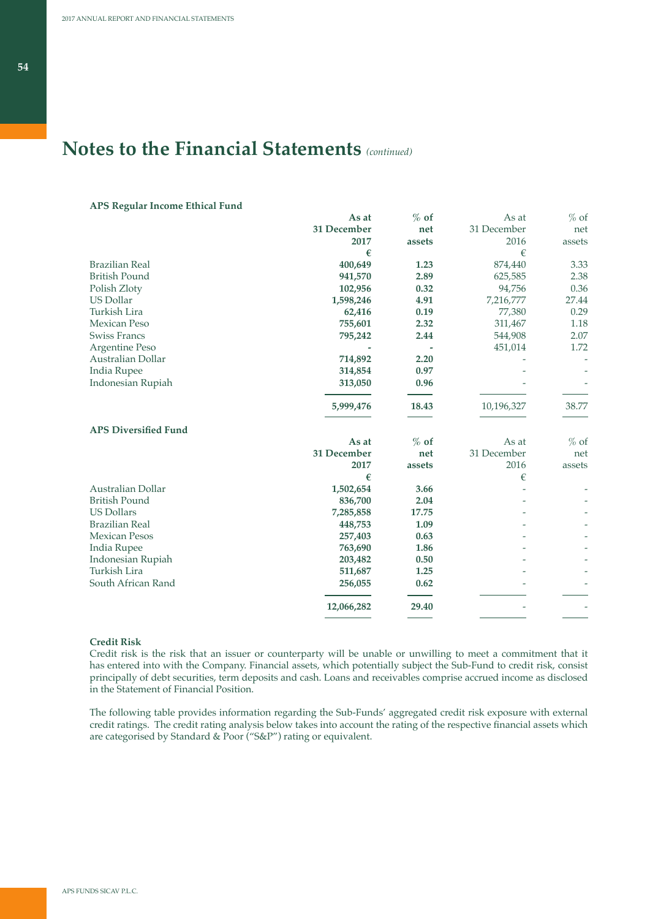### **APS Regular Income Ethical Fund**

|             |        |             | $%$ of |
|-------------|--------|-------------|--------|
| 31 December | net    | 31 December | net    |
| 2017        | assets | 2016        | assets |
| €           |        | €           |        |
| 400,649     | 1.23   | 874,440     | 3.33   |
| 941,570     | 2.89   | 625,585     | 2.38   |
| 102,956     | 0.32   | 94,756      | 0.36   |
| 1,598,246   | 4.91   | 7,216,777   | 27.44  |
| 62,416      | 0.19   | 77,380      | 0.29   |
| 755,601     | 2.32   | 311,467     | 1.18   |
| 795,242     | 2.44   | 544,908     | 2.07   |
|             |        | 451,014     | 1.72   |
| 714,892     | 2.20   |             |        |
| 314,854     | 0.97   |             |        |
| 313,050     | 0.96   |             |        |
| 5,999,476   | 18.43  | 10,196,327  | 38.77  |
|             |        |             |        |
| As at       | $%$ of | As at       | $%$ of |
| 31 December | net    | 31 December | net    |
| 2017        | assets | 2016        | assets |
| €           |        | €           |        |
| 1,502,654   | 3.66   |             |        |
| 836,700     | 2.04   |             |        |
| 7,285,858   | 17.75  |             |        |
| 448,753     | 1.09   |             |        |
| 257,403     | 0.63   |             |        |
| 763,690     | 1.86   |             |        |
| 203,482     | 0.50   |             |        |
| 511,687     | 1.25   |             |        |
| 256,055     | 0.62   |             |        |
|             |        |             |        |
|             | As at  | $%$ of      | As at  |

### **Credit Risk**

Credit risk is the risk that an issuer or counterparty will be unable or unwilling to meet a commitment that it has entered into with the Company. Financial assets, which potentially subject the Sub-Fund to credit risk, consist principally of debt securities, term deposits and cash. Loans and receivables comprise accrued income as disclosed in the Statement of Financial Position.

The following table provides information regarding the Sub-Funds' aggregated credit risk exposure with external credit ratings. The credit rating analysis below takes into account the rating of the respective financial assets which are categorised by Standard & Poor ("S&P") rating or equivalent.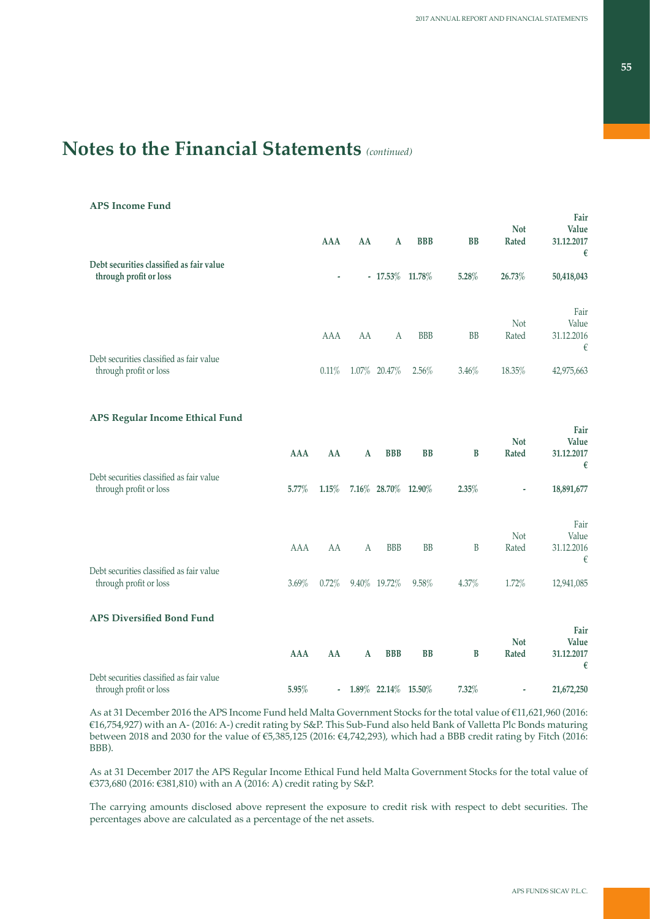### **APS Income Fund**

|                                                                    | <b>AAA</b> | AA | A                 | <b>BBB</b> | <b>BB</b> | <b>Not</b><br><b>Rated</b> | Fair<br>Value<br>31.12.2017<br>€ |
|--------------------------------------------------------------------|------------|----|-------------------|------------|-----------|----------------------------|----------------------------------|
| Debt securities classified as fair value<br>through profit or loss | ۰          |    | $-17.53\%$ 11.78% |            | 5.28%     | 26.73%                     | 50,418,043                       |
|                                                                    | <b>AAA</b> | AA | A                 | <b>BBB</b> | <b>BB</b> | <b>Not</b><br>Rated        | Fair<br>Value<br>31.12.2016<br>€ |
| Debt securities classified as fair value<br>through profit or loss | $0.11\%$   |    | 1.07% 20.47%      | 2.56%      | 3.46%     | 18.35%                     | 42,975,663                       |

## **APS Regular Income Ethical Fund**

| Debt securities classified as fair value | AAA        | AA       | $\mathbf{A}$ | <b>BBB</b>          | B         | B     | <b>Not</b><br>Rated | Fair<br>Value<br>31.12.2017<br>€ |
|------------------------------------------|------------|----------|--------------|---------------------|-----------|-------|---------------------|----------------------------------|
| through profit or loss                   | $5.77\%$   | 1.15%    |              | 7.16% 28.70% 12.90% |           | 2.35% | ۰                   | 18,891,677                       |
|                                          |            |          |              |                     |           |       |                     | Fair                             |
|                                          |            |          |              |                     |           |       | <b>Not</b>          | Value                            |
|                                          | <b>AAA</b> | AA       | A            | <b>BBB</b>          | <b>BB</b> | B     | Rated               | 31.12.2016                       |
| Debt securities classified as fair value |            |          |              |                     |           |       |                     | €                                |
| through profit or loss                   | $3.69\%$   | $0.72\%$ |              | 9.40% 19.72%        | 9.58%     | 4.37% | 1.72%               | 12,941,085                       |
| <b>APS Diversified Bond Fund</b>         |            |          |              |                     |           |       |                     |                                  |
|                                          |            |          |              |                     |           |       |                     | Fair                             |
|                                          | <b>AAA</b> | AA       | $\mathbf{A}$ | <b>BBB</b>          | <b>BB</b> | B     | <b>Not</b><br>Rated | Value<br>31.12.2017              |
|                                          |            |          |              |                     |           |       |                     | €                                |
| Debt securities classified as fair value |            |          |              |                     |           |       |                     |                                  |
| through profit or loss                   | 5.95%      | $\sim$   |              | 1.89% 22.14% 15.50% |           | 7.32% | ۰                   | 21,672,250                       |

As at 31 December 2016 the APS Income Fund held Malta Government Stocks for the total value of €11,621,960 (2016: €16,754,927) with an A- (2016: A-) credit rating by S&P. This Sub-Fund also held Bank of Valletta Plc Bonds maturing between 2018 and 2030 for the value of €5,385,125 (2016: €4,742,293), which had a BBB credit rating by Fitch (2016: BBB).

As at 31 December 2017 the APS Regular Income Ethical Fund held Malta Government Stocks for the total value of €373,680 (2016: €381,810) with an A (2016: A) credit rating by S&P.

The carrying amounts disclosed above represent the exposure to credit risk with respect to debt securities. The percentages above are calculated as a percentage of the net assets.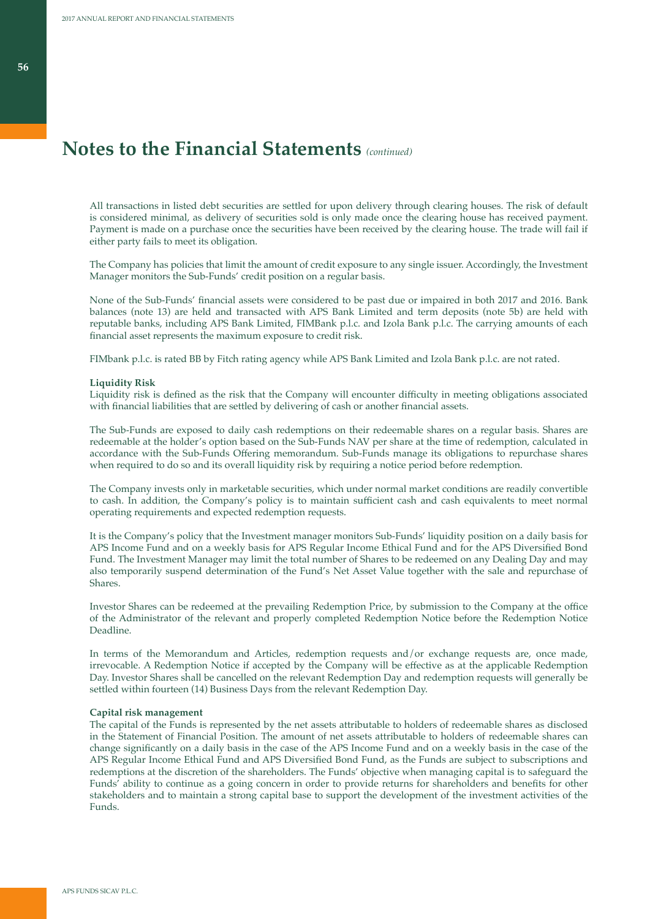All transactions in listed debt securities are settled for upon delivery through clearing houses. The risk of default is considered minimal, as delivery of securities sold is only made once the clearing house has received payment. Payment is made on a purchase once the securities have been received by the clearing house. The trade will fail if either party fails to meet its obligation.

The Company has policies that limit the amount of credit exposure to any single issuer. Accordingly, the Investment Manager monitors the Sub-Funds' credit position on a regular basis.

None of the Sub-Funds' financial assets were considered to be past due or impaired in both 2017 and 2016. Bank balances (note 13) are held and transacted with APS Bank Limited and term deposits (note 5b) are held with reputable banks, including APS Bank Limited, FIMBank p.l.c. and Izola Bank p.l.c. The carrying amounts of each financial asset represents the maximum exposure to credit risk.

FIMbank p.l.c. is rated BB by Fitch rating agency while APS Bank Limited and Izola Bank p.l.c. are not rated.

#### **Liquidity Risk**

Liquidity risk is defined as the risk that the Company will encounter difficulty in meeting obligations associated with financial liabilities that are settled by delivering of cash or another financial assets.

The Sub-Funds are exposed to daily cash redemptions on their redeemable shares on a regular basis. Shares are redeemable at the holder's option based on the Sub-Funds NAV per share at the time of redemption, calculated in accordance with the Sub-Funds Offering memorandum. Sub-Funds manage its obligations to repurchase shares when required to do so and its overall liquidity risk by requiring a notice period before redemption.

The Company invests only in marketable securities, which under normal market conditions are readily convertible to cash. In addition, the Company's policy is to maintain sufficient cash and cash equivalents to meet normal operating requirements and expected redemption requests.

It is the Company's policy that the Investment manager monitors Sub-Funds' liquidity position on a daily basis for APS Income Fund and on a weekly basis for APS Regular Income Ethical Fund and for the APS Diversified Bond Fund. The Investment Manager may limit the total number of Shares to be redeemed on any Dealing Day and may also temporarily suspend determination of the Fund's Net Asset Value together with the sale and repurchase of Shares.

Investor Shares can be redeemed at the prevailing Redemption Price, by submission to the Company at the office of the Administrator of the relevant and properly completed Redemption Notice before the Redemption Notice Deadline.

In terms of the Memorandum and Articles, redemption requests and/or exchange requests are, once made, irrevocable. A Redemption Notice if accepted by the Company will be effective as at the applicable Redemption Day. Investor Shares shall be cancelled on the relevant Redemption Day and redemption requests will generally be settled within fourteen (14) Business Days from the relevant Redemption Day.

#### **Capital risk management**

The capital of the Funds is represented by the net assets attributable to holders of redeemable shares as disclosed in the Statement of Financial Position. The amount of net assets attributable to holders of redeemable shares can change significantly on a daily basis in the case of the APS Income Fund and on a weekly basis in the case of the APS Regular Income Ethical Fund and APS Diversified Bond Fund, as the Funds are subject to subscriptions and redemptions at the discretion of the shareholders. The Funds' objective when managing capital is to safeguard the Funds' ability to continue as a going concern in order to provide returns for shareholders and benefits for other stakeholders and to maintain a strong capital base to support the development of the investment activities of the Funds.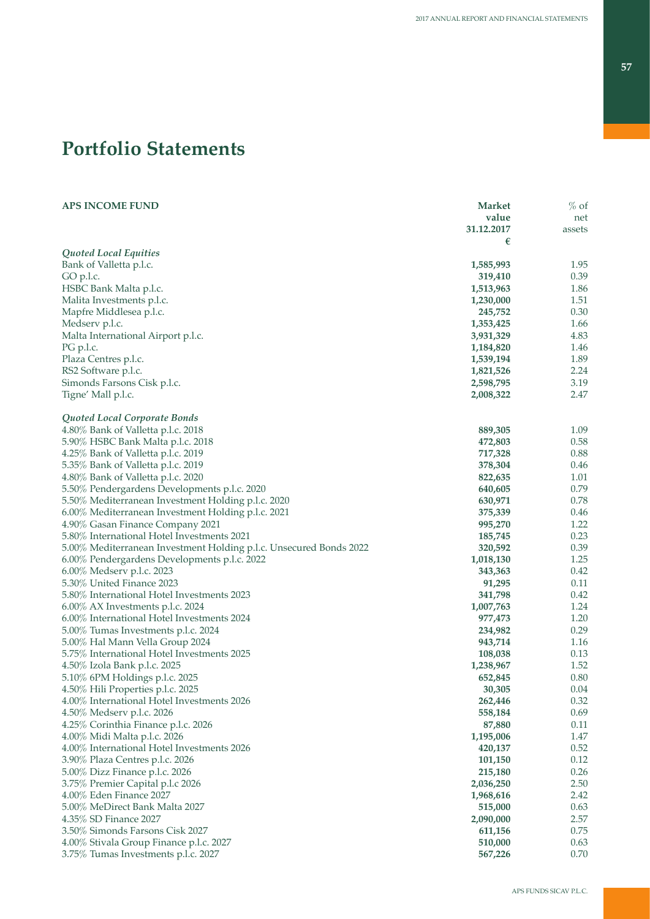# **Portfolio Statements**

| <b>APS INCOME FUND</b>                                             | <b>Market</b> | $%$ of |
|--------------------------------------------------------------------|---------------|--------|
|                                                                    | value         | net    |
|                                                                    | 31.12.2017    | assets |
|                                                                    | €             |        |
| Quoted Local Equities                                              |               |        |
| Bank of Valletta p.l.c.                                            | 1,585,993     | 1.95   |
| GO p.l.c.                                                          | 319,410       | 0.39   |
| HSBC Bank Malta p.l.c.                                             | 1,513,963     | 1.86   |
| Malita Investments p.l.c.                                          | 1,230,000     | 1.51   |
| Mapfre Middlesea p.l.c.                                            | 245,752       | 0.30   |
| Medserv p.l.c.                                                     | 1,353,425     | 1.66   |
| Malta International Airport p.l.c.                                 | 3,931,329     | 4.83   |
| PG p.l.c.                                                          | 1,184,820     | 1.46   |
| Plaza Centres p.l.c.                                               | 1,539,194     | 1.89   |
| RS2 Software p.l.c.                                                | 1,821,526     | 2.24   |
| Simonds Farsons Cisk p.l.c.                                        | 2,598,795     | 3.19   |
| Tigne' Mall p.l.c.                                                 | 2,008,322     | 2.47   |
|                                                                    |               |        |
| Quoted Local Corporate Bonds                                       |               |        |
| 4.80% Bank of Valletta p.l.c. 2018                                 | 889,305       | 1.09   |
| 5.90% HSBC Bank Malta p.l.c. 2018                                  | 472,803       | 0.58   |
| 4.25% Bank of Valletta p.l.c. 2019                                 | 717,328       | 0.88   |
| 5.35% Bank of Valletta p.l.c. 2019                                 | 378,304       | 0.46   |
| 4.80% Bank of Valletta p.l.c. 2020                                 | 822,635       | 1.01   |
| 5.50% Pendergardens Developments p.l.c. 2020                       | 640,605       | 0.79   |
| 5.50% Mediterranean Investment Holding p.l.c. 2020                 | 630,971       | 0.78   |
| 6.00% Mediterranean Investment Holding p.l.c. 2021                 | 375,339       | 0.46   |
| 4.90% Gasan Finance Company 2021                                   | 995,270       | 1.22   |
| 5.80% International Hotel Investments 2021                         | 185,745       | 0.23   |
| 5.00% Mediterranean Investment Holding p.l.c. Unsecured Bonds 2022 | 320,592       | 0.39   |
| 6.00% Pendergardens Developments p.l.c. 2022                       | 1,018,130     | 1.25   |
| 6.00% Medserv p.l.c. 2023                                          | 343,363       | 0.42   |
| 5.30% United Finance 2023                                          | 91,295        | 0.11   |
| 5.80% International Hotel Investments 2023                         | 341,798       | 0.42   |
| $6.00\%$ AX Investments p.l.c. 2024                                | 1,007,763     | 1.24   |
| 6.00% International Hotel Investments 2024                         | 977,473       | 1.20   |
| 5.00% Tumas Investments p.l.c. 2024                                | 234,982       | 0.29   |
| 5.00% Hal Mann Vella Group 2024                                    | 943,714       | 1.16   |
| 5.75% International Hotel Investments 2025                         | 108,038       | 0.13   |
| 4.50% Izola Bank p.l.c. 2025                                       | 1,238,967     | 1.52   |
| 5.10% 6PM Holdings p.l.c. 2025                                     | 652,845       | 0.80   |
| 4.50% Hili Properties p.l.c. 2025                                  | 30,305        | 0.04   |
| 4.00% International Hotel Investments 2026                         | 262,446       | 0.32   |
| 4.50% Medserv p.l.c. 2026                                          | 558,184       | 0.69   |
| 4.25% Corinthia Finance p.l.c. 2026                                | 87,880        | 0.11   |
| 4.00% Midi Malta p.l.c. 2026                                       | 1,195,006     | 1.47   |
| 4.00% International Hotel Investments 2026                         | 420,137       | 0.52   |
| 3.90% Plaza Centres p.l.c. 2026                                    | 101,150       | 0.12   |
| 5.00% Dizz Finance p.l.c. 2026                                     | 215,180       | 0.26   |
| 3.75% Premier Capital p.l.c 2026                                   | 2,036,250     | 2.50   |
| 4.00% Eden Finance 2027                                            |               | 2.42   |
| 5.00% MeDirect Bank Malta 2027                                     | 1,968,616     | 0.63   |
| 4.35% SD Finance 2027                                              | 515,000       |        |
|                                                                    | 2,090,000     | 2.57   |
| 3.50% Simonds Farsons Cisk 2027                                    | 611,156       | 0.75   |
| 4.00% Stivala Group Finance p.l.c. 2027                            | 510,000       | 0.63   |
| 3.75% Tumas Investments p.l.c. 2027                                | 567,226       | 0.70   |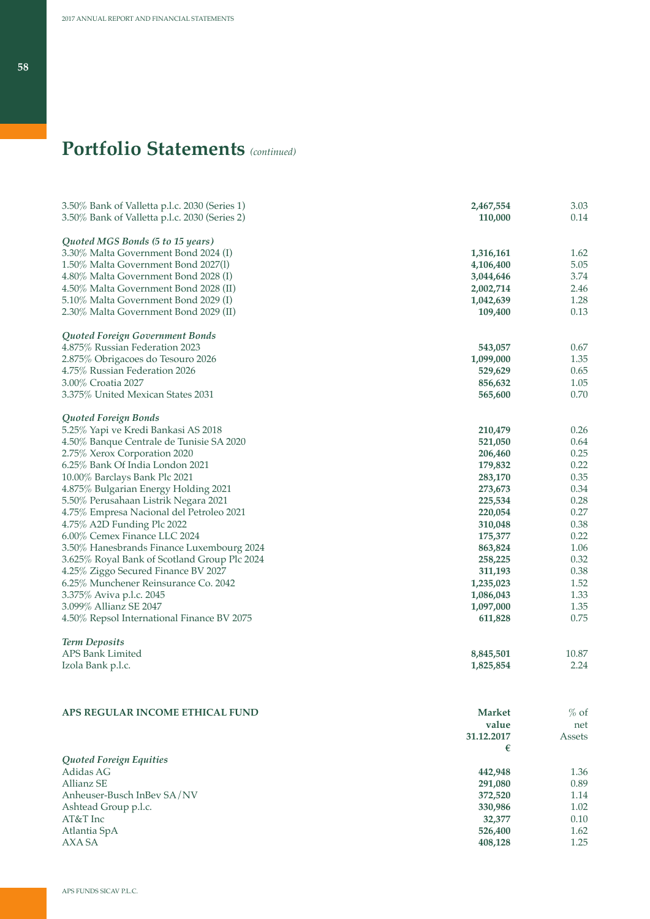| 3.50% Bank of Valletta p.l.c. 2030 (Series 1) | 2,467,554     | 3.03   |
|-----------------------------------------------|---------------|--------|
| 3.50% Bank of Valletta p.l.c. 2030 (Series 2) | 110,000       | 0.14   |
|                                               |               |        |
| Quoted MGS Bonds (5 to 15 years)              |               |        |
| 3.30% Malta Government Bond 2024 (I)          | 1,316,161     | 1.62   |
| 1.50% Malta Government Bond 2027(1)           | 4,106,400     | 5.05   |
| 4.80% Malta Government Bond 2028 (I)          | 3,044,646     | 3.74   |
| 4.50% Malta Government Bond 2028 (II)         | 2,002,714     | 2.46   |
| 5.10% Malta Government Bond 2029 (I)          | 1,042,639     | 1.28   |
| 2.30% Malta Government Bond 2029 (II)         | 109,400       | 0.13   |
| Quoted Foreign Government Bonds               |               |        |
| 4.875% Russian Federation 2023                | 543,057       | 0.67   |
| 2.875% Obrigacoes do Tesouro 2026             | 1,099,000     | 1.35   |
| 4.75% Russian Federation 2026                 | 529,629       | 0.65   |
| 3.00% Croatia 2027                            | 856,632       | 1.05   |
| 3.375% United Mexican States 2031             | 565,600       | 0.70   |
|                                               |               |        |
| Quoted Foreign Bonds                          |               |        |
| 5.25% Yapi ve Kredi Bankasi AS 2018           | 210,479       | 0.26   |
| 4.50% Banque Centrale de Tunisie SA 2020      | 521,050       | 0.64   |
| 2.75% Xerox Corporation 2020                  | 206,460       | 0.25   |
| 6.25% Bank Of India London 2021               | 179,832       | 0.22   |
| 10.00% Barclays Bank Plc 2021                 | 283,170       | 0.35   |
| 4.875% Bulgarian Energy Holding 2021          | 273,673       | 0.34   |
| 5.50% Perusahaan Listrik Negara 2021          | 225,534       | 0.28   |
| 4.75% Empresa Nacional del Petroleo 2021      | 220,054       | 0.27   |
| 4.75% A2D Funding Plc 2022                    | 310,048       | 0.38   |
| 6.00% Cemex Finance LLC 2024                  | 175,377       | 0.22   |
| 3.50% Hanesbrands Finance Luxembourg 2024     | 863,824       | 1.06   |
| 3.625% Royal Bank of Scotland Group Plc 2024  | 258,225       | 0.32   |
| 4.25% Ziggo Secured Finance BV 2027           | 311,193       | 0.38   |
| 6.25% Munchener Reinsurance Co. 2042          | 1,235,023     | 1.52   |
| 3.375% Aviva p.l.c. 2045                      | 1,086,043     | 1.33   |
| 3.099% Allianz SE 2047                        | 1,097,000     | 1.35   |
| 4.50% Repsol International Finance BV 2075    | 611,828       | 0.75   |
|                                               |               |        |
| <b>Term Deposits</b><br>APS Bank Limited      | 8,845,501     | 10.87  |
|                                               | 1,825,854     | 2.24   |
| Izola Bank p.l.c.                             |               |        |
|                                               |               |        |
| APS REGULAR INCOME ETHICAL FUND               | <b>Market</b> | $%$ of |
|                                               | value         | net    |
|                                               | 31.12.2017    |        |
|                                               | €             | Assets |
| Quoted Foreign Equities                       |               |        |
| Adidas AG                                     | 442,948       | 1.36   |
| <b>Allianz SE</b>                             | 291,080       | 0.89   |
| Anheuser-Busch InBev SA/NV                    | 372,520       | 1.14   |
| Ashtead Group p.l.c.                          | 330,986       | 1.02   |
| AT&T Inc                                      | 32,377        | 0.10   |
| Atlantia SpA                                  | 526,400       | 1.62   |
| AXA SA                                        | 408,128       | 1.25   |
|                                               |               |        |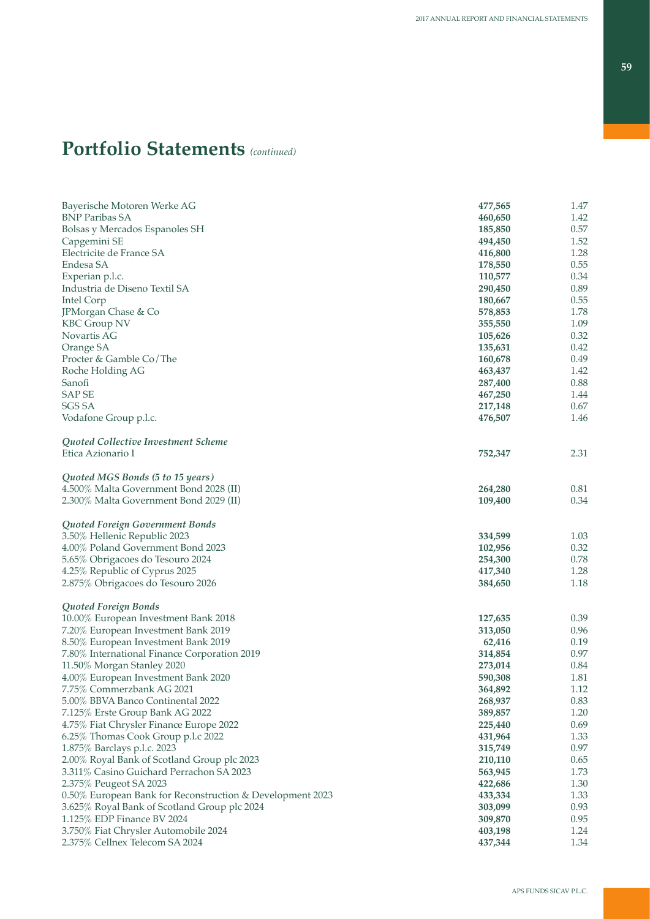| Bayerische Motoren Werke AG                               | 477,565 | 1.47 |
|-----------------------------------------------------------|---------|------|
| <b>BNP Paribas SA</b>                                     | 460,650 | 1.42 |
| Bolsas y Mercados Espanoles SH                            | 185,850 | 0.57 |
| Capgemini SE                                              | 494,450 | 1.52 |
| Electricite de France SA                                  | 416,800 | 1.28 |
| Endesa SA                                                 | 178,550 | 0.55 |
| Experian p.l.c.                                           | 110,577 | 0.34 |
| Industria de Diseno Textil SA                             | 290,450 | 0.89 |
| Intel Corp                                                | 180,667 | 0.55 |
| JPMorgan Chase & Co                                       | 578,853 | 1.78 |
| <b>KBC Group NV</b>                                       | 355,550 | 1.09 |
| Novartis AG                                               | 105,626 | 0.32 |
| Orange SA                                                 | 135,631 | 0.42 |
| Procter & Gamble Co/The                                   | 160,678 | 0.49 |
| Roche Holding AG                                          | 463,437 | 1.42 |
| Sanofi                                                    | 287,400 | 0.88 |
| <b>SAPSE</b>                                              | 467,250 | 1.44 |
| <b>SGS SA</b>                                             | 217,148 | 0.67 |
|                                                           |         | 1.46 |
| Vodafone Group p.l.c.                                     | 476,507 |      |
| Quoted Collective Investment Scheme                       |         |      |
| Etica Azionario I                                         | 752,347 | 2.31 |
|                                                           |         |      |
| Quoted MGS Bonds (5 to 15 years)                          |         |      |
| 4.500% Malta Government Bond 2028 (II)                    | 264,280 | 0.81 |
| 2.300% Malta Government Bond 2029 (II)                    | 109,400 | 0.34 |
|                                                           |         |      |
| Quoted Foreign Government Bonds                           |         |      |
| 3.50% Hellenic Republic 2023                              | 334,599 | 1.03 |
| 4.00% Poland Government Bond 2023                         | 102,956 | 0.32 |
| 5.65% Obrigacoes do Tesouro 2024                          | 254,300 | 0.78 |
| 4.25% Republic of Cyprus 2025                             | 417,340 | 1.28 |
| 2.875% Obrigacoes do Tesouro 2026                         | 384,650 | 1.18 |
| Quoted Foreign Bonds                                      |         |      |
| 10.00% European Investment Bank 2018                      | 127,635 | 0.39 |
| 7.20% European Investment Bank 2019                       | 313,050 | 0.96 |
| 8.50% European Investment Bank 2019                       | 62,416  | 0.19 |
| 7.80% International Finance Corporation 2019              | 314,854 | 0.97 |
| 11.50% Morgan Stanley 2020                                | 273,014 | 0.84 |
| 4.00% European Investment Bank 2020                       |         | 1.81 |
|                                                           | 590,308 |      |
| 7.75% Commerzbank AG 2021                                 | 364,892 | 1.12 |
| 5.00% BBVA Banco Continental 2022                         | 268,937 | 0.83 |
| 7.125% Erste Group Bank AG 2022                           | 389,857 | 1.20 |
| 4.75% Fiat Chrysler Finance Europe 2022                   | 225,440 | 0.69 |
| 6.25% Thomas Cook Group p.l.c 2022                        | 431,964 | 1.33 |
| 1.875% Barclays p.l.c. 2023                               | 315,749 | 0.97 |
| 2.00% Royal Bank of Scotland Group plc 2023               | 210,110 | 0.65 |
| 3.311% Casino Guichard Perrachon SA 2023                  | 563,945 | 1.73 |
| 2.375% Peugeot SA 2023                                    | 422,686 | 1.30 |
| 0.50% European Bank for Reconstruction & Development 2023 | 433,334 | 1.33 |
| 3.625% Royal Bank of Scotland Group plc 2024              | 303,099 | 0.93 |
| 1.125% EDP Finance BV 2024                                | 309,870 | 0.95 |
| 3.750% Fiat Chrysler Automobile 2024                      | 403,198 | 1.24 |
| 2.375% Cellnex Telecom SA 2024                            | 437,344 | 1.34 |
|                                                           |         |      |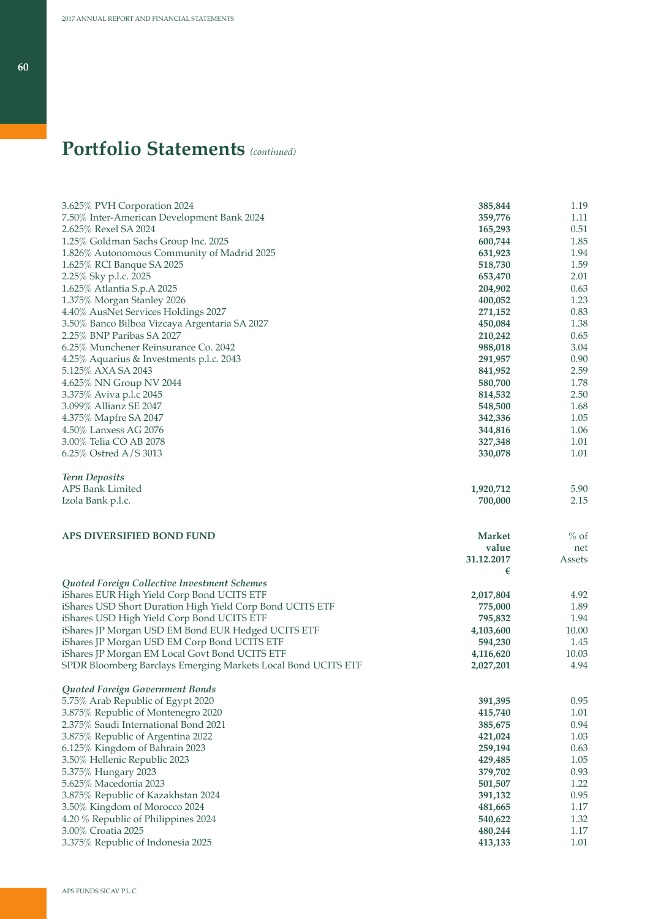|                                                               |                    | 1.19          |
|---------------------------------------------------------------|--------------------|---------------|
| 3.625% PVH Corporation 2024                                   | 385,844            |               |
| 7.50% Inter-American Development Bank 2024                    | 359,776            | 1.11          |
| 2.625% Rexel SA 2024                                          | 165,293            | 0.51          |
| 1.25% Goldman Sachs Group Inc. 2025                           | 600,744            | 1.85          |
| 1.826% Autonomous Community of Madrid 2025                    | 631,923            | 1.94          |
| 1.625% RCI Banque SA 2025                                     | 518,730            | 1.59          |
| 2.25% Sky p.l.c. 2025                                         | 653,470            | 2.01          |
| 1.625% Atlantia S.p.A 2025                                    | 204,902            | 0.63          |
| 1.375% Morgan Stanley 2026                                    | 400,052            | 1.23          |
| 4.40% AusNet Services Holdings 2027                           | 271,152            | 0.83          |
| 3.50% Banco Bilboa Vizcaya Argentaria SA 2027                 | 450,084            | 1.38          |
| 2.25% BNP Paribas SA 2027                                     | 210,242            | 0.65          |
| 6.25% Munchener Reinsurance Co. 2042                          | 988,018            | 3.04          |
| 4.25% Aquarius & Investments p.l.c. 2043                      | 291,957            | 0.90          |
| 5.125% AXA SA 2043                                            | 841,952            | 2.59          |
| 4.625% NN Group NV 2044                                       | 580,700            | 1.78          |
| 3.375% Aviva p.l.c 2045                                       | 814,532            | 2.50          |
| 3.099% Allianz SE 2047                                        | 548,500            | 1.68          |
| 4.375% Mapfre SA 2047                                         | 342,336            | 1.05          |
| 4.50% Lanxess AG 2076                                         | 344,816            | 1.06          |
| 3.00% Telia CO AB 2078                                        | 327,348            | 1.01          |
| 6.25% Ostred A/S 3013                                         | 330,078            | 1.01          |
|                                                               |                    |               |
| <b>Term Deposits</b>                                          |                    |               |
| APS Bank Limited                                              | 1,920,712          | 5.90          |
| Izola Bank p.l.c.                                             | 700,000            | 2.15          |
|                                                               |                    |               |
|                                                               |                    |               |
|                                                               |                    |               |
| APS DIVERSIFIED BOND FUND                                     | <b>Market</b>      |               |
|                                                               | value              | $%$ of<br>net |
|                                                               |                    |               |
|                                                               | 31.12.2017         | Assets        |
|                                                               | €                  |               |
| Quoted Foreign Collective Investment Schemes                  |                    |               |
| iShares EUR High Yield Corp Bond UCITS ETF                    | 2,017,804          | 4.92          |
| iShares USD Short Duration High Yield Corp Bond UCITS ETF     | 775,000            | 1.89          |
| iShares USD High Yield Corp Bond UCITS ETF                    | 795,832            | 1.94          |
| iShares JP Morgan USD EM Bond EUR Hedged UCITS ETF            | 4,103,600          | 10.00         |
| iShares JP Morgan USD EM Corp Bond UCITS ETF                  | 594,230            | 1.45          |
| iShares JP Morgan EM Local Govt Bond UCITS ETF                | 4,116,620          | 10.03         |
| SPDR Bloomberg Barclays Emerging Markets Local Bond UCITS ETF | 2,027,201          | 4.94          |
|                                                               |                    |               |
| Quoted Foreign Government Bonds                               |                    |               |
| 5.75% Arab Republic of Egypt 2020                             | 391,395            | 0.95          |
| 3.875% Republic of Montenegro 2020                            | 415,740            | 1.01          |
| 2.375% Saudi International Bond 2021                          | 385,675            | 0.94          |
| 3.875% Republic of Argentina 2022                             | 421,024            | 1.03          |
| 6.125% Kingdom of Bahrain 2023                                | 259,194            | 0.63          |
| 3.50% Hellenic Republic 2023                                  | 429,485            | 1.05          |
| 5.375% Hungary 2023                                           | 379,702            | 0.93          |
| 5.625% Macedonia 2023                                         | 501,507            | 1.22          |
| 3.875% Republic of Kazakhstan 2024                            | 391,132            | 0.95          |
| 3.50% Kingdom of Morocco 2024                                 | 481,665            | 1.17          |
| 4.20 % Republic of Philippines 2024                           | 540,622            | 1.32          |
| 3.00% Croatia 2025<br>3.375% Republic of Indonesia 2025       | 480,244<br>413,133 | 1.17<br>1.01  |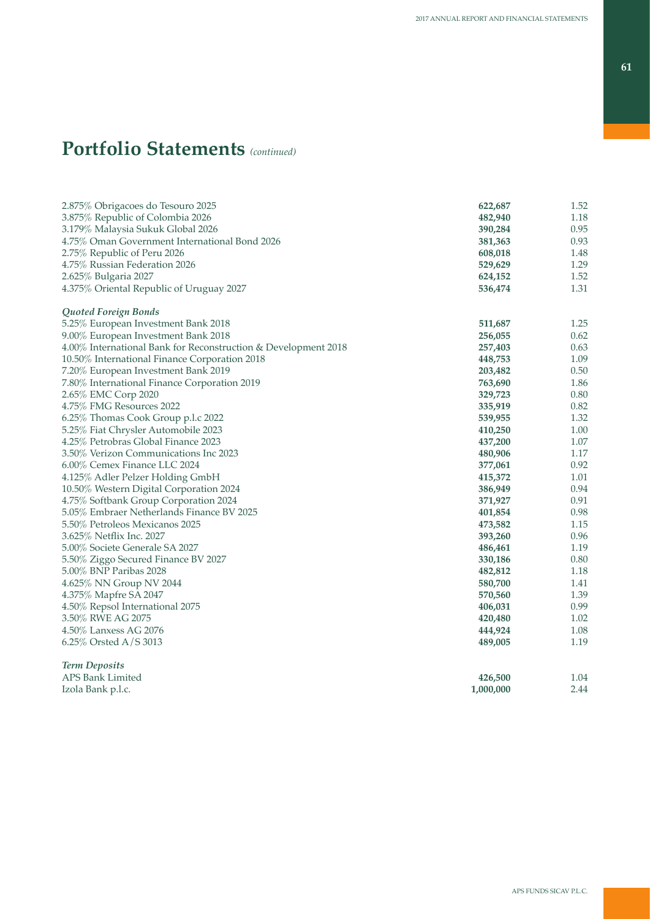| 2.875% Obrigacoes do Tesouro 2025<br>622,687<br>1.52<br>3.875% Republic of Colombia 2026<br>482,940<br>1.18<br>0.95<br>3.179% Malaysia Sukuk Global 2026<br>390,284<br>0.93<br>4.75% Oman Government International Bond 2026<br>381,363<br>2.75% Republic of Peru 2026<br>608,018<br>1.48<br>1.29<br>4.75% Russian Federation 2026<br>529,629<br>1.52<br>2.625% Bulgaria 2027<br>624,152<br>1.31<br>4.375% Oriental Republic of Uruguay 2027<br>536,474<br>Quoted Foreign Bonds<br>5.25% European Investment Bank 2018<br>511,687<br>1.25<br>0.62<br>9.00% European Investment Bank 2018<br>256,055<br>4.00% International Bank for Reconstruction & Development 2018<br>257,403<br>0.63<br>1.09<br>10.50% International Finance Corporation 2018<br>448,753<br>0.50<br>7.20% European Investment Bank 2019<br>203,482<br>1.86<br>7.80% International Finance Corporation 2019<br>763,690<br>2.65% EMC Corp 2020<br>329,723<br>0.80<br>4.75% FMG Resources 2022<br>0.82<br>335,919<br>1.32<br>6.25% Thomas Cook Group p.l.c 2022<br>539,955<br>5.25% Fiat Chrysler Automobile 2023<br>1.00<br>410,250<br>4.25% Petrobras Global Finance 2023<br>437,200<br>1.07<br>3.50% Verizon Communications Inc 2023<br>480,906<br>1.17<br>6.00% Cemex Finance LLC 2024<br>0.92<br>377,061<br>4.125% Adler Pelzer Holding GmbH<br>1.01<br>415,372<br>10.50% Western Digital Corporation 2024<br>0.94<br>386,949<br>4.75% Softbank Group Corporation 2024<br>0.91<br>371,927<br>5.05% Embraer Netherlands Finance BV 2025<br>401,854<br>0.98<br>5.50% Petroleos Mexicanos 2025<br>1.15<br>473,582<br>3.625% Netflix Inc. 2027<br>393,260<br>0.96<br>1.19<br>5.00% Societe Generale SA 2027<br>486,461<br>0.80<br>5.50% Ziggo Secured Finance BV 2027<br>330,186<br>1.18<br>5.00% BNP Paribas 2028<br>482,812<br>4.625% NN Group NV 2044<br>580,700<br>1.41<br>4.375% Mapfre SA 2047<br>570,560<br>1.39<br>0.99<br>4.50% Repsol International 2075<br>406,031<br>3.50% RWE AG 2075<br>1.02<br>420,480<br>1.08<br>4.50% Lanxess AG 2076<br>444,924<br>1.19<br>6.25% Orsted A/S 3013<br>489,005<br><b>Term Deposits</b><br>APS Bank Limited<br>426,500<br>1.04<br>2.44<br>Izola Bank p.l.c.<br>1,000,000 |  |  |
|------------------------------------------------------------------------------------------------------------------------------------------------------------------------------------------------------------------------------------------------------------------------------------------------------------------------------------------------------------------------------------------------------------------------------------------------------------------------------------------------------------------------------------------------------------------------------------------------------------------------------------------------------------------------------------------------------------------------------------------------------------------------------------------------------------------------------------------------------------------------------------------------------------------------------------------------------------------------------------------------------------------------------------------------------------------------------------------------------------------------------------------------------------------------------------------------------------------------------------------------------------------------------------------------------------------------------------------------------------------------------------------------------------------------------------------------------------------------------------------------------------------------------------------------------------------------------------------------------------------------------------------------------------------------------------------------------------------------------------------------------------------------------------------------------------------------------------------------------------------------------------------------------------------------------------------------------------------------------------------------------------------------------------------------------------------------------------------------------------------------------------------------------------------------------------------|--|--|
|                                                                                                                                                                                                                                                                                                                                                                                                                                                                                                                                                                                                                                                                                                                                                                                                                                                                                                                                                                                                                                                                                                                                                                                                                                                                                                                                                                                                                                                                                                                                                                                                                                                                                                                                                                                                                                                                                                                                                                                                                                                                                                                                                                                          |  |  |
|                                                                                                                                                                                                                                                                                                                                                                                                                                                                                                                                                                                                                                                                                                                                                                                                                                                                                                                                                                                                                                                                                                                                                                                                                                                                                                                                                                                                                                                                                                                                                                                                                                                                                                                                                                                                                                                                                                                                                                                                                                                                                                                                                                                          |  |  |
|                                                                                                                                                                                                                                                                                                                                                                                                                                                                                                                                                                                                                                                                                                                                                                                                                                                                                                                                                                                                                                                                                                                                                                                                                                                                                                                                                                                                                                                                                                                                                                                                                                                                                                                                                                                                                                                                                                                                                                                                                                                                                                                                                                                          |  |  |
|                                                                                                                                                                                                                                                                                                                                                                                                                                                                                                                                                                                                                                                                                                                                                                                                                                                                                                                                                                                                                                                                                                                                                                                                                                                                                                                                                                                                                                                                                                                                                                                                                                                                                                                                                                                                                                                                                                                                                                                                                                                                                                                                                                                          |  |  |
|                                                                                                                                                                                                                                                                                                                                                                                                                                                                                                                                                                                                                                                                                                                                                                                                                                                                                                                                                                                                                                                                                                                                                                                                                                                                                                                                                                                                                                                                                                                                                                                                                                                                                                                                                                                                                                                                                                                                                                                                                                                                                                                                                                                          |  |  |
|                                                                                                                                                                                                                                                                                                                                                                                                                                                                                                                                                                                                                                                                                                                                                                                                                                                                                                                                                                                                                                                                                                                                                                                                                                                                                                                                                                                                                                                                                                                                                                                                                                                                                                                                                                                                                                                                                                                                                                                                                                                                                                                                                                                          |  |  |
|                                                                                                                                                                                                                                                                                                                                                                                                                                                                                                                                                                                                                                                                                                                                                                                                                                                                                                                                                                                                                                                                                                                                                                                                                                                                                                                                                                                                                                                                                                                                                                                                                                                                                                                                                                                                                                                                                                                                                                                                                                                                                                                                                                                          |  |  |
|                                                                                                                                                                                                                                                                                                                                                                                                                                                                                                                                                                                                                                                                                                                                                                                                                                                                                                                                                                                                                                                                                                                                                                                                                                                                                                                                                                                                                                                                                                                                                                                                                                                                                                                                                                                                                                                                                                                                                                                                                                                                                                                                                                                          |  |  |
|                                                                                                                                                                                                                                                                                                                                                                                                                                                                                                                                                                                                                                                                                                                                                                                                                                                                                                                                                                                                                                                                                                                                                                                                                                                                                                                                                                                                                                                                                                                                                                                                                                                                                                                                                                                                                                                                                                                                                                                                                                                                                                                                                                                          |  |  |
|                                                                                                                                                                                                                                                                                                                                                                                                                                                                                                                                                                                                                                                                                                                                                                                                                                                                                                                                                                                                                                                                                                                                                                                                                                                                                                                                                                                                                                                                                                                                                                                                                                                                                                                                                                                                                                                                                                                                                                                                                                                                                                                                                                                          |  |  |
|                                                                                                                                                                                                                                                                                                                                                                                                                                                                                                                                                                                                                                                                                                                                                                                                                                                                                                                                                                                                                                                                                                                                                                                                                                                                                                                                                                                                                                                                                                                                                                                                                                                                                                                                                                                                                                                                                                                                                                                                                                                                                                                                                                                          |  |  |
|                                                                                                                                                                                                                                                                                                                                                                                                                                                                                                                                                                                                                                                                                                                                                                                                                                                                                                                                                                                                                                                                                                                                                                                                                                                                                                                                                                                                                                                                                                                                                                                                                                                                                                                                                                                                                                                                                                                                                                                                                                                                                                                                                                                          |  |  |
|                                                                                                                                                                                                                                                                                                                                                                                                                                                                                                                                                                                                                                                                                                                                                                                                                                                                                                                                                                                                                                                                                                                                                                                                                                                                                                                                                                                                                                                                                                                                                                                                                                                                                                                                                                                                                                                                                                                                                                                                                                                                                                                                                                                          |  |  |
|                                                                                                                                                                                                                                                                                                                                                                                                                                                                                                                                                                                                                                                                                                                                                                                                                                                                                                                                                                                                                                                                                                                                                                                                                                                                                                                                                                                                                                                                                                                                                                                                                                                                                                                                                                                                                                                                                                                                                                                                                                                                                                                                                                                          |  |  |
|                                                                                                                                                                                                                                                                                                                                                                                                                                                                                                                                                                                                                                                                                                                                                                                                                                                                                                                                                                                                                                                                                                                                                                                                                                                                                                                                                                                                                                                                                                                                                                                                                                                                                                                                                                                                                                                                                                                                                                                                                                                                                                                                                                                          |  |  |
|                                                                                                                                                                                                                                                                                                                                                                                                                                                                                                                                                                                                                                                                                                                                                                                                                                                                                                                                                                                                                                                                                                                                                                                                                                                                                                                                                                                                                                                                                                                                                                                                                                                                                                                                                                                                                                                                                                                                                                                                                                                                                                                                                                                          |  |  |
|                                                                                                                                                                                                                                                                                                                                                                                                                                                                                                                                                                                                                                                                                                                                                                                                                                                                                                                                                                                                                                                                                                                                                                                                                                                                                                                                                                                                                                                                                                                                                                                                                                                                                                                                                                                                                                                                                                                                                                                                                                                                                                                                                                                          |  |  |
|                                                                                                                                                                                                                                                                                                                                                                                                                                                                                                                                                                                                                                                                                                                                                                                                                                                                                                                                                                                                                                                                                                                                                                                                                                                                                                                                                                                                                                                                                                                                                                                                                                                                                                                                                                                                                                                                                                                                                                                                                                                                                                                                                                                          |  |  |
|                                                                                                                                                                                                                                                                                                                                                                                                                                                                                                                                                                                                                                                                                                                                                                                                                                                                                                                                                                                                                                                                                                                                                                                                                                                                                                                                                                                                                                                                                                                                                                                                                                                                                                                                                                                                                                                                                                                                                                                                                                                                                                                                                                                          |  |  |
|                                                                                                                                                                                                                                                                                                                                                                                                                                                                                                                                                                                                                                                                                                                                                                                                                                                                                                                                                                                                                                                                                                                                                                                                                                                                                                                                                                                                                                                                                                                                                                                                                                                                                                                                                                                                                                                                                                                                                                                                                                                                                                                                                                                          |  |  |
|                                                                                                                                                                                                                                                                                                                                                                                                                                                                                                                                                                                                                                                                                                                                                                                                                                                                                                                                                                                                                                                                                                                                                                                                                                                                                                                                                                                                                                                                                                                                                                                                                                                                                                                                                                                                                                                                                                                                                                                                                                                                                                                                                                                          |  |  |
|                                                                                                                                                                                                                                                                                                                                                                                                                                                                                                                                                                                                                                                                                                                                                                                                                                                                                                                                                                                                                                                                                                                                                                                                                                                                                                                                                                                                                                                                                                                                                                                                                                                                                                                                                                                                                                                                                                                                                                                                                                                                                                                                                                                          |  |  |
|                                                                                                                                                                                                                                                                                                                                                                                                                                                                                                                                                                                                                                                                                                                                                                                                                                                                                                                                                                                                                                                                                                                                                                                                                                                                                                                                                                                                                                                                                                                                                                                                                                                                                                                                                                                                                                                                                                                                                                                                                                                                                                                                                                                          |  |  |
|                                                                                                                                                                                                                                                                                                                                                                                                                                                                                                                                                                                                                                                                                                                                                                                                                                                                                                                                                                                                                                                                                                                                                                                                                                                                                                                                                                                                                                                                                                                                                                                                                                                                                                                                                                                                                                                                                                                                                                                                                                                                                                                                                                                          |  |  |
|                                                                                                                                                                                                                                                                                                                                                                                                                                                                                                                                                                                                                                                                                                                                                                                                                                                                                                                                                                                                                                                                                                                                                                                                                                                                                                                                                                                                                                                                                                                                                                                                                                                                                                                                                                                                                                                                                                                                                                                                                                                                                                                                                                                          |  |  |
|                                                                                                                                                                                                                                                                                                                                                                                                                                                                                                                                                                                                                                                                                                                                                                                                                                                                                                                                                                                                                                                                                                                                                                                                                                                                                                                                                                                                                                                                                                                                                                                                                                                                                                                                                                                                                                                                                                                                                                                                                                                                                                                                                                                          |  |  |
|                                                                                                                                                                                                                                                                                                                                                                                                                                                                                                                                                                                                                                                                                                                                                                                                                                                                                                                                                                                                                                                                                                                                                                                                                                                                                                                                                                                                                                                                                                                                                                                                                                                                                                                                                                                                                                                                                                                                                                                                                                                                                                                                                                                          |  |  |
|                                                                                                                                                                                                                                                                                                                                                                                                                                                                                                                                                                                                                                                                                                                                                                                                                                                                                                                                                                                                                                                                                                                                                                                                                                                                                                                                                                                                                                                                                                                                                                                                                                                                                                                                                                                                                                                                                                                                                                                                                                                                                                                                                                                          |  |  |
|                                                                                                                                                                                                                                                                                                                                                                                                                                                                                                                                                                                                                                                                                                                                                                                                                                                                                                                                                                                                                                                                                                                                                                                                                                                                                                                                                                                                                                                                                                                                                                                                                                                                                                                                                                                                                                                                                                                                                                                                                                                                                                                                                                                          |  |  |
|                                                                                                                                                                                                                                                                                                                                                                                                                                                                                                                                                                                                                                                                                                                                                                                                                                                                                                                                                                                                                                                                                                                                                                                                                                                                                                                                                                                                                                                                                                                                                                                                                                                                                                                                                                                                                                                                                                                                                                                                                                                                                                                                                                                          |  |  |
|                                                                                                                                                                                                                                                                                                                                                                                                                                                                                                                                                                                                                                                                                                                                                                                                                                                                                                                                                                                                                                                                                                                                                                                                                                                                                                                                                                                                                                                                                                                                                                                                                                                                                                                                                                                                                                                                                                                                                                                                                                                                                                                                                                                          |  |  |
|                                                                                                                                                                                                                                                                                                                                                                                                                                                                                                                                                                                                                                                                                                                                                                                                                                                                                                                                                                                                                                                                                                                                                                                                                                                                                                                                                                                                                                                                                                                                                                                                                                                                                                                                                                                                                                                                                                                                                                                                                                                                                                                                                                                          |  |  |
|                                                                                                                                                                                                                                                                                                                                                                                                                                                                                                                                                                                                                                                                                                                                                                                                                                                                                                                                                                                                                                                                                                                                                                                                                                                                                                                                                                                                                                                                                                                                                                                                                                                                                                                                                                                                                                                                                                                                                                                                                                                                                                                                                                                          |  |  |
|                                                                                                                                                                                                                                                                                                                                                                                                                                                                                                                                                                                                                                                                                                                                                                                                                                                                                                                                                                                                                                                                                                                                                                                                                                                                                                                                                                                                                                                                                                                                                                                                                                                                                                                                                                                                                                                                                                                                                                                                                                                                                                                                                                                          |  |  |
|                                                                                                                                                                                                                                                                                                                                                                                                                                                                                                                                                                                                                                                                                                                                                                                                                                                                                                                                                                                                                                                                                                                                                                                                                                                                                                                                                                                                                                                                                                                                                                                                                                                                                                                                                                                                                                                                                                                                                                                                                                                                                                                                                                                          |  |  |
|                                                                                                                                                                                                                                                                                                                                                                                                                                                                                                                                                                                                                                                                                                                                                                                                                                                                                                                                                                                                                                                                                                                                                                                                                                                                                                                                                                                                                                                                                                                                                                                                                                                                                                                                                                                                                                                                                                                                                                                                                                                                                                                                                                                          |  |  |
|                                                                                                                                                                                                                                                                                                                                                                                                                                                                                                                                                                                                                                                                                                                                                                                                                                                                                                                                                                                                                                                                                                                                                                                                                                                                                                                                                                                                                                                                                                                                                                                                                                                                                                                                                                                                                                                                                                                                                                                                                                                                                                                                                                                          |  |  |
|                                                                                                                                                                                                                                                                                                                                                                                                                                                                                                                                                                                                                                                                                                                                                                                                                                                                                                                                                                                                                                                                                                                                                                                                                                                                                                                                                                                                                                                                                                                                                                                                                                                                                                                                                                                                                                                                                                                                                                                                                                                                                                                                                                                          |  |  |
|                                                                                                                                                                                                                                                                                                                                                                                                                                                                                                                                                                                                                                                                                                                                                                                                                                                                                                                                                                                                                                                                                                                                                                                                                                                                                                                                                                                                                                                                                                                                                                                                                                                                                                                                                                                                                                                                                                                                                                                                                                                                                                                                                                                          |  |  |
|                                                                                                                                                                                                                                                                                                                                                                                                                                                                                                                                                                                                                                                                                                                                                                                                                                                                                                                                                                                                                                                                                                                                                                                                                                                                                                                                                                                                                                                                                                                                                                                                                                                                                                                                                                                                                                                                                                                                                                                                                                                                                                                                                                                          |  |  |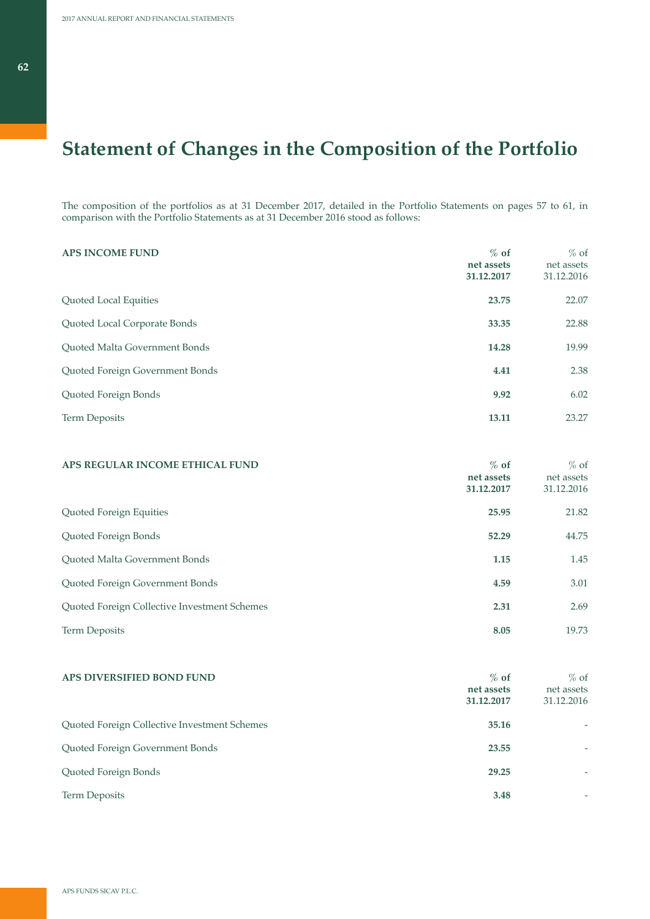The composition of the portfolios as at 31 December 2017, detailed in the Portfolio Statements on pages 57 to 61, in comparison with the Portfolio Statements as at 31 December 2016 stood as follows:

| <b>APS INCOME FUND</b>          | $%$ of<br>net assets<br>31.12.2017 | $%$ of<br>net assets<br>31.12.2016 |
|---------------------------------|------------------------------------|------------------------------------|
| Quoted Local Equities           | 23.75                              | 22.07                              |
| Quoted Local Corporate Bonds    | 33.35                              | 22.88                              |
| Quoted Malta Government Bonds   | 14.28                              | 19.99                              |
| Quoted Foreign Government Bonds | 4.41                               | 2.38                               |
| Quoted Foreign Bonds            | 9.92                               | 6.02                               |
| <b>Term Deposits</b>            | 13.11                              | 23.27                              |

| APS REGULAR INCOME ETHICAL FUND              | $%$ of<br>net assets<br>31.12.2017 | $%$ of<br>net assets<br>31.12.2016 |
|----------------------------------------------|------------------------------------|------------------------------------|
| Quoted Foreign Equities                      | 25.95                              | 21.82                              |
| Quoted Foreign Bonds                         | 52.29                              | 44.75                              |
| <b>Ouoted Malta Government Bonds</b>         | 1.15                               | 1.45                               |
| Quoted Foreign Government Bonds              | 4.59                               | 3.01                               |
| Quoted Foreign Collective Investment Schemes | 2.31                               | 2.69                               |
| <b>Term Deposits</b>                         | 8.05                               | 19.73                              |

| APS DIVERSIFIED BOND FUND                    | $%$ of<br>net assets<br>31.12.2017 | $%$ of<br>net assets<br>31.12.2016 |
|----------------------------------------------|------------------------------------|------------------------------------|
| Quoted Foreign Collective Investment Schemes | 35.16                              |                                    |
| Quoted Foreign Government Bonds              | 23.55                              |                                    |
| Quoted Foreign Bonds                         | 29.25                              |                                    |
| <b>Term Deposits</b>                         | 3.48                               |                                    |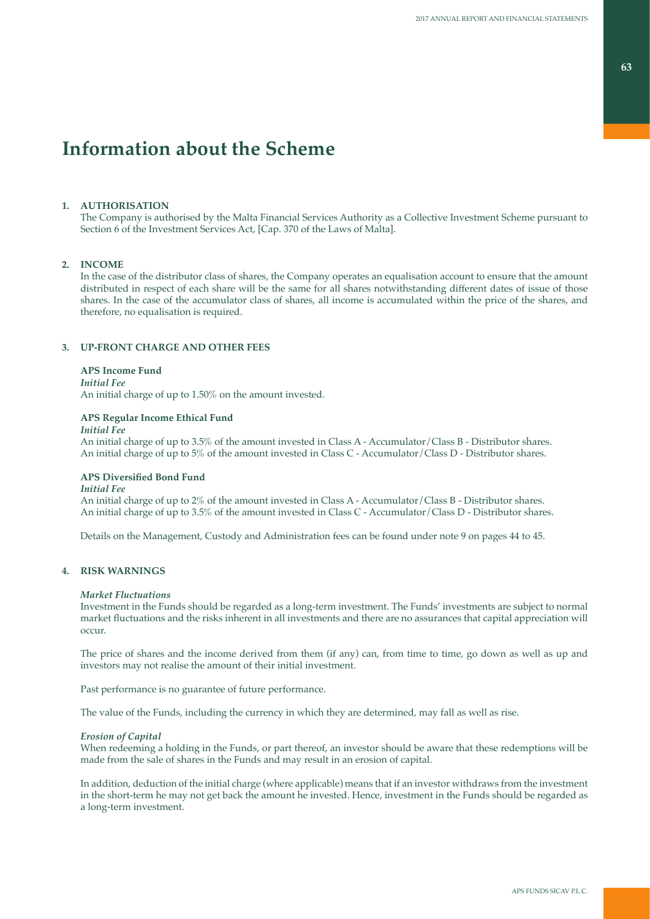# **Information about the Scheme**

## **1. AUTHORISATION**

The Company is authorised by the Malta Financial Services Authority as a Collective Investment Scheme pursuant to Section 6 of the Investment Services Act, [Cap. 370 of the Laws of Malta].

## **2. INCOME**

In the case of the distributor class of shares, the Company operates an equalisation account to ensure that the amount distributed in respect of each share will be the same for all shares notwithstanding different dates of issue of those shares. In the case of the accumulator class of shares, all income is accumulated within the price of the shares, and therefore, no equalisation is required.

### **3. UP-FRONT CHARGE AND OTHER FEES**

### **APS Income Fund**

*Initial Fee*

An initial charge of up to 1.50% on the amount invested.

### **APS Regular Income Ethical Fund**

### *Initial Fee*

An initial charge of up to 3.5% of the amount invested in Class A - Accumulator/Class B - Distributor shares. An initial charge of up to 5% of the amount invested in Class C - Accumulator/Class D - Distributor shares.

### **APS Diversified Bond Fund**

### *Initial Fee*

An initial charge of up to 2% of the amount invested in Class A - Accumulator/Class B - Distributor shares. An initial charge of up to 3.5% of the amount invested in Class C - Accumulator/Class D - Distributor shares.

Details on the Management, Custody and Administration fees can be found under note 9 on pages 44 to 45.

## **4. RISK WARNINGS**

### *Market Fluctuations*

Investment in the Funds should be regarded as a long-term investment. The Funds' investments are subject to normal market fluctuations and the risks inherent in all investments and there are no assurances that capital appreciation will occur.

The price of shares and the income derived from them (if any) can, from time to time, go down as well as up and investors may not realise the amount of their initial investment.

Past performance is no guarantee of future performance.

The value of the Funds, including the currency in which they are determined, may fall as well as rise.

### *Erosion of Capital*

When redeeming a holding in the Funds, or part thereof, an investor should be aware that these redemptions will be made from the sale of shares in the Funds and may result in an erosion of capital.

In addition, deduction of the initial charge (where applicable) means that if an investor withdraws from the investment in the short-term he may not get back the amount he invested. Hence, investment in the Funds should be regarded as a long-term investment.